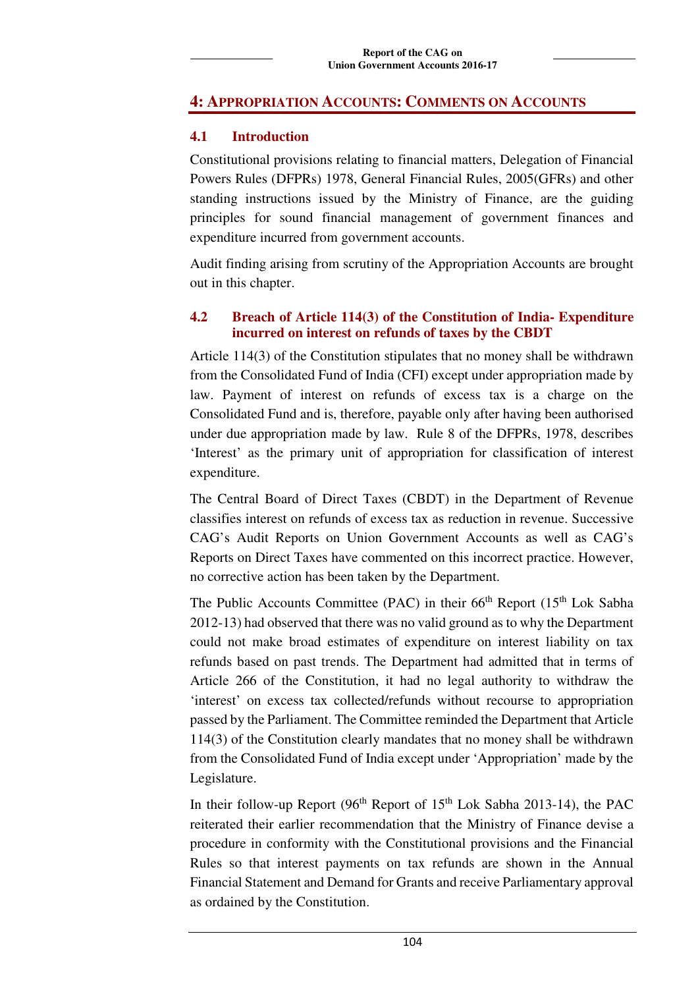# **4: APPROPRIATION ACCOUNTS: COMMENTS ON ACCOUNTS**

## **4.1 Introduction**

Constitutional provisions relating to financial matters, Delegation of Financial Powers Rules (DFPRs) 1978, General Financial Rules, 2005(GFRs) and other standing instructions issued by the Ministry of Finance, are the guiding principles for sound financial management of government finances and expenditure incurred from government accounts.

Audit finding arising from scrutiny of the Appropriation Accounts are brought out in this chapter.

# **4.2 Breach of Article 114(3) of the Constitution of India- Expenditure incurred on interest on refunds of taxes by the CBDT**

Article 114(3) of the Constitution stipulates that no money shall be withdrawn from the Consolidated Fund of India (CFI) except under appropriation made by law. Payment of interest on refunds of excess tax is a charge on the Consolidated Fund and is, therefore, payable only after having been authorised under due appropriation made by law. Rule 8 of the DFPRs, 1978, describes 'Interest' as the primary unit of appropriation for classification of interest expenditure.

The Central Board of Direct Taxes (CBDT) in the Department of Revenue classifies interest on refunds of excess tax as reduction in revenue. Successive CAG's Audit Reports on Union Government Accounts as well as CAG's Reports on Direct Taxes have commented on this incorrect practice. However, no corrective action has been taken by the Department.

The Public Accounts Committee (PAC) in their  $66<sup>th</sup>$  Report (15<sup>th</sup> Lok Sabha 2012-13) had observed that there was no valid ground as to why the Department could not make broad estimates of expenditure on interest liability on tax refunds based on past trends. The Department had admitted that in terms of Article 266 of the Constitution, it had no legal authority to withdraw the 'interest' on excess tax collected/refunds without recourse to appropriation passed by the Parliament. The Committee reminded the Department that Article 114(3) of the Constitution clearly mandates that no money shall be withdrawn from the Consolidated Fund of India except under 'Appropriation' made by the Legislature.

In their follow-up Report ( $96<sup>th</sup>$  Report of  $15<sup>th</sup>$  Lok Sabha 2013-14), the PAC reiterated their earlier recommendation that the Ministry of Finance devise a procedure in conformity with the Constitutional provisions and the Financial Rules so that interest payments on tax refunds are shown in the Annual Financial Statement and Demand for Grants and receive Parliamentary approval as ordained by the Constitution.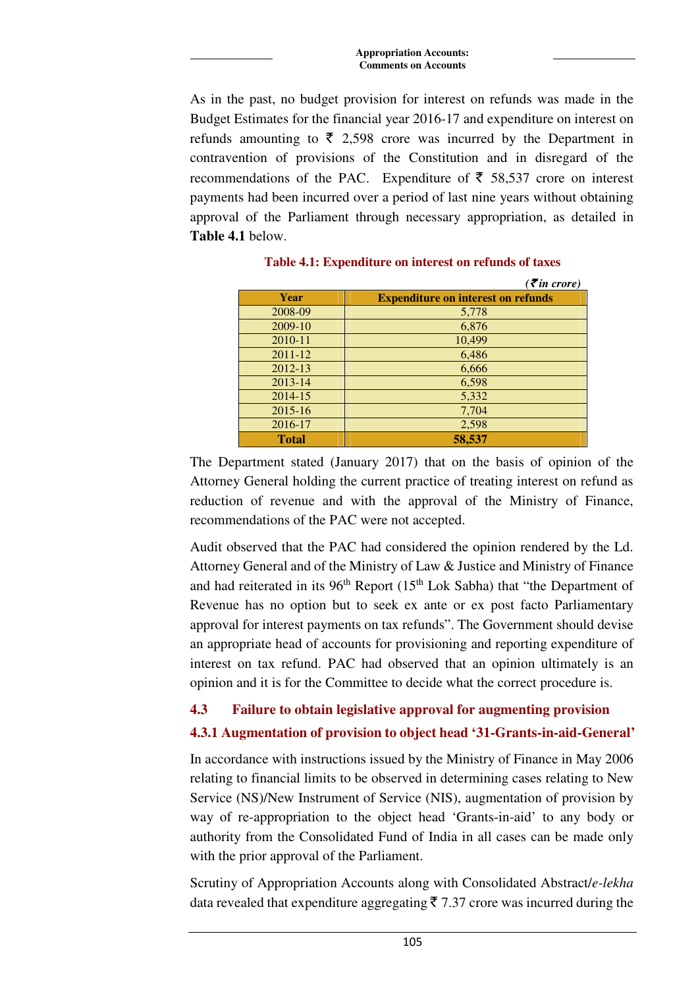As in the past, no budget provision for interest on refunds was made in the Budget Estimates for the financial year 2016-17 and expenditure on interest on refunds amounting to  $\bar{\tau}$  2,598 crore was incurred by the Department in contravention of provisions of the Constitution and in disregard of the recommendations of the PAC. Expenditure of  $\bar{\tau}$  58,537 crore on interest payments had been incurred over a period of last nine years without obtaining approval of the Parliament through necessary appropriation, as detailed in **Table 4.1** below.

|              | $( \bar{\mathbf{z}}$ in crore)            |
|--------------|-------------------------------------------|
| Year         | <b>Expenditure on interest on refunds</b> |
| 2008-09      | 5,778                                     |
| 2009-10      | 6,876                                     |
| 2010-11      | 10,499                                    |
| $2011 - 12$  | 6,486                                     |
| 2012-13      | 6,666                                     |
| $2013 - 14$  | 6,598                                     |
| 2014-15      | 5,332                                     |
| $2015 - 16$  | 7,704                                     |
| 2016-17      | 2,598                                     |
| <b>Total</b> | 58,537                                    |

**Table 4.1: Expenditure on interest on refunds of taxes** 

The Department stated (January 2017) that on the basis of opinion of the Attorney General holding the current practice of treating interest on refund as reduction of revenue and with the approval of the Ministry of Finance, recommendations of the PAC were not accepted.

Audit observed that the PAC had considered the opinion rendered by the Ld. Attorney General and of the Ministry of Law & Justice and Ministry of Finance and had reiterated in its  $96<sup>th</sup>$  Report (15<sup>th</sup> Lok Sabha) that "the Department of Revenue has no option but to seek ex ante or ex post facto Parliamentary approval for interest payments on tax refunds". The Government should devise an appropriate head of accounts for provisioning and reporting expenditure of interest on tax refund. PAC had observed that an opinion ultimately is an opinion and it is for the Committee to decide what the correct procedure is.

## **4.3 Failure to obtain legislative approval for augmenting provision**

## **4.3.1 Augmentation of provision to object head '31-Grants-in-aid-General'**

In accordance with instructions issued by the Ministry of Finance in May 2006 relating to financial limits to be observed in determining cases relating to New Service (NS)/New Instrument of Service (NIS), augmentation of provision by way of re-appropriation to the object head 'Grants-in-aid' to any body or authority from the Consolidated Fund of India in all cases can be made only with the prior approval of the Parliament.

Scrutiny of Appropriation Accounts along with Consolidated Abstract/*e-lekha* data revealed that expenditure aggregating  $\bar{\xi}$  7.37 crore was incurred during the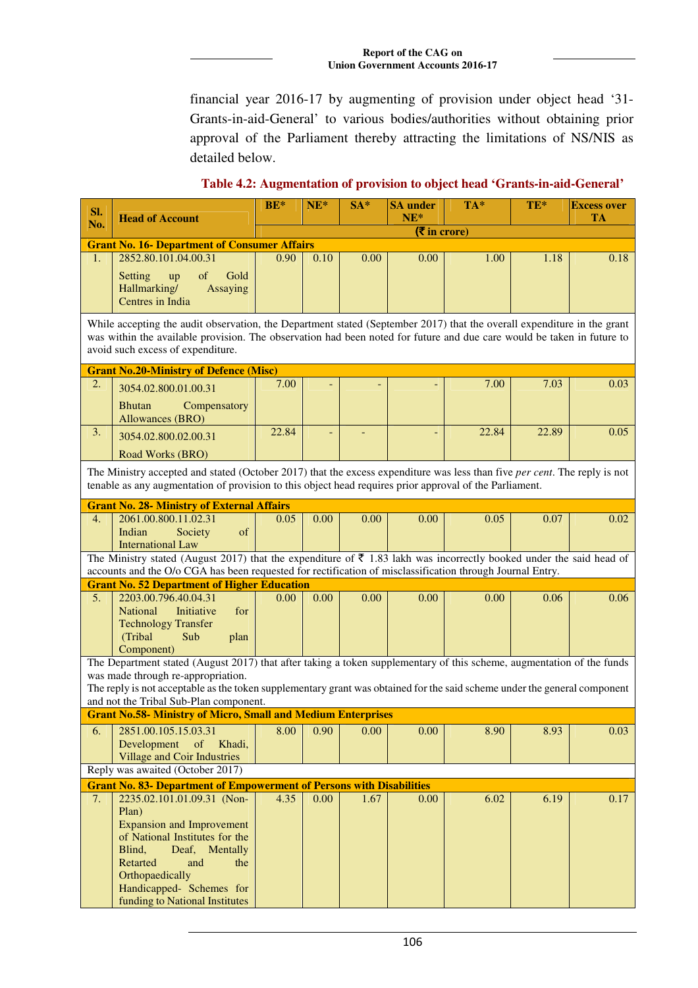financial year 2016-17 by augmenting of provision under object head '31- Grants-in-aid-General' to various bodies/authorities without obtaining prior approval of the Parliament thereby attracting the limitations of NS/NIS as detailed below.

**Sl. No. Head of Account BE\*** NE\* SA\* SA under **NE\* TA\* TE\* Excess over TA**  (` **in crore) Grant No. 16- Department of Consumer Affairs**  1. 2852.80.101.04.00.31 Setting up of Gold Hallmarking/ Assaying Centres in India  $0.90 \begin{array}{|c|c|c|c|c|c|} \hline 0.10 & 0.00 & 0.00 & 1.00 & 1.18 \hline \end{array}$  0.18 While accepting the audit observation, the Department stated (September 2017) that the overall expenditure in the grant was within the available provision. The observation had been noted for future and due care would be taken in future to avoid such excess of expenditure. **Grant No.20-Ministry of Defence (Misc)**  2. 3054.02.800.01.00.31 Bhutan Compensatory Allowances (BRO)  $7.00$  -  $7.00$   $7.03$  0.03  $3. \big| 3054.02.800.02.00.31$ Road Works (BRO)  $22.84$  -  $22.84$   $22.89$  0.05 The Ministry accepted and stated (October 2017) that the excess expenditure was less than five *per cent*. The reply is not tenable as any augmentation of provision to this object head requires prior approval of the Parliament. **Grant No. 28- Ministry of External Affairs**<br>4. 2061.00.800.11.02.31 0.05 4. 2061.00.800.11.02.31 Indian Society of International Law  $0.05 \begin{array}{|c|c|c|c|c|c|} \hline 0.00 & 0.00 & 0.00 & 0.05 & 0.07 & 0.02 \ \hline \end{array}$ The Ministry stated (August 2017) that the expenditure of  $\bar{\tau}$  1.83 lakh was incorrectly booked under the said head of accounts and the O/o CGA has been requested for rectification of misclassification through Journal Entry. **Grant No. 52 Department of Higher Education**<br>5. 2203.00.796.40.04.31 0.00 0.00 0.00 5. 2203.00.796.40.04.31 National Initiative for Technology Transfer (Tribal Sub plan Component)  $0.00 \begin{array}{|c|c|c|c|c|c|} \hline 0.00 & 0.00 & 0.00 & 0.06 \ \hline \end{array}$ The Department stated (August 2017) that after taking a token supplementary of this scheme, augmentation of the funds was made through re-appropriation. The reply is not acceptable as the token supplementary grant was obtained for the said scheme under the general component and not the Tribal Sub-Plan component. **Grant No.58- Ministry of Micro, Small and Medium Enterprises** 6. 2851.00.105.15.03.31 Development of Khadi, Village and Coir Industries 8.00 | 0.90 | 0.00 | 0.00 | 8.90 | 8.93 | 0.03 Reply was awaited (October 2017) **Grant No. 83- Department of Empowerment of Persons with Disabilities**  7. 2235.02.101.01.09.31 (Non-Plan) Expansion and Improvement of National Institutes for the Blind, Deaf, Mentally Retarted and the **Orthopaedically** Handicapped- Schemes for funding to National Institutes 4.35 | 0.00 | 1.67 | 0.00 | 6.02 | 6.19 | 0.17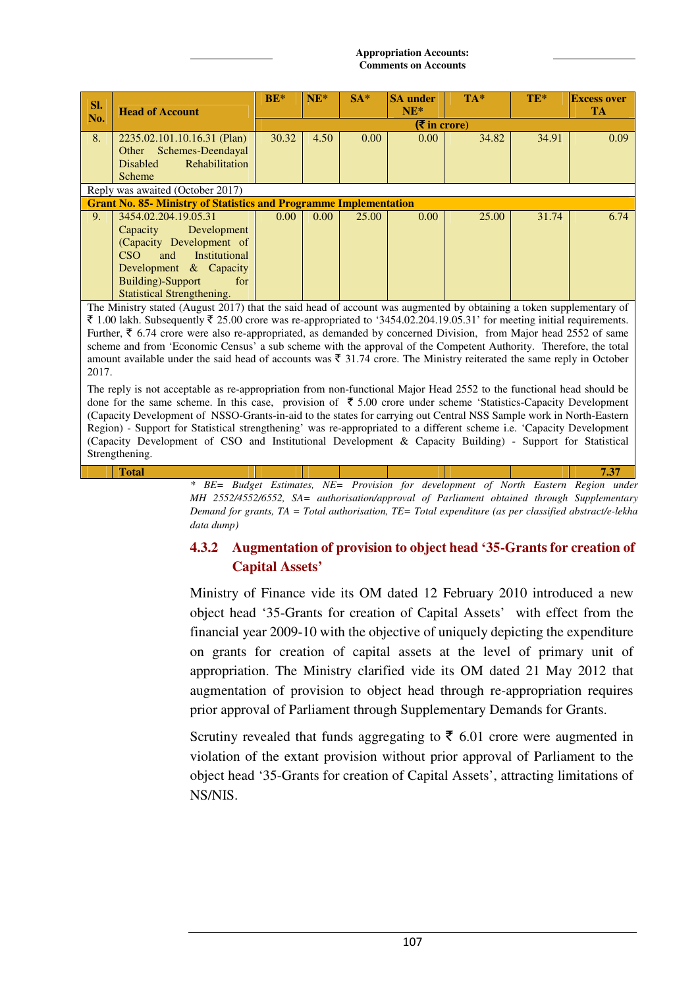| Sl. | <b>Head of Account</b>                                                                                                                                                                                                                                                                                                                                                                                                                                                                                                                                                                                                               | $BE*$ | $NE^*$ | $SA*$ | <b>SA</b> under<br>$NE^*$ | $TA*$ | $TE*$ | <b>Excess over</b><br><b>TA</b> |  |  |  |
|-----|--------------------------------------------------------------------------------------------------------------------------------------------------------------------------------------------------------------------------------------------------------------------------------------------------------------------------------------------------------------------------------------------------------------------------------------------------------------------------------------------------------------------------------------------------------------------------------------------------------------------------------------|-------|--------|-------|---------------------------|-------|-------|---------------------------------|--|--|--|
| No. |                                                                                                                                                                                                                                                                                                                                                                                                                                                                                                                                                                                                                                      |       |        |       | $(5 \infty)$              |       |       |                                 |  |  |  |
| 8.  | 2235.02.101.10.16.31 (Plan)<br>Other Schemes-Deendayal<br>Rehabilitation<br><b>Disabled</b><br>Scheme                                                                                                                                                                                                                                                                                                                                                                                                                                                                                                                                | 30.32 | 4.50   | 0.00  | 0.00                      | 34.82 | 34.91 | 0.09                            |  |  |  |
|     | Reply was awaited (October 2017)                                                                                                                                                                                                                                                                                                                                                                                                                                                                                                                                                                                                     |       |        |       |                           |       |       |                                 |  |  |  |
|     | <b>Grant No. 85- Ministry of Statistics and Programme Implementation</b>                                                                                                                                                                                                                                                                                                                                                                                                                                                                                                                                                             |       |        |       |                           |       |       |                                 |  |  |  |
| 9.  | 3454.02.204.19.05.31<br>Development<br>Capacity<br>(Capacity Development of<br>CSO<br>Institutional<br>and<br>Development & Capacity<br><b>Building</b> )-Support<br>for<br><b>Statistical Strengthening.</b>                                                                                                                                                                                                                                                                                                                                                                                                                        | 0.00  | 0.00   | 25.00 | 0.00                      | 25.00 | 31.74 | 6.74                            |  |  |  |
|     | The Ministry stated (August 2017) that the said head of account was augmented by obtaining a token supplementary of<br>₹ 1.00 lakh. Subsequently ₹ 25.00 crore was re-appropriated to '3454.02.204.19.05.31' for meeting initial requirements.<br>Further, ₹ 6.74 crore were also re-appropriated, as demanded by concerned Division, from Major head 2552 of same<br>scheme and from 'Economic Census' a sub scheme with the approval of the Competent Authority. Therefore, the total<br>amount available under the said head of accounts was $\bar{\tau}$ 31.74 crore. The Ministry reiterated the same reply in October<br>2017. |       |        |       |                           |       |       |                                 |  |  |  |

The reply is not acceptable as re-appropriation from non-functional Major Head 2552 to the functional head should be done for the same scheme. In this case, provision of  $\bar{\tau}$  5.00 crore under scheme 'Statistics-Capacity Development (Capacity Development of NSSO-Grants-in-aid to the states for carrying out Central NSS Sample work in North-Eastern Region) - Support for Statistical strengthening' was re-appropriated to a different scheme i.e. 'Capacity Development (Capacity Development of CSO and Institutional Development & Capacity Building) - Support for Statistical Strengthening.

**Total 7.37**  *\* BE= Budget Estimates, NE= Provision for development of North Eastern Region under MH 2552/4552/6552, SA= authorisation/approval of Parliament obtained through Supplementary Demand for grants, TA = Total authorisation, TE= Total expenditure (as per classified abstract/e-lekha data dump)* 

# **4.3.2 Augmentation of provision to object head '35-Grants for creation of Capital Assets'**

Ministry of Finance vide its OM dated 12 February 2010 introduced a new object head '35-Grants for creation of Capital Assets' with effect from the financial year 2009-10 with the objective of uniquely depicting the expenditure on grants for creation of capital assets at the level of primary unit of appropriation. The Ministry clarified vide its OM dated 21 May 2012 that augmentation of provision to object head through re-appropriation requires prior approval of Parliament through Supplementary Demands for Grants.

Scrutiny revealed that funds aggregating to  $\bar{\tau}$  6.01 crore were augmented in violation of the extant provision without prior approval of Parliament to the object head '35-Grants for creation of Capital Assets', attracting limitations of NS/NIS.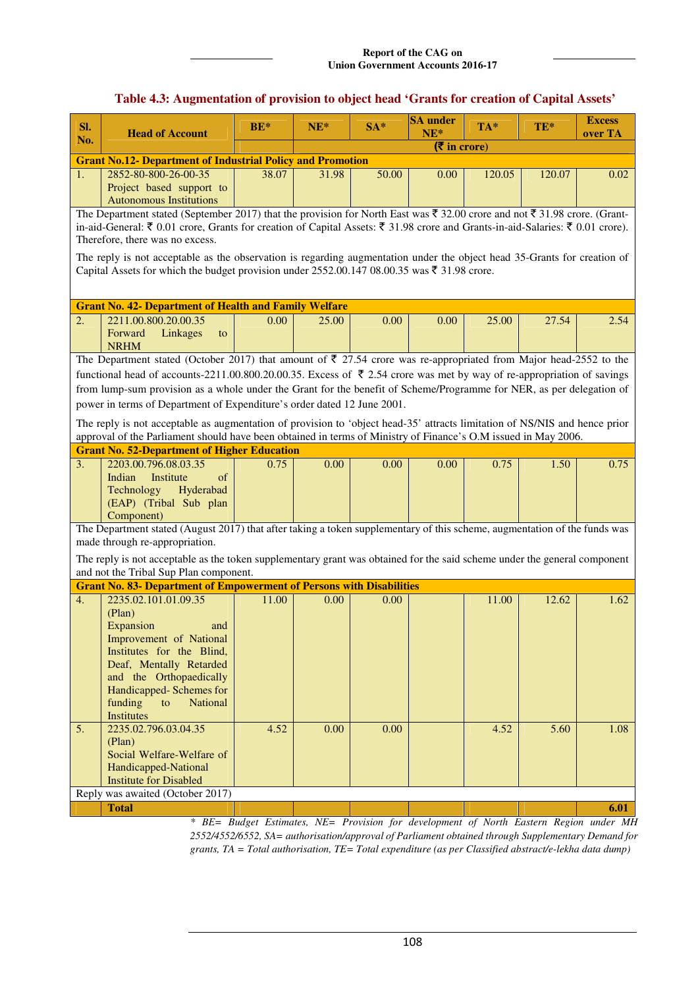### **Table 4.3: Augmentation of provision to object head 'Grants for creation of Capital Assets'**

| SI.              | <b>Head of Account</b>                                                                                                                                              | $BE*$                                                                                  | $NE^*$ | $SA*$ | <b>SA</b> under<br>$NE*$ | $TA^*$ | TE*    | <b>Excess</b><br>over TA |
|------------------|---------------------------------------------------------------------------------------------------------------------------------------------------------------------|----------------------------------------------------------------------------------------|--------|-------|--------------------------|--------|--------|--------------------------|
| No.              |                                                                                                                                                                     |                                                                                        |        |       | $(5 \infty)$             |        |        |                          |
|                  | <b>Grant No.12- Department of Industrial Policy and Promotion</b>                                                                                                   |                                                                                        |        |       |                          |        |        |                          |
| 1.               | 2852-80-800-26-00-35<br>Project based support to<br><b>Autonomous Institutions</b>                                                                                  | 38.07                                                                                  | 31.98  | 50.00 | 0.00                     | 120.05 | 120.07 | 0.02                     |
|                  | The Department stated (September 2017) that the provision for North East was $\bar{\xi}$ 32.00 crore and not $\bar{\xi}$ 31.98 crore. (Grant-                       |                                                                                        |        |       |                          |        |        |                          |
|                  | in-aid-General: ₹ 0.01 crore, Grants for creation of Capital Assets: ₹ 31.98 crore and Grants-in-aid-Salaries: ₹ 0.01 crore).<br>Therefore, there was no excess.    |                                                                                        |        |       |                          |        |        |                          |
|                  | The reply is not acceptable as the observation is regarding augmentation under the object head 35-Grants for creation of                                            |                                                                                        |        |       |                          |        |        |                          |
|                  | Capital Assets for which the budget provision under 2552.00.147 08.00.35 was $\bar{\tau}$ 31.98 crore.                                                              |                                                                                        |        |       |                          |        |        |                          |
|                  | <b>Grant No. 42- Department of Health and Family Welfare</b>                                                                                                        |                                                                                        |        |       |                          |        |        |                          |
| 2.               | 2211.00.800.20.00.35                                                                                                                                                | 0.00                                                                                   | 25.00  | 0.00  | 0.00                     | 25.00  | 27.54  | 2.54                     |
|                  | Forward<br>Linkages<br>to<br><b>NRHM</b>                                                                                                                            |                                                                                        |        |       |                          |        |        |                          |
|                  | The Department stated (October 2017) that amount of $\bar{\tau}$ 27.54 crore was re-appropriated from Major head-2552 to the                                        |                                                                                        |        |       |                          |        |        |                          |
|                  | functional head of accounts-2211.00.800.20.00.35. Excess of ₹ 2.54 crore was met by way of re-appropriation of savings                                              |                                                                                        |        |       |                          |        |        |                          |
|                  | from lump-sum provision as a whole under the Grant for the benefit of Scheme/Programme for NER, as per delegation of                                                |                                                                                        |        |       |                          |        |        |                          |
|                  | power in terms of Department of Expenditure's order dated 12 June 2001.                                                                                             |                                                                                        |        |       |                          |        |        |                          |
|                  | The reply is not acceptable as augmentation of provision to 'object head-35' attracts limitation of NS/NIS and hence prior                                          |                                                                                        |        |       |                          |        |        |                          |
|                  | approval of the Parliament should have been obtained in terms of Ministry of Finance's O.M issued in May 2006.                                                      |                                                                                        |        |       |                          |        |        |                          |
|                  | <b>Grant No. 52-Department of Higher Education</b>                                                                                                                  |                                                                                        |        |       |                          |        |        |                          |
| 3.               | 2203.00.796.08.03.35<br>Indian<br>Institute<br>of                                                                                                                   | 0.75                                                                                   | 0.00   | 0.00  | 0.00                     | 0.75   | 1.50   | 0.75                     |
|                  | Hyderabad<br>Technology                                                                                                                                             |                                                                                        |        |       |                          |        |        |                          |
|                  | (EAP) (Tribal Sub plan                                                                                                                                              |                                                                                        |        |       |                          |        |        |                          |
|                  | Component)                                                                                                                                                          |                                                                                        |        |       |                          |        |        |                          |
|                  | The Department stated (August 2017) that after taking a token supplementary of this scheme, augmentation of the funds was                                           |                                                                                        |        |       |                          |        |        |                          |
|                  | made through re-appropriation.                                                                                                                                      |                                                                                        |        |       |                          |        |        |                          |
|                  | The reply is not acceptable as the token supplementary grant was obtained for the said scheme under the general component<br>and not the Tribal Sup Plan component. |                                                                                        |        |       |                          |        |        |                          |
|                  | <b>Grant No. 83- Department of Empowerment of Persons with Disabilities</b>                                                                                         |                                                                                        |        |       |                          |        |        |                          |
| $\overline{4}$ . | 2235.02.101.01.09.35                                                                                                                                                | 11.00                                                                                  | 0.00   | 0.00  |                          | 11.00  | 12.62  | 1.62                     |
|                  | (Plan)                                                                                                                                                              |                                                                                        |        |       |                          |        |        |                          |
|                  | Expansion<br>and                                                                                                                                                    |                                                                                        |        |       |                          |        |        |                          |
|                  | Improvement of National<br>Institutes for the Blind,                                                                                                                |                                                                                        |        |       |                          |        |        |                          |
|                  | Deaf, Mentally Retarded                                                                                                                                             |                                                                                        |        |       |                          |        |        |                          |
|                  | and the Orthopaedically                                                                                                                                             |                                                                                        |        |       |                          |        |        |                          |
|                  | Handicapped-Schemes for                                                                                                                                             |                                                                                        |        |       |                          |        |        |                          |
|                  | funding<br>to<br><b>National</b>                                                                                                                                    |                                                                                        |        |       |                          |        |        |                          |
| 5.               | Institutes<br>2235.02.796.03.04.35                                                                                                                                  | 4.52                                                                                   | 0.00   | 0.00  |                          | 4.52   | 5.60   | 1.08                     |
|                  | (Plan)                                                                                                                                                              |                                                                                        |        |       |                          |        |        |                          |
|                  | Social Welfare-Welfare of                                                                                                                                           |                                                                                        |        |       |                          |        |        |                          |
|                  | Handicapped-National                                                                                                                                                |                                                                                        |        |       |                          |        |        |                          |
|                  | <b>Institute for Disabled</b>                                                                                                                                       |                                                                                        |        |       |                          |        |        |                          |
|                  | Reply was awaited (October 2017)<br><b>Total</b>                                                                                                                    |                                                                                        |        |       |                          |        |        | 6.01                     |
|                  |                                                                                                                                                                     | * BE= Budget Estimates, NE= Provision for development of North Eastern Region under MH |        |       |                          |        |        |                          |

*\* BE= Budget Estimates, NE= Provision for development of North Eastern Region under MH 2552/4552/6552, SA= authorisation/approval of Parliament obtained through Supplementary Demand for grants, TA = Total authorisation, TE= Total expenditure (as per Classified abstract/e-lekha data dump)*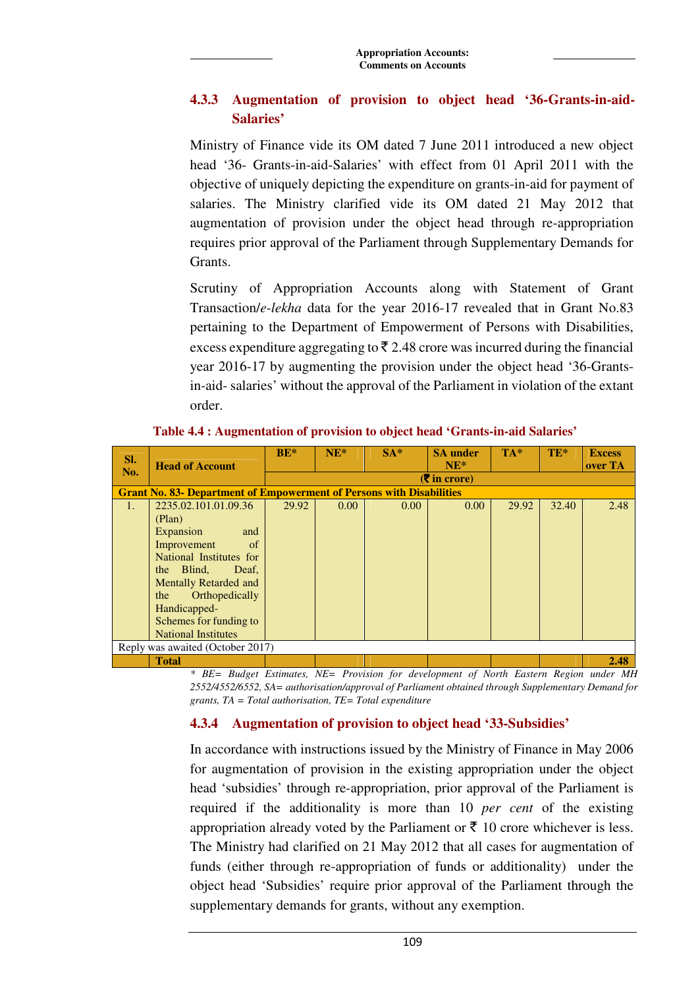# **4.3.3 Augmentation of provision to object head '36-Grants-in-aid-Salaries'**

Ministry of Finance vide its OM dated 7 June 2011 introduced a new object head '36- Grants-in-aid-Salaries' with effect from 01 April 2011 with the objective of uniquely depicting the expenditure on grants-in-aid for payment of salaries. The Ministry clarified vide its OM dated 21 May 2012 that augmentation of provision under the object head through re-appropriation requires prior approval of the Parliament through Supplementary Demands for Grants.

Scrutiny of Appropriation Accounts along with Statement of Grant Transaction/*e-lekha* data for the year 2016-17 revealed that in Grant No.83 pertaining to the Department of Empowerment of Persons with Disabilities, excess expenditure aggregating to  $\bar{\xi}$  2.48 crore was incurred during the financial year 2016-17 by augmenting the provision under the object head '36-Grantsin-aid- salaries' without the approval of the Parliament in violation of the extant order.

| SI. | <b>Head of Account</b>                                                      | $BE*$ | $NE^*$                                        | $SA*$ | <b>SA</b> under<br>$NE^*$ | $TA^*$ | TE*   | <b>Excess</b><br>over TA |  |  |  |
|-----|-----------------------------------------------------------------------------|-------|-----------------------------------------------|-------|---------------------------|--------|-------|--------------------------|--|--|--|
| No. |                                                                             |       | $(\bar{\bar{\mathbf{\mathsf{z}}}})$ in crore) |       |                           |        |       |                          |  |  |  |
|     | <b>Grant No. 83- Department of Empowerment of Persons with Disabilities</b> |       |                                               |       |                           |        |       |                          |  |  |  |
| 1.  | 2235.02.101.01.09.36                                                        | 29.92 | 0.00                                          | 0.00  | 0.00                      | 29.92  | 32.40 | 2.48                     |  |  |  |
|     | (Plan)                                                                      |       |                                               |       |                           |        |       |                          |  |  |  |
|     | Expansion<br>and                                                            |       |                                               |       |                           |        |       |                          |  |  |  |
|     | Improvement<br>of                                                           |       |                                               |       |                           |        |       |                          |  |  |  |
|     | National Institutes for                                                     |       |                                               |       |                           |        |       |                          |  |  |  |
|     | the Blind,<br>Deaf,                                                         |       |                                               |       |                           |        |       |                          |  |  |  |
|     | <b>Mentally Retarded and</b>                                                |       |                                               |       |                           |        |       |                          |  |  |  |
|     | Orthopedically<br>the                                                       |       |                                               |       |                           |        |       |                          |  |  |  |
|     | Handicapped-                                                                |       |                                               |       |                           |        |       |                          |  |  |  |
|     | Schemes for funding to                                                      |       |                                               |       |                           |        |       |                          |  |  |  |
|     | <b>National Institutes</b>                                                  |       |                                               |       |                           |        |       |                          |  |  |  |
|     | Reply was awaited (October 2017)                                            |       |                                               |       |                           |        |       |                          |  |  |  |
|     | <b>Total</b>                                                                |       |                                               |       |                           |        |       | 2.48                     |  |  |  |

**Table 4.4 : Augmentation of provision to object head 'Grants-in-aid Salaries'** 

*\* BE= Budget Estimates, NE= Provision for development of North Eastern Region under MH 2552/4552/6552, SA= authorisation/approval of Parliament obtained through Supplementary Demand for grants, TA = Total authorisation, TE= Total expenditure* 

# **4.3.4 Augmentation of provision to object head '33-Subsidies'**

In accordance with instructions issued by the Ministry of Finance in May 2006 for augmentation of provision in the existing appropriation under the object head 'subsidies' through re-appropriation, prior approval of the Parliament is required if the additionality is more than 10 *per cent* of the existing appropriation already voted by the Parliament or  $\bar{\tau}$  10 crore whichever is less. The Ministry had clarified on 21 May 2012 that all cases for augmentation of funds (either through re-appropriation of funds or additionality) under the object head 'Subsidies' require prior approval of the Parliament through the supplementary demands for grants, without any exemption.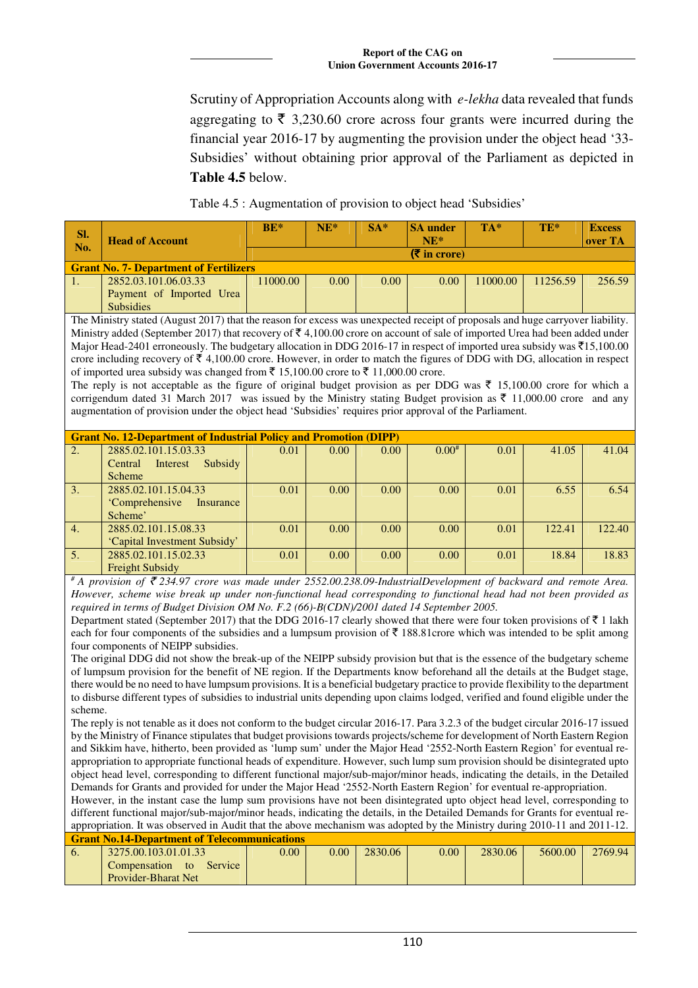Scrutiny of Appropriation Accounts along with *e-lekha* data revealed that funds aggregating to  $\bar{\tau}$  3,230.60 crore across four grants were incurred during the financial year 2016-17 by augmenting the provision under the object head '33- Subsidies' without obtaining prior approval of the Parliament as depicted in **Table 4.5** below.

Table 4.5 : Augmentation of provision to object head 'Subsidies'

| SI.<br>$\blacksquare$ No. | <b>Head of Account</b>                        | $BE*$                  | $NE*$ | $SA*$ | <b>SA</b> under<br>$NE^*$ | $TA*$    | $TE*$    | <b>Excess</b><br>over TA |  |  |
|---------------------------|-----------------------------------------------|------------------------|-------|-------|---------------------------|----------|----------|--------------------------|--|--|
|                           |                                               | $(5 \infty)$ in crore) |       |       |                           |          |          |                          |  |  |
|                           | <b>Grant No. 7- Department of Fertilizers</b> |                        |       |       |                           |          |          |                          |  |  |
| $\blacksquare$            | 2852.03.101.06.03.33                          | 1000.00                | 0.00  | 0.00  | 0.00                      | 11000.00 | 11256.59 | 256.59                   |  |  |
|                           | Payment of Imported Urea                      |                        |       |       |                           |          |          |                          |  |  |
|                           | <b>Subsidies</b>                              |                        |       |       |                           |          |          |                          |  |  |

The Ministry stated (August 2017) that the reason for excess was unexpected receipt of proposals and huge carryover liability. Ministry added (September 2017) that recovery of  $\bar{\tau}$  4,100.00 crore on account of sale of imported Urea had been added under Major Head-2401 erroneously. The budgetary allocation in DDG 2016-17 in respect of imported urea subsidy was  $\overline{515,100.00}$ crore including recovery of  $\bar{\tau}$  4,100.00 crore. However, in order to match the figures of DDG with DG, allocation in respect of imported urea subsidy was changed from  $\bar{\tau}$  15,100.00 crore to  $\bar{\tau}$  11,000.00 crore.

The reply is not acceptable as the figure of original budget provision as per DDG was  $\bar{\tau}$  15,100.00 crore for which a corrigendum dated 31 March 2017 was issued by the Ministry stating Budget provision as  $\bar{\tau}$  11,000.00 crore and any augmentation of provision under the object head 'Subsidies' requires prior approval of the Parliament.

|    | <b>Grant No. 12-Department of Industrial Policy and Promotion (DIPP)</b> |      |                   |      |            |      |        |        |  |  |  |
|----|--------------------------------------------------------------------------|------|-------------------|------|------------|------|--------|--------|--|--|--|
| 2. | 2885.02.101.15.03.33                                                     | 0.01 | 0.00 <sub>1</sub> | 0.00 | $0.00^{#}$ | 0.01 | 41.05  | 41.04  |  |  |  |
|    | Interest<br>Subsidy<br>Central                                           |      |                   |      |            |      |        |        |  |  |  |
|    | Scheme                                                                   |      |                   |      |            |      |        |        |  |  |  |
| 3. | 2885.02.101.15.04.33                                                     | 0.01 | 0.00              | 0.00 | 0.00       | 0.01 | 6.55   | 6.54   |  |  |  |
|    | 'Comprehensive<br>Insurance                                              |      |                   |      |            |      |        |        |  |  |  |
|    | Scheme'                                                                  |      |                   |      |            |      |        |        |  |  |  |
| 4. | 2885.02.101.15.08.33                                                     | 0.01 | 0.00              | 0.00 | 0.00       | 0.01 | 122.41 | 122.40 |  |  |  |
|    | 'Capital Investment Subsidy'                                             |      |                   |      |            |      |        |        |  |  |  |
| 5. | 2885.02.101.15.02.33                                                     | 0.01 | 0.00              | 0.00 | 0.00       | 0.01 | 18.84  | 18.83  |  |  |  |
|    | <b>Freight Subsidy</b>                                                   |      |                   |      |            |      |        |        |  |  |  |

*# A provision of* ` *234.97 crore was made under 2552.00.238.09-IndustrialDevelopment of backward and remote Area. However, scheme wise break up under non-functional head corresponding to functional head had not been provided as required in terms of Budget Division OM No. F.2 (66)-B(CDN)/2001 dated 14 September 2005.* 

Department stated (September 2017) that the DDG 2016-17 clearly showed that there were four token provisions of  $\bar{\tau}$  1 lakh each for four components of the subsidies and a lumpsum provision of  $\bar{\tau}$  188.81crore which was intended to be split among four components of NEIPP subsidies.

The original DDG did not show the break-up of the NEIPP subsidy provision but that is the essence of the budgetary scheme of lumpsum provision for the benefit of NE region. If the Departments know beforehand all the details at the Budget stage, there would be no need to have lumpsum provisions. It is a beneficial budgetary practice to provide flexibility to the department to disburse different types of subsidies to industrial units depending upon claims lodged, verified and found eligible under the scheme.

The reply is not tenable as it does not conform to the budget circular 2016-17. Para 3.2.3 of the budget circular 2016-17 issued by the Ministry of Finance stipulates that budget provisions towards projects/scheme for development of North Eastern Region and Sikkim have, hitherto, been provided as 'lump sum' under the Major Head '2552-North Eastern Region' for eventual reappropriation to appropriate functional heads of expenditure. However, such lump sum provision should be disintegrated upto object head level, corresponding to different functional major/sub-major/minor heads, indicating the details, in the Detailed Demands for Grants and provided for under the Major Head '2552-North Eastern Region' for eventual re-appropriation.

However, in the instant case the lump sum provisions have not been disintegrated upto object head level, corresponding to different functional major/sub-major/minor heads, indicating the details, in the Detailed Demands for Grants for eventual reappropriation. It was observed in Audit that the above mechanism was adopted by the Ministry during 2010-11 and 2011-12. **Grant No.14-Department of Telecommunications** 

|    | <u>siain symmetriällen on kuvunnan automan </u> |      |                |         |      |         |         |         |  |  |  |  |
|----|-------------------------------------------------|------|----------------|---------|------|---------|---------|---------|--|--|--|--|
| v. | 3275.00.103.01.01.33                            | 0.00 | $0.00^{\circ}$ | 2830.06 | 0.00 | 2830.06 | 5600.00 | 2769.94 |  |  |  |  |
|    | Service<br>Compensation<br>to                   |      |                |         |      |         |         |         |  |  |  |  |
|    | <b>Provider-Bharat Net</b>                      |      |                |         |      |         |         |         |  |  |  |  |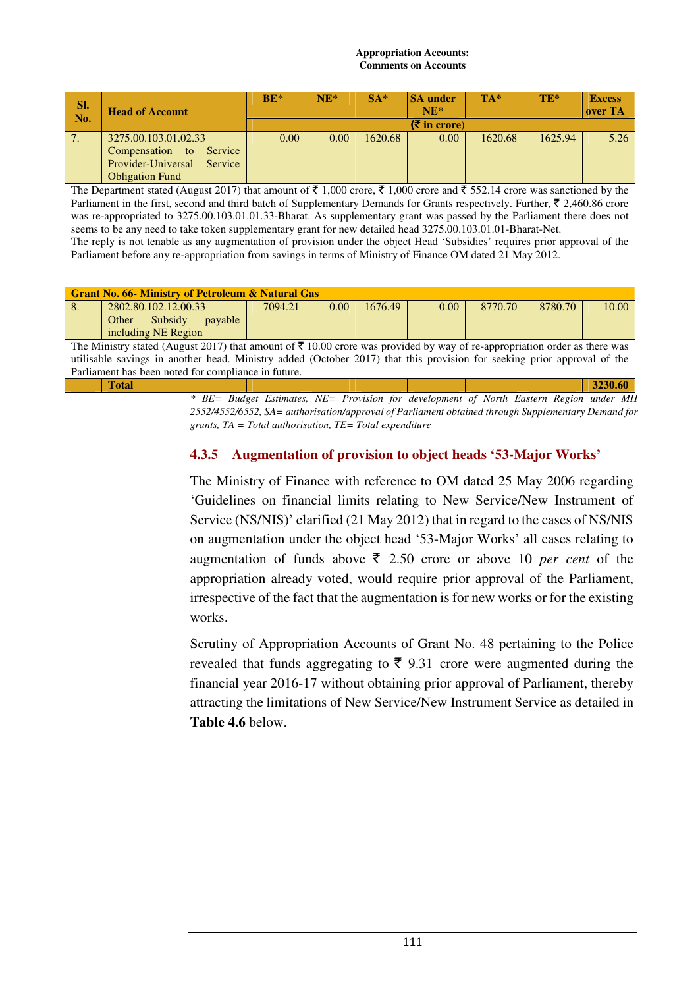| SI.            | <b>Head of Account</b>                                                                                                                                                                                                                                                                                                                                                                                                                                                                                                                                                                                                                                                                                                                                                                | $BE*$   | $NE^*$ | $SA*$   | <b>SA</b> under<br>$NE*$ | $TA*$   | TE*     | <b>Excess</b><br>over TA |  |  |
|----------------|---------------------------------------------------------------------------------------------------------------------------------------------------------------------------------------------------------------------------------------------------------------------------------------------------------------------------------------------------------------------------------------------------------------------------------------------------------------------------------------------------------------------------------------------------------------------------------------------------------------------------------------------------------------------------------------------------------------------------------------------------------------------------------------|---------|--------|---------|--------------------------|---------|---------|--------------------------|--|--|
| No.            |                                                                                                                                                                                                                                                                                                                                                                                                                                                                                                                                                                                                                                                                                                                                                                                       |         |        |         | $(5$ in crore)           |         |         |                          |  |  |
| 7 <sub>1</sub> | 3275.00.103.01.02.33<br>Compensation to<br>Service<br>Provider-Universal<br>Service<br><b>Obligation Fund</b>                                                                                                                                                                                                                                                                                                                                                                                                                                                                                                                                                                                                                                                                         | 0.00    | 0.00   | 1620.68 | 0.00                     | 1620.68 | 1625.94 | 5.26                     |  |  |
|                | The Department stated (August 2017) that amount of $\bar{\tau}$ 1,000 croe, $\bar{\tau}$ 1,000 crore and $\bar{\tau}$ 552.14 crore was sanctioned by the<br>Parliament in the first, second and third batch of Supplementary Demands for Grants respectively. Further, $\bar{\tau}$ 2,460.86 crore<br>was re-appropriated to 3275.00.103.01.01.33-Bharat. As supplementary grant was passed by the Parliament there does not<br>seems to be any need to take token supplementary grant for new detailed head 3275.00.103.01.01-Bharat-Net.<br>The reply is not tenable as any augmentation of provision under the object Head 'Subsidies' requires prior approval of the<br>Parliament before any re-appropriation from savings in terms of Ministry of Finance OM dated 21 May 2012. |         |        |         |                          |         |         |                          |  |  |
|                | <b>Grant No. 66- Ministry of Petroleum &amp; Natural Gas</b>                                                                                                                                                                                                                                                                                                                                                                                                                                                                                                                                                                                                                                                                                                                          |         |        |         |                          |         |         |                          |  |  |
| 8.             | 2802.80.102.12.00.33<br>Other<br>Subsidy<br>payable<br>including NE Region                                                                                                                                                                                                                                                                                                                                                                                                                                                                                                                                                                                                                                                                                                            | 7094.21 | 0.00   | 1676.49 | 0.00                     | 8770.70 | 8780.70 | 10.00                    |  |  |
|                | The Ministry stated (August 2017) that amount of $\bar{\tau}$ 10.00 crore was provided by way of re-appropriation order as there was<br>utilisable savings in another head. Ministry added (October 2017) that this provision for seeking prior approval of the<br>Parliament has been noted for compliance in future.                                                                                                                                                                                                                                                                                                                                                                                                                                                                |         |        |         |                          |         |         |                          |  |  |
|                | <b>Total</b>                                                                                                                                                                                                                                                                                                                                                                                                                                                                                                                                                                                                                                                                                                                                                                          |         |        |         |                          |         |         | 3230.60                  |  |  |

*\* BE= Budget Estimates, NE= Provision for development of North Eastern Region under MH 2552/4552/6552, SA= authorisation/approval of Parliament obtained through Supplementary Demand for grants, TA = Total authorisation, TE= Total expenditure* 

# **4.3.5 Augmentation of provision to object heads '53-Major Works'**

The Ministry of Finance with reference to OM dated 25 May 2006 regarding 'Guidelines on financial limits relating to New Service/New Instrument of Service (NS/NIS)' clarified (21 May 2012) that in regard to the cases of NS/NIS on augmentation under the object head '53-Major Works' all cases relating to augmentation of funds above  $\bar{\tau}$  2.50 crore or above 10 *per cent* of the appropriation already voted, would require prior approval of the Parliament, irrespective of the fact that the augmentation is for new works or for the existing works.

Scrutiny of Appropriation Accounts of Grant No. 48 pertaining to the Police revealed that funds aggregating to  $\bar{\tau}$  9.31 crore were augmented during the financial year 2016-17 without obtaining prior approval of Parliament, thereby attracting the limitations of New Service/New Instrument Service as detailed in **Table 4.6** below.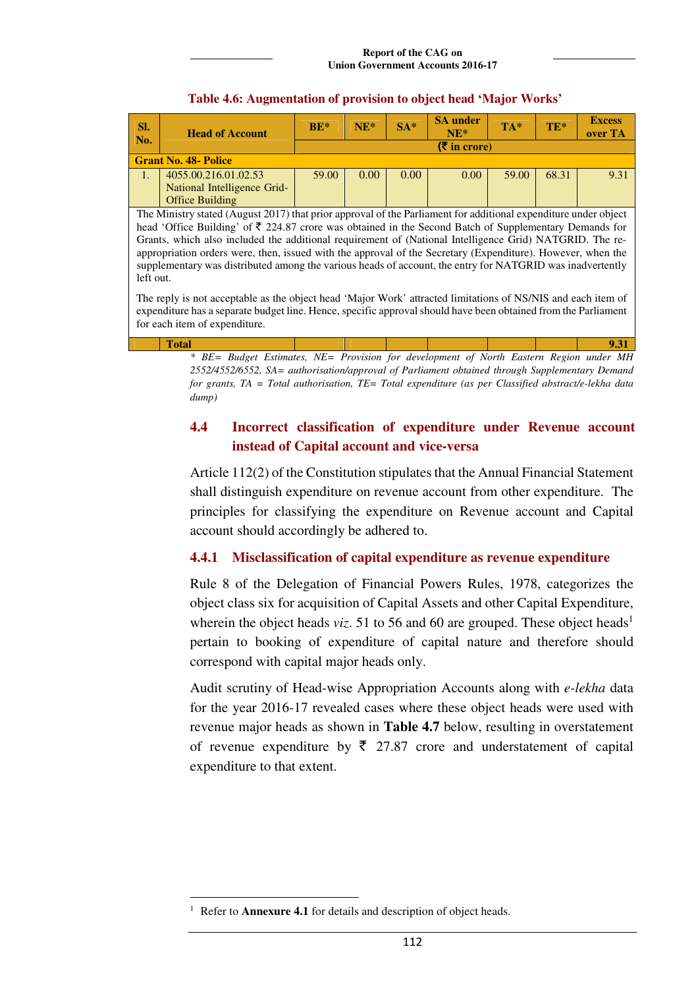| SI.<br>No.                                                                                                      | <b>Head of Account</b>                                                                                            | $BE*$        | $NE*$ | $SA*$ | <b>SA</b> under<br>$NE*$ | TA*   | TE*   | <b>Excess</b><br>over TA |  |  |
|-----------------------------------------------------------------------------------------------------------------|-------------------------------------------------------------------------------------------------------------------|--------------|-------|-------|--------------------------|-------|-------|--------------------------|--|--|
|                                                                                                                 |                                                                                                                   | $(5 \infty)$ |       |       |                          |       |       |                          |  |  |
|                                                                                                                 | <b>Grant No. 48- Police</b>                                                                                       |              |       |       |                          |       |       |                          |  |  |
| $\mathbf{1}$ .                                                                                                  | 4055.00.216.01.02.53                                                                                              | 59.00        | 0.00  | 0.00  | 0.00                     | 59.00 | 68.31 | 9.31                     |  |  |
|                                                                                                                 | National Intelligence Grid-                                                                                       |              |       |       |                          |       |       |                          |  |  |
|                                                                                                                 | <b>Office Building</b>                                                                                            |              |       |       |                          |       |       |                          |  |  |
| The Ministry stated (August 2017) that prior approval of the Parliament for additional expenditure under object |                                                                                                                   |              |       |       |                          |       |       |                          |  |  |
|                                                                                                                 | head 'Office Building' of $\bar{\tau}$ 224.87 crore was obtained in the Second Batch of Supplementary Demands for |              |       |       |                          |       |       |                          |  |  |
|                                                                                                                 | Grants, which also included the additional requirement of (National Intelligence Grid) NATGRID. The re-           |              |       |       |                          |       |       |                          |  |  |
|                                                                                                                 | appropriation orders were, then, issued with the approval of the Secretary (Expenditure). However, when the       |              |       |       |                          |       |       |                          |  |  |
|                                                                                                                 | supplementary was distributed among the various heads of account, the entry for NATGRID was inadvertently         |              |       |       |                          |       |       |                          |  |  |
|                                                                                                                 | left out.                                                                                                         |              |       |       |                          |       |       |                          |  |  |
| The reply is not acceptable as the object head 'Major Work' attracted limitations of NS/NIS and each item of    |                                                                                                                   |              |       |       |                          |       |       |                          |  |  |
|                                                                                                                 |                                                                                                                   |              |       |       |                          |       |       |                          |  |  |
|                                                                                                                 | expenditure has a separate budget line. Hence, specific approval should have been obtained from the Parliament    |              |       |       |                          |       |       |                          |  |  |

### **Table 4.6: Augmentation of provision to object head 'Major Works'**

for each item of expenditure. **Total 9.31**  *\* BE= Budget Estimates, NE= Provision for development of North Eastern Region under MH 2552/4552/6552, SA= authorisation/approval of Parliament obtained through Supplementary Demand for grants, TA = Total authorisation, TE= Total expenditure (as per Classified abstract/e-lekha data* 

*dump)* 

 $\overline{a}$ 

# **4.4 Incorrect classification of expenditure under Revenue account instead of Capital account and vice-versa**

Article 112(2) of the Constitution stipulates that the Annual Financial Statement shall distinguish expenditure on revenue account from other expenditure. The principles for classifying the expenditure on Revenue account and Capital account should accordingly be adhered to.

## **4.4.1 Misclassification of capital expenditure as revenue expenditure**

Rule 8 of the Delegation of Financial Powers Rules, 1978, categorizes the object class six for acquisition of Capital Assets and other Capital Expenditure, wherein the object heads *viz*. 51 to 56 and 60 are grouped. These object heads<sup>1</sup> pertain to booking of expenditure of capital nature and therefore should correspond with capital major heads only.

Audit scrutiny of Head-wise Appropriation Accounts along with *e-lekha* data for the year 2016-17 revealed cases where these object heads were used with revenue major heads as shown in **Table 4.7** below, resulting in overstatement of revenue expenditure by  $\bar{\tau}$  27.87 crore and understatement of capital expenditure to that extent.

<sup>1</sup> Refer to **Annexure 4.1** for details and description of object heads.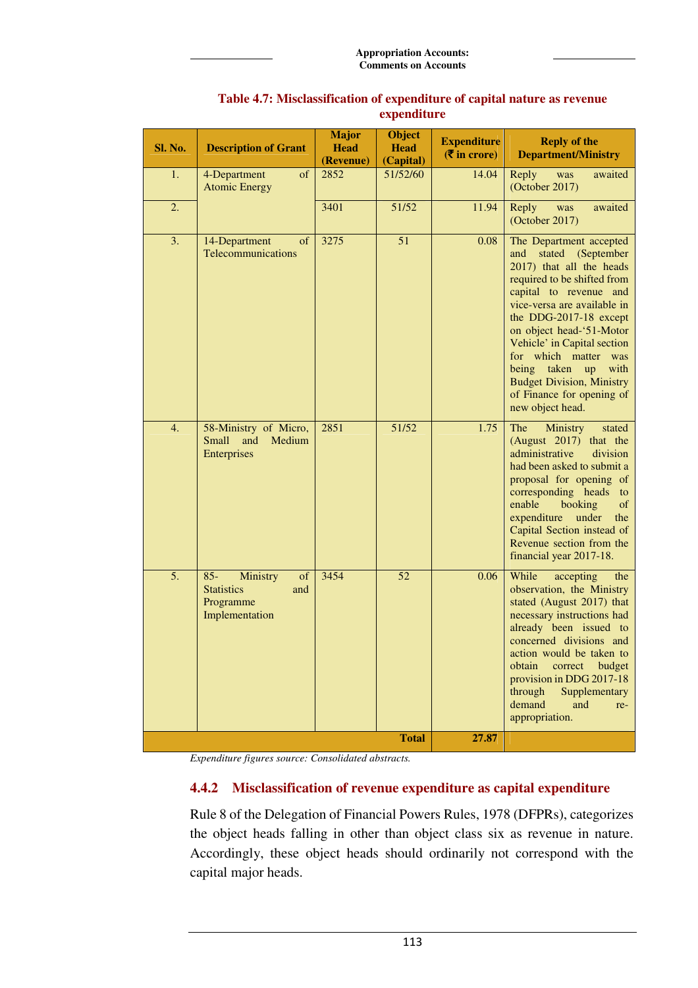| <b>Sl. No.</b> | <b>Description of Grant</b>                                                         | <b>Major</b><br><b>Head</b><br>(Revenue) | <b>Object</b><br><b>Head</b><br>(Capital) | <b>Expenditure</b><br>$(\overline{\mathbf{\overline{z}}}$ in crore) | <b>Reply of the</b><br><b>Department/Ministry</b>                                                                                                                                                                                                                                                                                                                                                                   |
|----------------|-------------------------------------------------------------------------------------|------------------------------------------|-------------------------------------------|---------------------------------------------------------------------|---------------------------------------------------------------------------------------------------------------------------------------------------------------------------------------------------------------------------------------------------------------------------------------------------------------------------------------------------------------------------------------------------------------------|
| 1.             | 4-Department<br>of<br><b>Atomic Energy</b>                                          | 2852                                     | 51/52/60                                  | 14.04                                                               | Reply<br>was<br>awaited<br>(October 2017)                                                                                                                                                                                                                                                                                                                                                                           |
| 2.             |                                                                                     | 3401                                     | 51/52                                     | 11.94                                                               | Reply<br>awaited<br>was<br>(October 2017)                                                                                                                                                                                                                                                                                                                                                                           |
| 3.             | of<br>14-Department<br>Telecommunications                                           | 3275                                     | 51                                        | 0.08                                                                | The Department accepted<br>stated<br>(September<br>and<br>2017) that all the heads<br>required to be shifted from<br>capital to revenue and<br>vice-versa are available in<br>the DDG-2017-18 except<br>on object head-'51-Motor<br>Vehicle' in Capital section<br>for which matter was<br>being taken<br>with<br>$\mathbf{u}$<br><b>Budget Division, Ministry</b><br>of Finance for opening of<br>new object head. |
| 4.             | 58-Ministry of Micro,<br>Medium<br><b>Small</b><br>and<br><b>Enterprises</b>        | 2851                                     | 51/52                                     | 1.75                                                                | The<br>Ministry<br>stated<br>(August 2017) that the<br>administrative<br>division<br>had been asked to submit a<br>proposal for opening of<br>corresponding heads<br>to<br>enable<br>booking<br>of<br>expenditure<br>under<br>the<br>Capital Section instead of<br>Revenue section from the<br>financial year 2017-18.                                                                                              |
| 5.             | $85 -$<br>of<br>Ministry<br><b>Statistics</b><br>and<br>Programme<br>Implementation | 3454                                     | 52                                        | 0.06                                                                | While<br>accepting<br>the<br>observation, the Ministry<br>stated (August 2017) that<br>necessary instructions had<br>already been issued to<br>concerned divisions and<br>action would be taken to<br>obtain<br>budget<br>correct<br>provision in DDG 2017-18<br>through<br>Supplementary<br>demand<br>and<br>re-<br>appropriation.                                                                                 |
|                |                                                                                     |                                          | <b>Total</b>                              | 27.87                                                               |                                                                                                                                                                                                                                                                                                                                                                                                                     |

### **Table 4.7: Misclassification of expenditure of capital nature as revenue expenditure**

*Expenditure figures source: Consolidated abstracts.* 

## **4.4.2 Misclassification of revenue expenditure as capital expenditure**

Rule 8 of the Delegation of Financial Powers Rules, 1978 (DFPRs), categorizes the object heads falling in other than object class six as revenue in nature. Accordingly, these object heads should ordinarily not correspond with the capital major heads.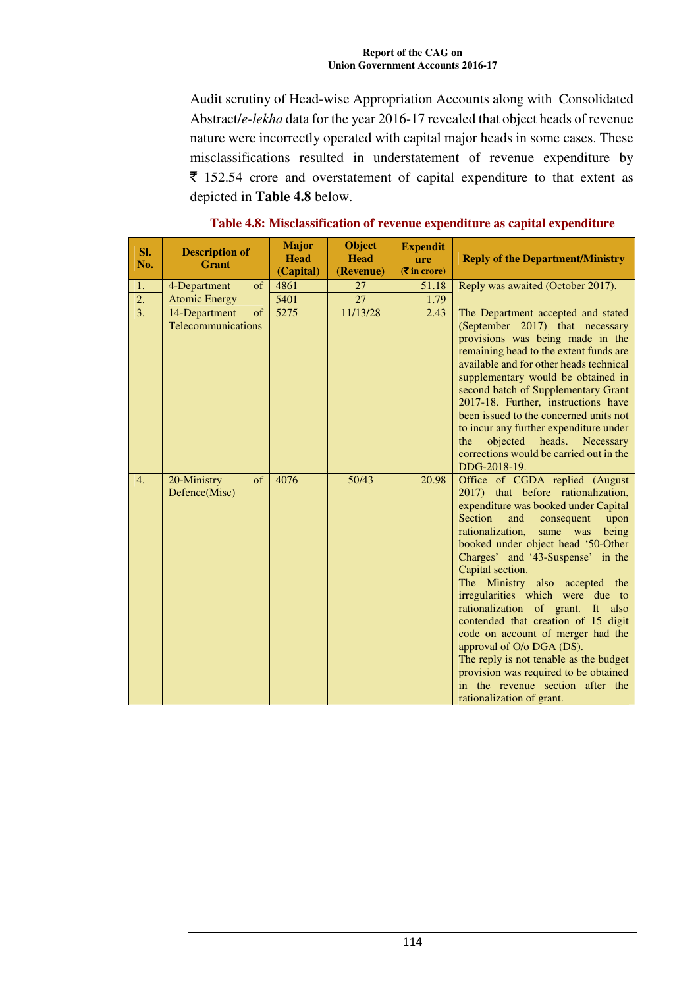Audit scrutiny of Head-wise Appropriation Accounts along with Consolidated Abstract/*e-lekha* data for the year 2016-17 revealed that object heads of revenue nature were incorrectly operated with capital major heads in some cases. These misclassifications resulted in understatement of revenue expenditure by  $\bar{\tau}$  152.54 crore and overstatement of capital expenditure to that extent as depicted in **Table 4.8** below.

| SI. |     | <b>Description of</b>                      | <b>Major</b> | <b>Object</b> | <b>Expendit</b>             |                                                                                                                                                                                                                                                                                                                                                                                                                                                                                                                                                                                                                                                                      |
|-----|-----|--------------------------------------------|--------------|---------------|-----------------------------|----------------------------------------------------------------------------------------------------------------------------------------------------------------------------------------------------------------------------------------------------------------------------------------------------------------------------------------------------------------------------------------------------------------------------------------------------------------------------------------------------------------------------------------------------------------------------------------------------------------------------------------------------------------------|
|     | No. | <b>Grant</b>                               | <b>Head</b>  | <b>Head</b>   | ure                         | <b>Reply of the Department/Ministry</b>                                                                                                                                                                                                                                                                                                                                                                                                                                                                                                                                                                                                                              |
|     |     |                                            | (Capital)    | (Revenue)     | $(3\overline{5})$ in crore) |                                                                                                                                                                                                                                                                                                                                                                                                                                                                                                                                                                                                                                                                      |
|     | 1.  | of<br>4-Department                         | 4861         | 27            | 51.18                       | Reply was awaited (October 2017).                                                                                                                                                                                                                                                                                                                                                                                                                                                                                                                                                                                                                                    |
|     | 2.  | <b>Atomic Energy</b>                       | 5401         | 27            | 1.79                        |                                                                                                                                                                                                                                                                                                                                                                                                                                                                                                                                                                                                                                                                      |
|     | 3.  | 14-Department<br>of<br>Telecommunications  | 5275         | 11/13/28      | 2.43                        | The Department accepted and stated<br>(September 2017) that necessary<br>provisions was being made in the<br>remaining head to the extent funds are<br>available and for other heads technical<br>supplementary would be obtained in<br>second batch of Supplementary Grant<br>2017-18. Further, instructions have<br>been issued to the concerned units not<br>to incur any further expenditure under<br>objected<br>heads.<br>the<br>Necessary<br>corrections would be carried out in the<br>DDG-2018-19.                                                                                                                                                          |
|     | 4.  | 20-Ministry<br>$\sigma$ f<br>Defence(Misc) | 4076         | 50/43         | 20.98                       | Office of CGDA replied (August<br>2017) that before rationalization,<br>expenditure was booked under Capital<br>Section<br>and<br>consequent<br>upon<br>rationalization,<br>same was<br>being<br>booked under object head '50-Other<br>Charges' and '43-Suspense' in the<br>Capital section.<br>The Ministry also accepted the<br>irregularities which were due to<br>rationalization of grant. It also<br>contended that creation of 15 digit<br>code on account of merger had the<br>approval of O/o DGA (DS).<br>The reply is not tenable as the budget<br>provision was required to be obtained<br>in the revenue section after the<br>rationalization of grant. |

### **Table 4.8: Misclassification of revenue expenditure as capital expenditure**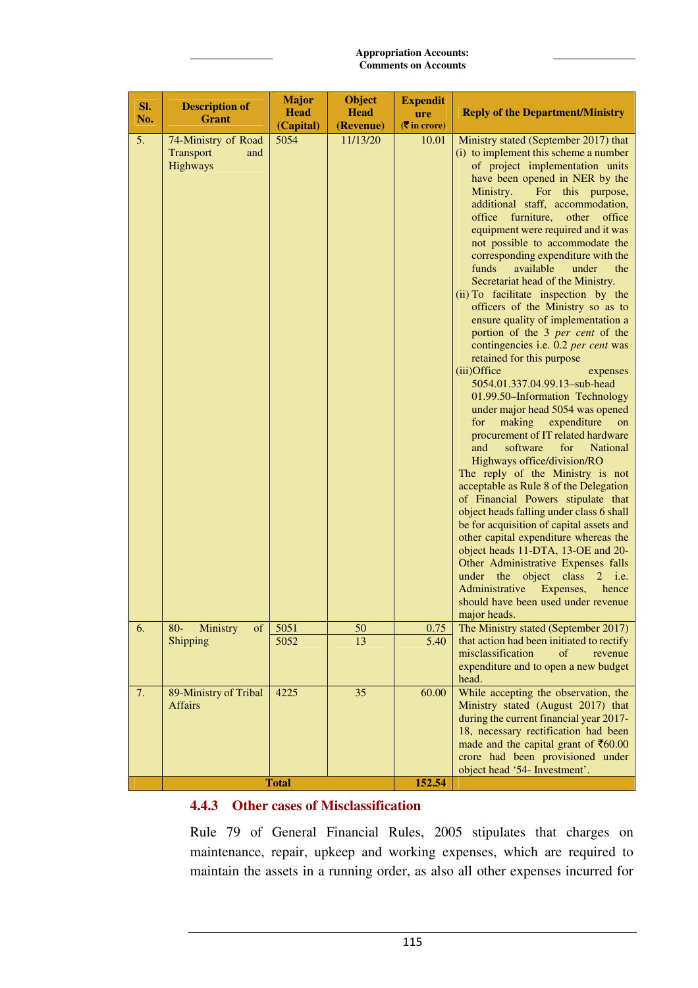| SI.<br>No. | <b>Description of</b><br><b>Grant</b>                      | <b>Major</b><br><b>Head</b><br>(Capital) | <b>Object</b><br><b>Head</b><br>(Revenue) | <b>Expendit</b><br>ure<br>$($ ₹ in crore) | <b>Reply of the Department/Ministry</b>                                                                                                                                                                                                                                                                                                                                                                                                                                                                                                                                                                                                                                                                                                                                                                                                                                                                                                                                                                                                                                                                                                                                                                                                                                                                                                                                                                                                                                      |
|------------|------------------------------------------------------------|------------------------------------------|-------------------------------------------|-------------------------------------------|------------------------------------------------------------------------------------------------------------------------------------------------------------------------------------------------------------------------------------------------------------------------------------------------------------------------------------------------------------------------------------------------------------------------------------------------------------------------------------------------------------------------------------------------------------------------------------------------------------------------------------------------------------------------------------------------------------------------------------------------------------------------------------------------------------------------------------------------------------------------------------------------------------------------------------------------------------------------------------------------------------------------------------------------------------------------------------------------------------------------------------------------------------------------------------------------------------------------------------------------------------------------------------------------------------------------------------------------------------------------------------------------------------------------------------------------------------------------------|
| 5.         | 74-Ministry of Road<br><b>Transport</b><br>and<br>Highways | 5054                                     | 11/13/20                                  | 10.01                                     | Ministry stated (September 2017) that<br>(i) to implement this scheme a number<br>of project implementation units<br>have been opened in NER by the<br>Ministry.<br>For this purpose,<br>additional staff, accommodation,<br>furniture,<br>office<br>other<br>office<br>equipment were required and it was<br>not possible to accommodate the<br>corresponding expenditure with the<br>funds<br>available<br>under<br>the<br>Secretariat head of the Ministry.<br>(ii) To facilitate inspection by the<br>officers of the Ministry so as to<br>ensure quality of implementation a<br>portion of the 3 per cent of the<br>contingencies i.e. 0.2 per cent was<br>retained for this purpose<br>(iii)Office<br>expenses<br>5054.01.337.04.99.13-sub-head<br>01.99.50-Information Technology<br>under major head 5054 was opened<br>making<br>expenditure<br>for<br>on<br>procurement of IT related hardware<br>software<br>and<br>for<br><b>National</b><br>Highways office/division/RO<br>The reply of the Ministry is not<br>acceptable as Rule 8 of the Delegation<br>of Financial Powers stipulate that<br>object heads falling under class 6 shall<br>be for acquisition of capital assets and<br>other capital expenditure whereas the<br>object heads 11-DTA, 13-OE and 20-<br>Other Administrative Expenses falls<br>under the<br>object class<br>$\overline{2}$<br>i.e.<br>Administrative<br>Expenses,<br>hence<br>should have been used under revenue<br>major heads. |
| 6.         | $80-$<br>Ministry<br>of                                    | 5051                                     | 50                                        | 0.75                                      | The Ministry stated (September 2017)                                                                                                                                                                                                                                                                                                                                                                                                                                                                                                                                                                                                                                                                                                                                                                                                                                                                                                                                                                                                                                                                                                                                                                                                                                                                                                                                                                                                                                         |
|            | Shipping                                                   | 5052                                     | 13                                        | 5.40                                      | that action had been initiated to rectify<br>misclassification<br>of<br>revenue<br>expenditure and to open a new budget<br>head.                                                                                                                                                                                                                                                                                                                                                                                                                                                                                                                                                                                                                                                                                                                                                                                                                                                                                                                                                                                                                                                                                                                                                                                                                                                                                                                                             |
| 7.         | 89-Ministry of Tribal<br><b>Affairs</b>                    | 4225                                     | 35                                        | 60.00                                     | While accepting the observation, the<br>Ministry stated (August 2017) that<br>during the current financial year 2017-<br>18, necessary rectification had been<br>made and the capital grant of $\overline{\xi}60.00$<br>crore had been provisioned under<br>object head '54- Investment'.                                                                                                                                                                                                                                                                                                                                                                                                                                                                                                                                                                                                                                                                                                                                                                                                                                                                                                                                                                                                                                                                                                                                                                                    |
|            |                                                            | <b>Total</b>                             |                                           | 152.54                                    |                                                                                                                                                                                                                                                                                                                                                                                                                                                                                                                                                                                                                                                                                                                                                                                                                                                                                                                                                                                                                                                                                                                                                                                                                                                                                                                                                                                                                                                                              |

# **4.4.3 Other cases of Misclassification**

Rule 79 of General Financial Rules, 2005 stipulates that charges on maintenance, repair, upkeep and working expenses, which are required to maintain the assets in a running order, as also all other expenses incurred for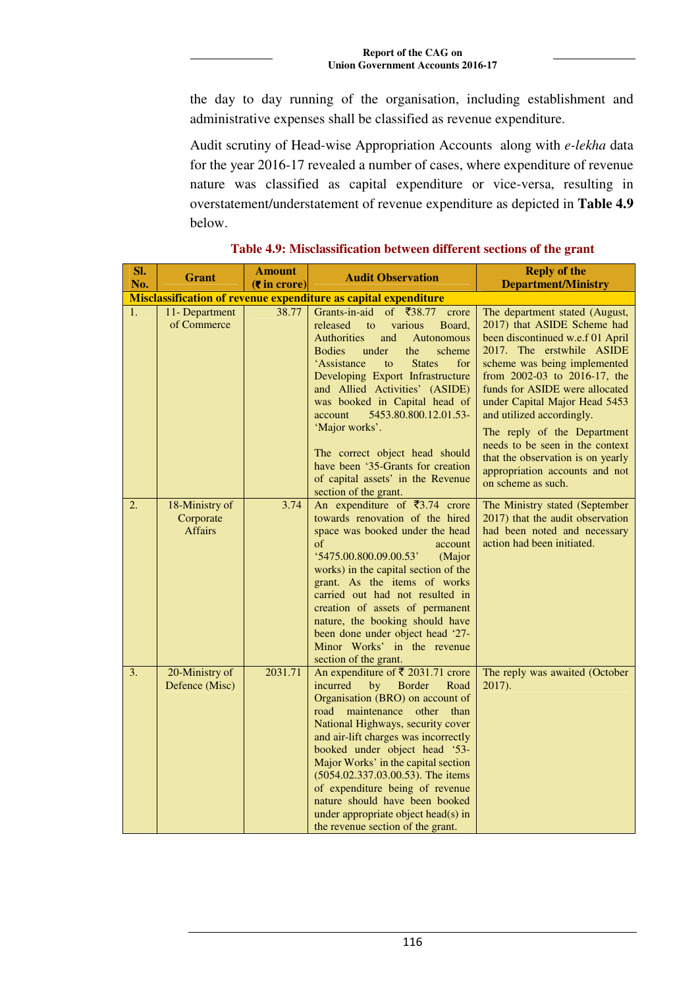the day to day running of the organisation, including establishment and administrative expenses shall be classified as revenue expenditure.

Audit scrutiny of Head-wise Appropriation Accounts along with *e-lekha* data for the year 2016-17 revealed a number of cases, where expenditure of revenue nature was classified as capital expenditure or vice-versa, resulting in overstatement/understatement of revenue expenditure as depicted in **Table 4.9** below.

| Sl.<br>No. | <b>Grant</b>                                  | <b>Amount</b><br>$(5$ in crore) | <b>Audit Observation</b>                                                                                                                                                                                                                                                                                                                                                                                                                                                                                               | <b>Reply of the</b><br><b>Department/Ministry</b>                                                                                                                                                                                                                                                                                                                                                                                                             |
|------------|-----------------------------------------------|---------------------------------|------------------------------------------------------------------------------------------------------------------------------------------------------------------------------------------------------------------------------------------------------------------------------------------------------------------------------------------------------------------------------------------------------------------------------------------------------------------------------------------------------------------------|---------------------------------------------------------------------------------------------------------------------------------------------------------------------------------------------------------------------------------------------------------------------------------------------------------------------------------------------------------------------------------------------------------------------------------------------------------------|
|            |                                               |                                 | Misclassification of revenue expenditure as capital expenditure                                                                                                                                                                                                                                                                                                                                                                                                                                                        |                                                                                                                                                                                                                                                                                                                                                                                                                                                               |
| 1.         | 11- Department<br>of Commerce                 | 38.77                           | Grants-in-aid<br>of ₹38.77<br>crore<br>various<br>Board,<br>released<br>to<br><b>Authorities</b><br>and<br><b>Autonomous</b><br><b>Bodies</b><br>under<br>the<br>scheme<br>'Assistance<br><b>States</b><br>for<br>to<br>Developing Export Infrastructure<br>and Allied Activities' (ASIDE)<br>was booked in Capital head of<br>5453.80.800.12.01.53-<br>account<br>'Major works'.<br>The correct object head should<br>have been '35-Grants for creation<br>of capital assets' in the Revenue<br>section of the grant. | The department stated (August,<br>2017) that ASIDE Scheme had<br>been discontinued w.e.f 01 April<br>2017. The erstwhile ASIDE<br>scheme was being implemented<br>from 2002-03 to 2016-17, the<br>funds for ASIDE were allocated<br>under Capital Major Head 5453<br>and utilized accordingly.<br>The reply of the Department<br>needs to be seen in the context<br>that the observation is on yearly<br>appropriation accounts and not<br>on scheme as such. |
| 2.         | 18-Ministry of<br>Corporate<br><b>Affairs</b> | 3.74                            | An expenditure of $\overline{\xi}$ 3.74 crore<br>towards renovation of the hired<br>space was booked under the head<br>of<br>account<br>'5475.00.800.09.00.53'<br>(Major<br>works) in the capital section of the<br>grant. As the items of works<br>carried out had not resulted in<br>creation of assets of permanent<br>nature, the booking should have<br>been done under object head '27-<br>Minor Works' in the revenue<br>section of the grant.                                                                  | The Ministry stated (September<br>2017) that the audit observation<br>had been noted and necessary<br>action had been initiated.                                                                                                                                                                                                                                                                                                                              |
| 3.         | 20-Ministry of<br>Defence (Misc)              | 2031.71                         | An expenditure of ₹ 2031.71 crore<br>incurred<br>by<br><b>Border</b><br>Road<br>Organisation (BRO) on account of<br>road maintenance other than<br>National Highways, security cover<br>and air-lift charges was incorrectly<br>booked under object head '53-<br>Major Works' in the capital section<br>(5054.02.337.03.00.53). The items<br>of expenditure being of revenue<br>nature should have been booked<br>under appropriate object head(s) in<br>the revenue section of the grant.                             | The reply was awaited (October<br>2017).                                                                                                                                                                                                                                                                                                                                                                                                                      |

**Table 4.9: Misclassification between different sections of the grant**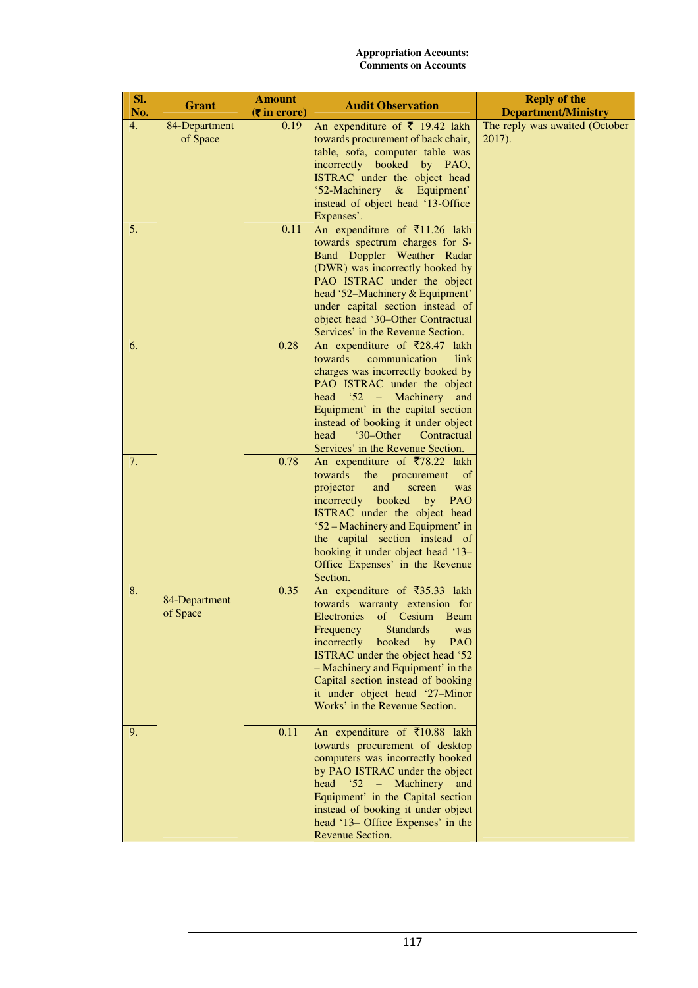| SI.<br>No. | <b>Grant</b>              | <b>Amount</b><br>$(5$ in crore) | <b>Audit Observation</b>                                                                                                                                                                                                                                                                                                                                              | <b>Reply of the</b><br><b>Department/Ministry</b> |
|------------|---------------------------|---------------------------------|-----------------------------------------------------------------------------------------------------------------------------------------------------------------------------------------------------------------------------------------------------------------------------------------------------------------------------------------------------------------------|---------------------------------------------------|
| 4.         | 84-Department<br>of Space | 0.19                            | An expenditure of $\bar{\tau}$ 19.42 lakh<br>towards procurement of back chair,<br>table, sofa, computer table was<br>incorrectly booked by PAO,<br>ISTRAC under the object head                                                                                                                                                                                      | The reply was awaited (October<br>2017).          |
|            |                           |                                 | '52-Machinery<br>$&$ Equipment'<br>instead of object head '13-Office<br>Expenses'.                                                                                                                                                                                                                                                                                    |                                                   |
| 5.         |                           | 0.11                            | An expenditure of $\overline{\xi}$ 11.26 lakh<br>towards spectrum charges for S-<br>Band Doppler Weather Radar<br>(DWR) was incorrectly booked by<br>PAO ISTRAC under the object<br>head '52-Machinery & Equipment'<br>under capital section instead of<br>object head '30-Other Contractual<br>Services' in the Revenue Section.                                     |                                                   |
| 6.         |                           | 0.28                            | An expenditure of $\overline{\xi}$ 28.47<br>lakh<br>towards<br>communication<br>link<br>charges was incorrectly booked by<br>PAO ISTRAC under the object<br>$52 -$<br>head<br>Machinery<br>and<br>Equipment' in the capital section<br>instead of booking it under object<br>'30–Other<br>Contractual<br>head<br>Services' in the Revenue Section.                    |                                                   |
| 7.         |                           | 0.78                            | An expenditure of ₹78.22 lakh<br>towards<br>the<br>procurement<br>of<br>projector<br>and<br>screen<br>was<br>incorrectly booked<br>PAO<br>by<br>ISTRAC under the object head<br>'52 – Machinery and Equipment' in<br>the capital section instead of<br>booking it under object head '13-<br>Office Expenses' in the Revenue<br>Section.                               |                                                   |
| 8.         | 84-Department<br>of Space | 0.35                            | An expenditure of ₹35.33 lakh<br>towards warranty extension for<br>Electronics of Cesium<br><b>Beam</b><br><b>Standards</b><br>Frequency<br>was<br>incorrectly<br>booked by<br>PAO<br>ISTRAC under the object head '52<br>- Machinery and Equipment' in the<br>Capital section instead of booking<br>it under object head '27-Minor<br>Works' in the Revenue Section. |                                                   |
| 9.         |                           | 0.11                            | An expenditure of ₹10.88 lakh<br>towards procurement of desktop<br>computers was incorrectly booked<br>by PAO ISTRAC under the object<br>$52 -$<br>Machinery<br>head<br>and<br>Equipment' in the Capital section<br>instead of booking it under object<br>head '13- Office Expenses' in the<br>Revenue Section.                                                       |                                                   |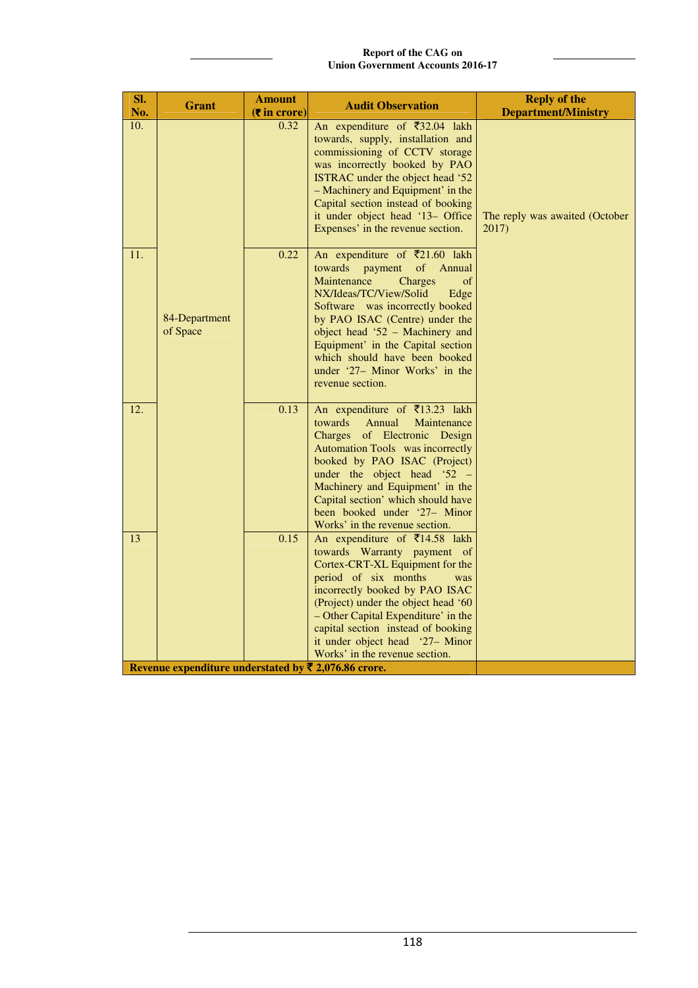**Report of the CAG on Union Government Accounts 2016-17**

| SI.<br>No.        | <b>Grant</b>                                         | <b>Amount</b><br>$(5 \infty)$ | <b>Audit Observation</b>                                                                                                                                                                                                                                                                                                                                                   | <b>Reply of the</b><br><b>Department/Ministry</b> |
|-------------------|------------------------------------------------------|-------------------------------|----------------------------------------------------------------------------------------------------------------------------------------------------------------------------------------------------------------------------------------------------------------------------------------------------------------------------------------------------------------------------|---------------------------------------------------|
| 10.               |                                                      | 0.32                          | An expenditure of $\overline{\xi}32.04$ lakh<br>towards, supply, installation and<br>commissioning of CCTV storage<br>was incorrectly booked by PAO<br>ISTRAC under the object head '52<br>- Machinery and Equipment' in the<br>Capital section instead of booking<br>it under object head '13- Office<br>Expenses' in the revenue section.                                | The reply was awaited (October<br>2017)           |
| 11.               | 84-Department<br>of Space                            | 0.22                          | An expenditure of ₹21.60 lakh<br>of Annual<br>towards payment<br><b>Charges</b><br>Maintenance<br>of<br>NX/Ideas/TC/View/Solid<br>Edge<br>Software was incorrectly booked<br>by PAO ISAC (Centre) under the<br>object head '52 - Machinery and<br>Equipment' in the Capital section<br>which should have been booked<br>under '27- Minor Works' in the<br>revenue section. |                                                   |
| $\overline{12}$ . |                                                      | 0.13                          | An expenditure of ₹13.23 lakh<br>Annual<br>Maintenance<br>towards<br>Charges of Electronic Design<br>Automation Tools was incorrectly<br>booked by PAO ISAC (Project)<br>under the object head '52 -<br>Machinery and Equipment' in the<br>Capital section' which should have<br>been booked under '27- Minor<br>Works' in the revenue section.                            |                                                   |
| 13                | Revenue expenditure understated by ₹ 2,076.86 crore. | 0.15                          | An expenditure of ₹14.58 lakh<br>towards Warranty payment of<br>Cortex-CRT-XL Equipment for the<br>period of six months<br>was<br>incorrectly booked by PAO ISAC<br>(Project) under the object head '60<br>- Other Capital Expenditure' in the<br>capital section instead of booking<br>it under object head '27- Minor<br>Works' in the revenue section.                  |                                                   |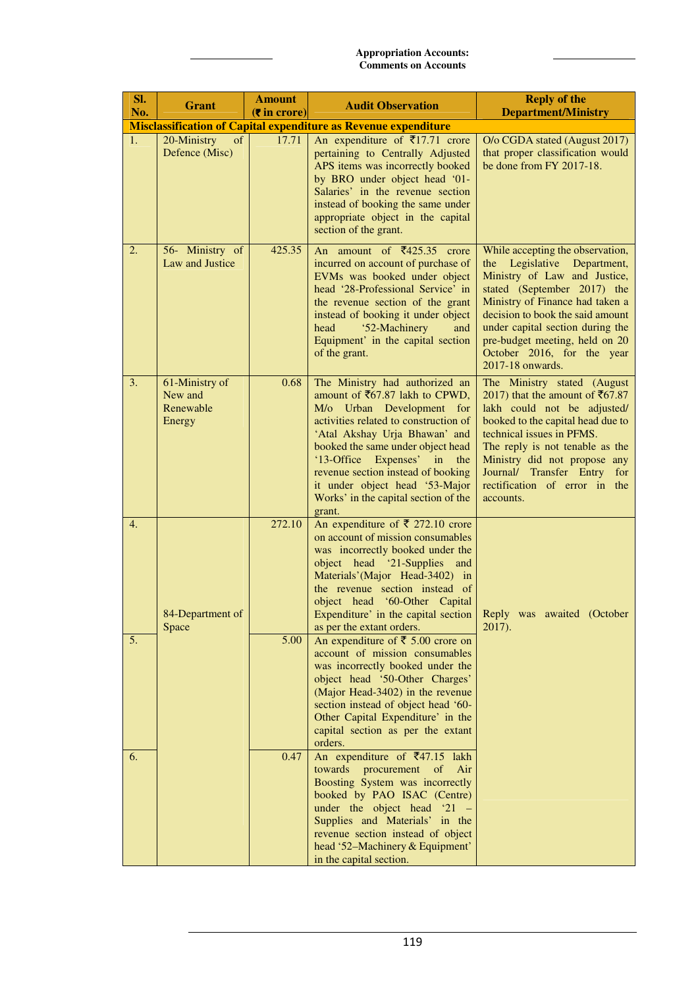| Sl.<br>No. | <b>Grant</b>                                     | <b>Amount</b><br>$(5 \text{ in } \text{core})$ | <b>Audit Observation</b>                                                                                                                                                                                                                                                                                                                                                                                                                                                                                                                                                                                                                                                        | <b>Reply of the</b><br><b>Department/Ministry</b>                                                                                                                                                                                                                                                                             |
|------------|--------------------------------------------------|------------------------------------------------|---------------------------------------------------------------------------------------------------------------------------------------------------------------------------------------------------------------------------------------------------------------------------------------------------------------------------------------------------------------------------------------------------------------------------------------------------------------------------------------------------------------------------------------------------------------------------------------------------------------------------------------------------------------------------------|-------------------------------------------------------------------------------------------------------------------------------------------------------------------------------------------------------------------------------------------------------------------------------------------------------------------------------|
|            |                                                  |                                                | <b>Misclassification of Capital expenditure as Revenue expenditure</b>                                                                                                                                                                                                                                                                                                                                                                                                                                                                                                                                                                                                          |                                                                                                                                                                                                                                                                                                                               |
| 1.         | 20-Ministry<br>of<br>Defence (Misc)              | 17.71                                          | An expenditure of $\overline{\xi}$ 17.71 crore<br>pertaining to Centrally Adjusted<br>APS items was incorrectly booked<br>by BRO under object head '01-<br>Salaries' in the revenue section<br>instead of booking the same under<br>appropriate object in the capital<br>section of the grant.                                                                                                                                                                                                                                                                                                                                                                                  | O/o CGDA stated (August 2017)<br>that proper classification would<br>be done from FY 2017-18.                                                                                                                                                                                                                                 |
| 2.         | 56- Ministry of<br>Law and Justice               | 425.35                                         | An amount of $\overline{\xi}$ 425.35 crore<br>incurred on account of purchase of<br>EVMs was booked under object<br>head '28-Professional Service' in<br>the revenue section of the grant<br>instead of booking it under object<br>'52-Machinery<br>head<br>and<br>Equipment' in the capital section<br>of the grant.                                                                                                                                                                                                                                                                                                                                                           | While accepting the observation,<br>the Legislative Department,<br>Ministry of Law and Justice,<br>stated (September 2017) the<br>Ministry of Finance had taken a<br>decision to book the said amount<br>under capital section during the<br>pre-budget meeting, held on 20<br>October 2016, for the year<br>2017-18 onwards. |
| 3.         | 61-Ministry of<br>New and<br>Renewable<br>Energy | 0.68                                           | The Ministry had authorized an<br>amount of ₹67.87 lakh to CPWD,<br>M/o Urban Development for<br>activities related to construction of<br>'Atal Akshay Urja Bhawan' and<br>booked the same under object head<br>'13-Office Expenses' in the<br>revenue section instead of booking<br>it under object head '53-Major<br>Works' in the capital section of the<br>grant.                                                                                                                                                                                                                                                                                                           | The Ministry stated (August<br>2017) that the amount of ₹67.87<br>lakh could not be adjusted/<br>booked to the capital head due to<br>technical issues in PFMS.<br>The reply is not tenable as the<br>Ministry did not propose any<br>Journal/ Transfer Entry for<br>rectification of error in the<br>accounts.               |
| 4.<br>5.   | 84-Department of<br>Space                        | 272.10<br>5.00                                 | An expenditure of $\bar{\tau}$ 272.10 crore<br>on account of mission consumables<br>was incorrectly booked under the<br>object head '21-Supplies and<br>Materials'(Major Head-3402) in<br>the revenue section instead of<br>object head '60-Other Capital<br>Expenditure' in the capital section Reply was awaited (October<br>as per the extant orders.<br>An expenditure of $\bar{\xi}$ 5.00 crore on<br>account of mission consumables<br>was incorrectly booked under the<br>object head '50-Other Charges'<br>(Major Head-3402) in the revenue<br>section instead of object head '60-<br>Other Capital Expenditure' in the<br>capital section as per the extant<br>orders. | $2017$ ).                                                                                                                                                                                                                                                                                                                     |
| 6.         |                                                  | 0.47                                           | An expenditure of $\overline{\xi}$ 47.15 lakh<br>towards<br>Air<br>procurement<br>of<br>Boosting System was incorrectly<br>booked by PAO ISAC (Centre)<br>under the object head $21 -$<br>Supplies and Materials' in the<br>revenue section instead of object<br>head '52-Machinery & Equipment'<br>in the capital section.                                                                                                                                                                                                                                                                                                                                                     |                                                                                                                                                                                                                                                                                                                               |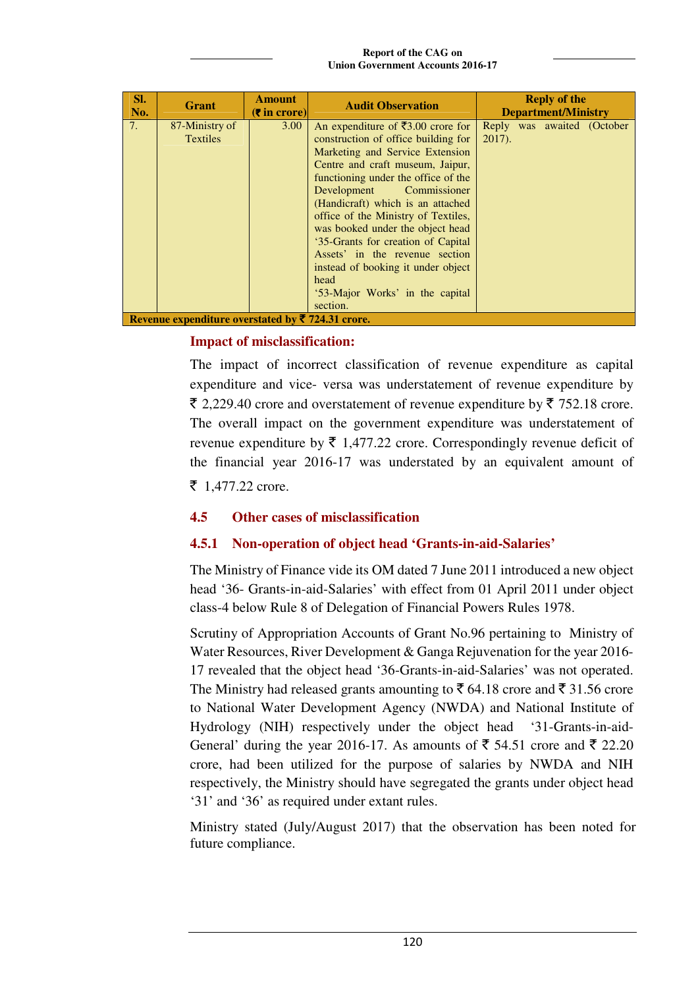**Report of the CAG on Union Government Accounts 2016-17**

| SI.<br>No. | Grant                                            | <b>Amount</b><br>$(5$ in crore) | <b>Audit Observation</b>                                                                                                                                                                                                                                                                                                                                                                                                                                                                                                      | <b>Reply of the</b><br><b>Department/Ministry</b> |
|------------|--------------------------------------------------|---------------------------------|-------------------------------------------------------------------------------------------------------------------------------------------------------------------------------------------------------------------------------------------------------------------------------------------------------------------------------------------------------------------------------------------------------------------------------------------------------------------------------------------------------------------------------|---------------------------------------------------|
| 7.         | 87-Ministry of<br><b>Textiles</b>                | 3.00                            | An expenditure of $\bar{\mathfrak{r}}3.00$ crore for<br>construction of office building for<br>Marketing and Service Extension<br>Centre and craft museum, Jaipur,<br>functioning under the office of the<br>Development<br>Commissioner<br>(Handicraft) which is an attached<br>office of the Ministry of Textiles,<br>was booked under the object head<br>'35-Grants for creation of Capital<br>Assets' in the revenue section<br>instead of booking it under object<br>head<br>'53-Major Works' in the capital<br>section. | Reply was awaited (October<br>$2017$ ).           |
|            | Revenue expenditure overstated by ₹724.31 crore. |                                 |                                                                                                                                                                                                                                                                                                                                                                                                                                                                                                                               |                                                   |

## **Impact of misclassification:**

The impact of incorrect classification of revenue expenditure as capital expenditure and vice- versa was understatement of revenue expenditure by  $\bar{\xi}$  2,229.40 crore and overstatement of revenue expenditure by  $\bar{\xi}$  752.18 crore. The overall impact on the government expenditure was understatement of revenue expenditure by  $\bar{\tau}$  1,477.22 crore. Correspondingly revenue deficit of the financial year 2016-17 was understated by an equivalent amount of  $\bar{z}$  1,477.22 crore.

# **4.5 Other cases of misclassification**

# **4.5.1 Non-operation of object head 'Grants-in-aid-Salaries'**

The Ministry of Finance vide its OM dated 7 June 2011 introduced a new object head '36- Grants-in-aid-Salaries' with effect from 01 April 2011 under object class-4 below Rule 8 of Delegation of Financial Powers Rules 1978.

Scrutiny of Appropriation Accounts of Grant No.96 pertaining to Ministry of Water Resources, River Development & Ganga Rejuvenation for the year 2016- 17 revealed that the object head '36-Grants-in-aid-Salaries' was not operated. The Ministry had released grants amounting to  $\bar{\mathfrak{g}}$  64.18 crore and  $\bar{\mathfrak{g}}$  31.56 crore to National Water Development Agency (NWDA) and National Institute of Hydrology (NIH) respectively under the object head '31-Grants-in-aid-General' during the year 2016-17. As amounts of  $\overline{5}$  54.51 crore and  $\overline{5}$  22.20 crore, had been utilized for the purpose of salaries by NWDA and NIH respectively, the Ministry should have segregated the grants under object head '31' and '36' as required under extant rules.

Ministry stated (July/August 2017) that the observation has been noted for future compliance.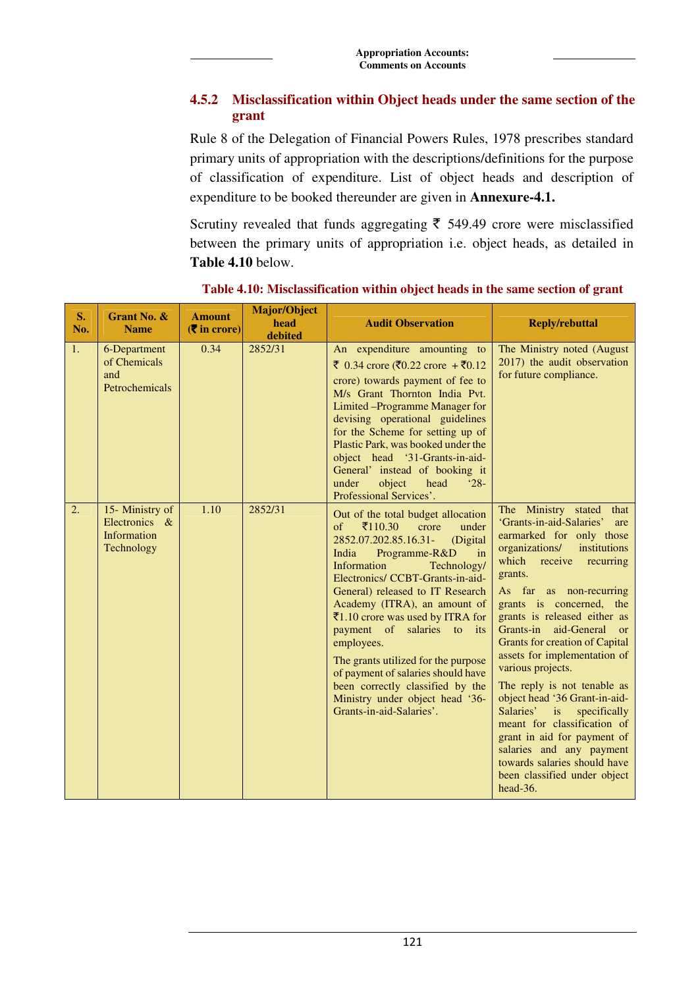# **4.5.2 Misclassification within Object heads under the same section of the grant**

Rule 8 of the Delegation of Financial Powers Rules, 1978 prescribes standard primary units of appropriation with the descriptions/definitions for the purpose of classification of expenditure. List of object heads and description of expenditure to be booked thereunder are given in **Annexure-4.1.** 

Scrutiny revealed that funds aggregating  $\bar{\tau}$  549.49 crore were misclassified between the primary units of appropriation i.e. object heads, as detailed in **Table 4.10** below.

| S.<br>No.        | Grant No. &<br><b>Name</b>                                    | <b>Amount</b><br>$(\overline{\mathbf{\overline{z}}}$ in crore) | <b>Major/Object</b><br>head<br>debited | <b>Audit Observation</b>                                                                                                                                                                                                                                                                                                                                                                                                                                                                                                                                       | <b>Reply/rebuttal</b>                                                                                                                                                                                                                                                                                                                                                                                                                                                                                                                                                                                                                                                       |
|------------------|---------------------------------------------------------------|----------------------------------------------------------------|----------------------------------------|----------------------------------------------------------------------------------------------------------------------------------------------------------------------------------------------------------------------------------------------------------------------------------------------------------------------------------------------------------------------------------------------------------------------------------------------------------------------------------------------------------------------------------------------------------------|-----------------------------------------------------------------------------------------------------------------------------------------------------------------------------------------------------------------------------------------------------------------------------------------------------------------------------------------------------------------------------------------------------------------------------------------------------------------------------------------------------------------------------------------------------------------------------------------------------------------------------------------------------------------------------|
| 1.               | 6-Department<br>of Chemicals<br>and<br>Petrochemicals         | 0.34                                                           | 2852/31                                | An expenditure amounting to<br>₹ 0.34 crore (₹0.22 crore + ₹0.12<br>crore) towards payment of fee to<br>M/s Grant Thornton India Pvt.<br>Limited – Programme Manager for<br>devising operational guidelines<br>for the Scheme for setting up of<br>Plastic Park, was booked under the<br>object head '31-Grants-in-aid-<br>General' instead of booking it<br>under<br>object<br>head<br>$^{\circ}28-$<br>Professional Services'.                                                                                                                               | The Ministry noted (August)<br>2017) the audit observation<br>for future compliance.                                                                                                                                                                                                                                                                                                                                                                                                                                                                                                                                                                                        |
| $\overline{2}$ . | 15- Ministry of<br>Electronics &<br>Information<br>Technology | 1.10                                                           | 2852/31                                | Out of the total budget allocation<br>$\bar{5}110.30$<br>$\sigma$<br>crore<br>under<br>2852.07.202.85.16.31-<br>(Digital<br>India<br>Programme-R&D<br>in<br>Information<br>Technology/<br>Electronics/ CCBT-Grants-in-aid-<br>General) released to IT Research<br>Academy (ITRA), an amount of<br>₹1.10 crore was used by ITRA for<br>payment of salaries to its<br>employees.<br>The grants utilized for the purpose<br>of payment of salaries should have<br>been correctly classified by the<br>Ministry under object head '36-<br>Grants-in-aid-Salaries'. | The Ministry stated that<br>'Grants-in-aid-Salaries'<br>are<br>earmarked for only those<br>organizations/<br>institutions<br>which receive<br>recurring<br>grants.<br>As far as non-recurring<br>grants is concerned, the<br>grants is released either as<br>Grants-in aid-General<br>or<br><b>Grants for creation of Capital</b><br>assets for implementation of<br>various projects.<br>The reply is not tenable as<br>object head '36 Grant-in-aid-<br>Salaries'<br>i <sub>S</sub><br>specifically<br>meant for classification of<br>grant in aid for payment of<br>salaries and any payment<br>towards salaries should have<br>been classified under object<br>head-36. |

**Table 4.10: Misclassification within object heads in the same section of grant**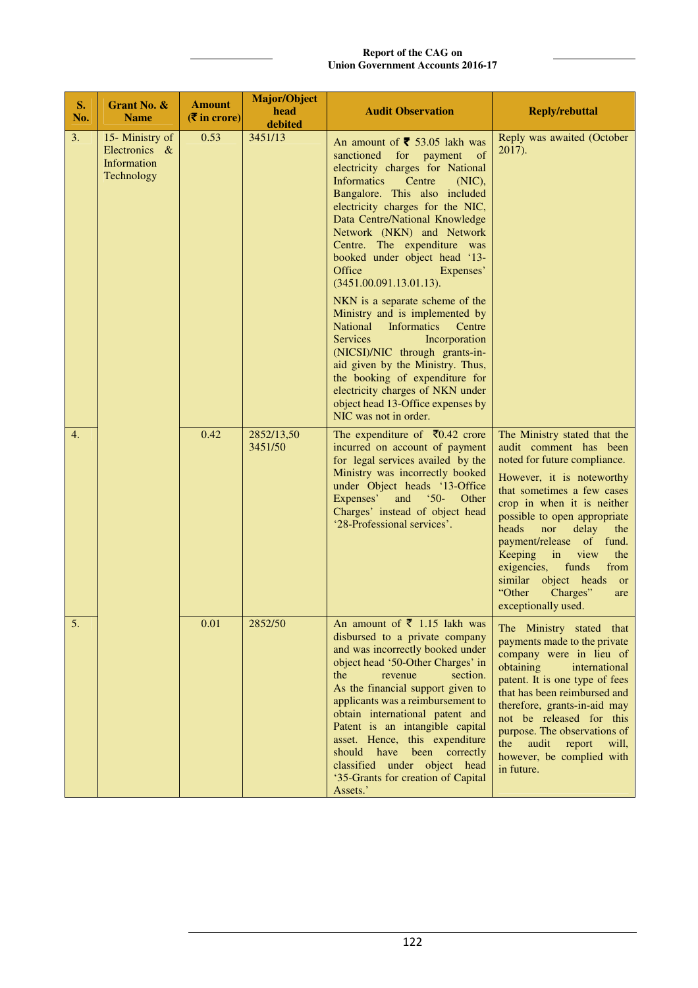| S.<br>No. | Grant No. &<br><b>Name</b>                                    | <b>Amount</b><br>$(5 \infty)$ in crore) | <b>Major/Object</b><br>head<br>debited | <b>Audit Observation</b>                                                                                                                                                                                                                                                                                                                                                                                                                                                                                                                                                                                                                                                                                                                                                                        | <b>Reply/rebuttal</b>                                                                                                                                                                                                                                                                                                                                                                                                                 |
|-----------|---------------------------------------------------------------|-----------------------------------------|----------------------------------------|-------------------------------------------------------------------------------------------------------------------------------------------------------------------------------------------------------------------------------------------------------------------------------------------------------------------------------------------------------------------------------------------------------------------------------------------------------------------------------------------------------------------------------------------------------------------------------------------------------------------------------------------------------------------------------------------------------------------------------------------------------------------------------------------------|---------------------------------------------------------------------------------------------------------------------------------------------------------------------------------------------------------------------------------------------------------------------------------------------------------------------------------------------------------------------------------------------------------------------------------------|
| 3.        | 15- Ministry of<br>Electronics &<br>Information<br>Technology | 0.53                                    | 3451/13                                | An amount of $\overline{\mathbf{5}}$ 53.05 lakh was<br>sanctioned<br>for<br>payment<br>of<br>electricity charges for National<br><b>Informatics</b><br>Centre<br>$(NIC)$ ,<br>Bangalore. This also included<br>electricity charges for the NIC,<br>Data Centre/National Knowledge<br>Network (NKN) and Network<br>Centre. The expenditure was<br>booked under object head '13-<br>Office<br>Expenses'<br>(3451.00.091.13.01.13).<br>NKN is a separate scheme of the<br>Ministry and is implemented by<br><b>National</b><br>Informatics<br>Centre<br><b>Services</b><br>Incorporation<br>(NICSI)/NIC through grants-in-<br>aid given by the Ministry. Thus,<br>the booking of expenditure for<br>electricity charges of NKN under<br>object head 13-Office expenses by<br>NIC was not in order. | Reply was awaited (October<br>2017).                                                                                                                                                                                                                                                                                                                                                                                                  |
| 4.        |                                                               | 0.42                                    | 2852/13,50<br>3451/50                  | The expenditure of $\bar{x}$ 0.42 crore<br>incurred on account of payment<br>for legal services availed by the<br>Ministry was incorrectly booked<br>under Object heads '13-Office<br>Expenses'<br>and<br>$50-$<br>Other<br>Charges' instead of object head<br>'28-Professional services'.                                                                                                                                                                                                                                                                                                                                                                                                                                                                                                      | The Ministry stated that the<br>audit comment has been<br>noted for future compliance.<br>However, it is noteworthy<br>that sometimes a few cases<br>crop in when it is neither<br>possible to open appropriate<br>heads<br>nor<br>delay<br>the<br>payment/release of fund.<br>Keeping in<br>view<br>the<br>exigencies,<br>funds<br>from<br>similar object heads<br><sub>or</sub><br>"Other<br>Charges"<br>are<br>exceptionally used. |
| 5.        |                                                               | 0.01                                    | 2852/50                                | An amount of $\bar{\tau}$ 1.15 lakh was<br>disbursed to a private company<br>and was incorrectly booked under<br>object head '50-Other Charges' in<br>the<br>revenue<br>section.<br>As the financial support given to<br>applicants was a reimbursement to<br>obtain international patent and<br>Patent is an intangible capital<br>asset. Hence, this expenditure<br>should have been correctly<br>classified under object head<br>'35-Grants for creation of Capital<br>Assets.'                                                                                                                                                                                                                                                                                                              | The Ministry stated that<br>payments made to the private<br>company were in lieu of<br>obtaining<br>international<br>patent. It is one type of fees<br>that has been reimbursed and<br>therefore, grants-in-aid may<br>not be released for this<br>purpose. The observations of<br>the<br>audit report<br>will,<br>however, be complied with<br>in future.                                                                            |

### **Report of the CAG on Union Government Accounts 2016-17**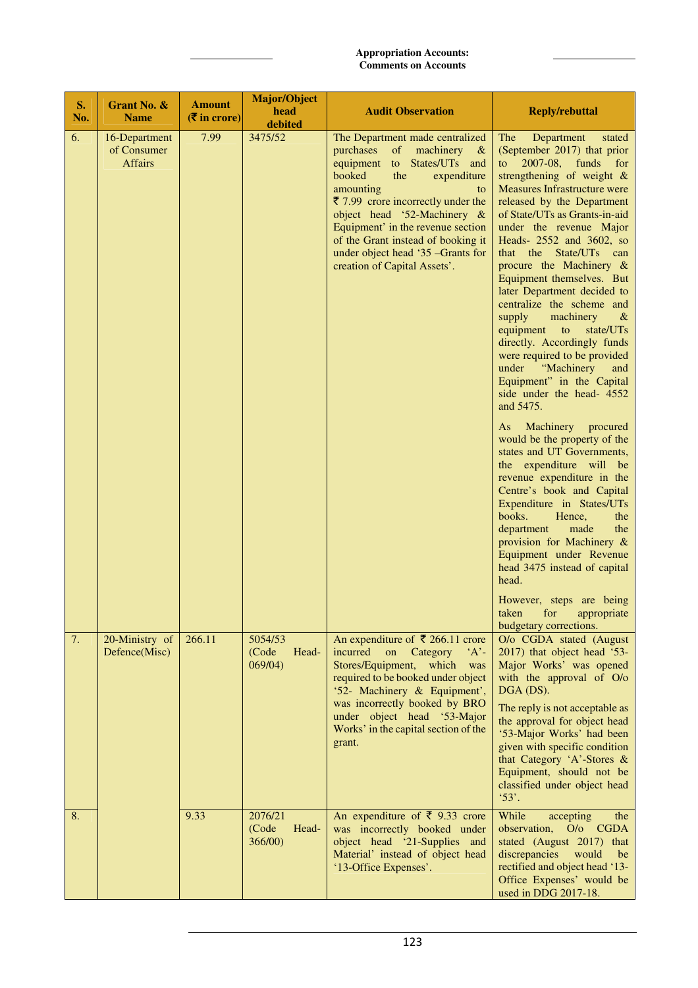| S.<br>No. | Grant No. &<br><b>Name</b>                     | <b>Amount</b><br>$(5 \infty)$ in crore) | <b>Major/Object</b><br>head<br>debited | <b>Audit Observation</b>                                                                                                                                                                                                                                                                                                                                                       | <b>Reply/rebuttal</b>                                                                                                                                                                                                                                                                                                                                                                                                                                                                                                                                                                                                                                                                                                                                                                                                                                                                                                                                                                                                                                                                                                               |
|-----------|------------------------------------------------|-----------------------------------------|----------------------------------------|--------------------------------------------------------------------------------------------------------------------------------------------------------------------------------------------------------------------------------------------------------------------------------------------------------------------------------------------------------------------------------|-------------------------------------------------------------------------------------------------------------------------------------------------------------------------------------------------------------------------------------------------------------------------------------------------------------------------------------------------------------------------------------------------------------------------------------------------------------------------------------------------------------------------------------------------------------------------------------------------------------------------------------------------------------------------------------------------------------------------------------------------------------------------------------------------------------------------------------------------------------------------------------------------------------------------------------------------------------------------------------------------------------------------------------------------------------------------------------------------------------------------------------|
| 6.        | 16-Department<br>of Consumer<br><b>Affairs</b> | 7.99                                    | 3475/52                                | The Department made centralized<br>purchases<br>of machinery $\&$<br>States/UTs and<br>to<br>equipment<br>booked<br>the<br>expenditure<br>amounting<br>to<br>₹ 7.99 crore incorrectly under the<br>object head '52-Machinery &<br>Equipment' in the revenue section<br>of the Grant instead of booking it<br>under object head '35 -Grants for<br>creation of Capital Assets'. | Department<br>The<br>stated<br>(September 2017) that prior<br>2007-08, funds for<br>to<br>strengthening of weight $\&$<br><b>Measures Infrastructure were</b><br>released by the Department<br>of State/UTs as Grants-in-aid<br>under the revenue Major<br>Heads- 2552 and 3602, so<br>that the State/UTs can<br>procure the Machinery $\&$<br>Equipment themselves. But<br>later Department decided to<br>centralize the scheme and<br>supply<br>machinery<br>$\alpha$<br>equipment<br>state/UTs<br>to<br>directly. Accordingly funds<br>were required to be provided<br>"Machinery<br>under<br>and<br>Equipment" in the Capital<br>side under the head- 4552<br>and 5475.<br>Machinery<br>procured<br>As<br>would be the property of the<br>states and UT Governments,<br>the expenditure will be<br>revenue expenditure in the<br>Centre's book and Capital<br>Expenditure in States/UTs<br>books.<br>Hence,<br>the<br>made<br>department<br>the<br>provision for Machinery &<br>Equipment under Revenue<br>head 3475 instead of capital<br>head.<br>However, steps are being<br>taken for appropriate<br>budgetary corrections. |
| 7.        | 20-Ministry of<br>Defence(Misc)                | 266.11                                  | 5054/53<br>(Code<br>Head-<br>069/04)   | An expenditure of ₹ 266.11 crore<br>incurred<br>on<br>Category<br>$'A'$ -<br>Stores/Equipment, which<br>was<br>required to be booked under object<br>'52- Machinery & Equipment',<br>was incorrectly booked by BRO<br>under object head '53-Major<br>Works' in the capital section of the<br>grant.                                                                            | O/o CGDA stated (August<br>2017) that object head '53-<br>Major Works' was opened<br>with the approval of O/o<br>DGA (DS).<br>The reply is not acceptable as<br>the approval for object head<br>'53-Major Works' had been<br>given with specific condition<br>that Category 'A'-Stores &<br>Equipment, should not be<br>classified under object head<br>$^{\prime}53'.$                                                                                                                                                                                                                                                                                                                                                                                                                                                                                                                                                                                                                                                                                                                                                             |
| 8.        |                                                | 9.33                                    | 2076/21<br>(Code<br>Head-<br>366/00    | An expenditure of $\bar{\xi}$ 9.33 crore<br>was incorrectly booked under<br>object head '21-Supplies and<br>Material' instead of object head<br>'13-Office Expenses'.                                                                                                                                                                                                          | While<br>accepting<br>the<br>observation,<br>O/o CGDA<br>stated (August 2017) that<br>discrepancies<br>would<br>be<br>rectified and object head '13-<br>Office Expenses' would be<br>used in DDG 2017-18.                                                                                                                                                                                                                                                                                                                                                                                                                                                                                                                                                                                                                                                                                                                                                                                                                                                                                                                           |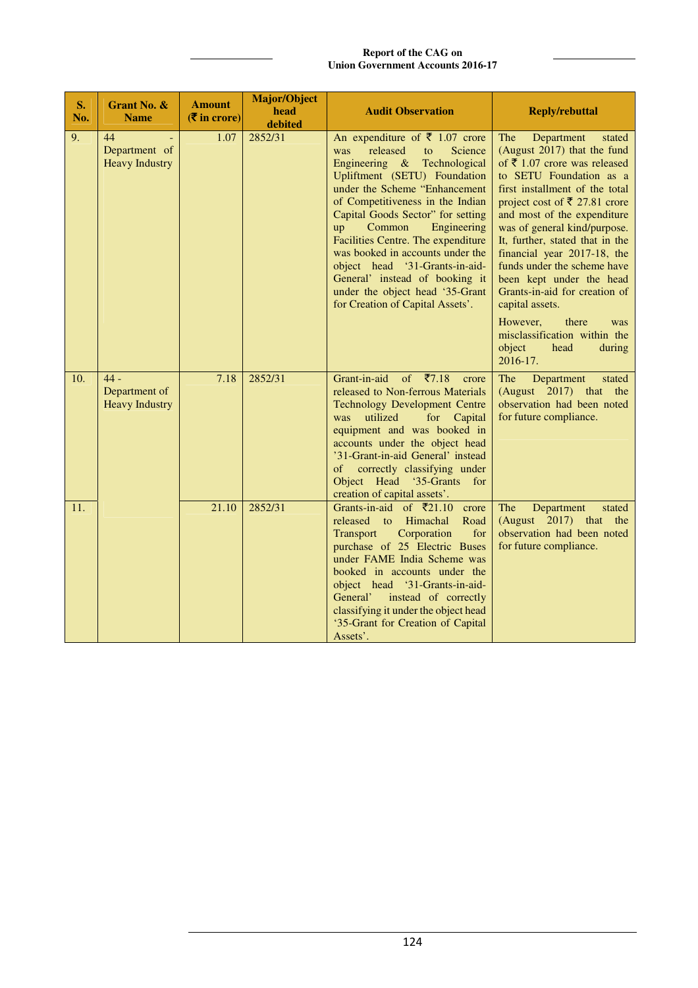**Report of the CAG on Union Government Accounts 2016-17**

| S.<br>No. | <b>Grant No. &amp;</b><br><b>Name</b>                  | <b>Amount</b><br>$(5 \infty)$ | <b>Major/Object</b><br>head<br>debited | <b>Audit Observation</b>                                                                                                                                                                                                                                                                                                                                                                                                                                                                                   | <b>Reply/rebuttal</b>                                                                                                                                                                                                                                                                                                                                                                                                                                                                                                                        |
|-----------|--------------------------------------------------------|-------------------------------|----------------------------------------|------------------------------------------------------------------------------------------------------------------------------------------------------------------------------------------------------------------------------------------------------------------------------------------------------------------------------------------------------------------------------------------------------------------------------------------------------------------------------------------------------------|----------------------------------------------------------------------------------------------------------------------------------------------------------------------------------------------------------------------------------------------------------------------------------------------------------------------------------------------------------------------------------------------------------------------------------------------------------------------------------------------------------------------------------------------|
| 9.        | 44<br>$\Box$<br>Department of<br><b>Heavy Industry</b> | 1.07                          | 2852/31                                | An expenditure of $\bar{\tau}$ 1.07 crore<br>released<br>Science<br>was<br>to<br>Engineering & Technological<br>Upliftment (SETU) Foundation<br>under the Scheme "Enhancement<br>of Competitiveness in the Indian<br>Capital Goods Sector" for setting<br>Common<br>Engineering<br>up<br>Facilities Centre. The expenditure<br>was booked in accounts under the<br>object head '31-Grants-in-aid-<br>General' instead of booking it<br>under the object head '35-Grant<br>for Creation of Capital Assets'. | The<br>Department<br>stated<br>(August 2017) that the fund<br>of ₹ 1.07 crore was released<br>to SETU Foundation as a<br>first installment of the total<br>project cost of ₹ 27.81 crore<br>and most of the expenditure<br>was of general kind/purpose.<br>It, further, stated that in the<br>financial year 2017-18, the<br>funds under the scheme have<br>been kept under the head<br>Grants-in-aid for creation of<br>capital assets.<br>However,<br>there<br>was<br>misclassification within the<br>object<br>head<br>during<br>2016-17. |
| 10.       | $44 -$<br>Department of<br><b>Heavy Industry</b>       | 7.18                          | 2852/31                                | Grant-in-aid<br>of $\bar{x}$ 7.18<br>crore<br>released to Non-ferrous Materials<br><b>Technology Development Centre</b><br>utilized<br>for<br>Capital<br>was<br>equipment and was booked in<br>accounts under the object head<br>'31-Grant-in-aid General' instead<br>of correctly classifying under<br>Object Head '35-Grants<br>for<br>creation of capital assets'.                                                                                                                                      | Department<br><b>The</b><br>stated<br>(August 2017) that the<br>observation had been noted<br>for future compliance.                                                                                                                                                                                                                                                                                                                                                                                                                         |
| 11.       |                                                        | 21.10                         | 2852/31                                | Grants-in-aid of $\bar{\tau}$ 21.10<br>crore<br>released<br>Himachal<br>Road<br>$\overline{\mathbf{t}}$<br>Transport<br>Corporation<br>for<br>purchase of 25 Electric Buses<br>under FAME India Scheme was<br>booked in accounts under the<br>object head '31-Grants-in-aid-<br>General' instead of correctly<br>classifying it under the object head<br>'35-Grant for Creation of Capital<br>Assets'.                                                                                                     | The<br>Department<br>stated<br>(August 2017) that<br>the<br>observation had been noted<br>for future compliance.                                                                                                                                                                                                                                                                                                                                                                                                                             |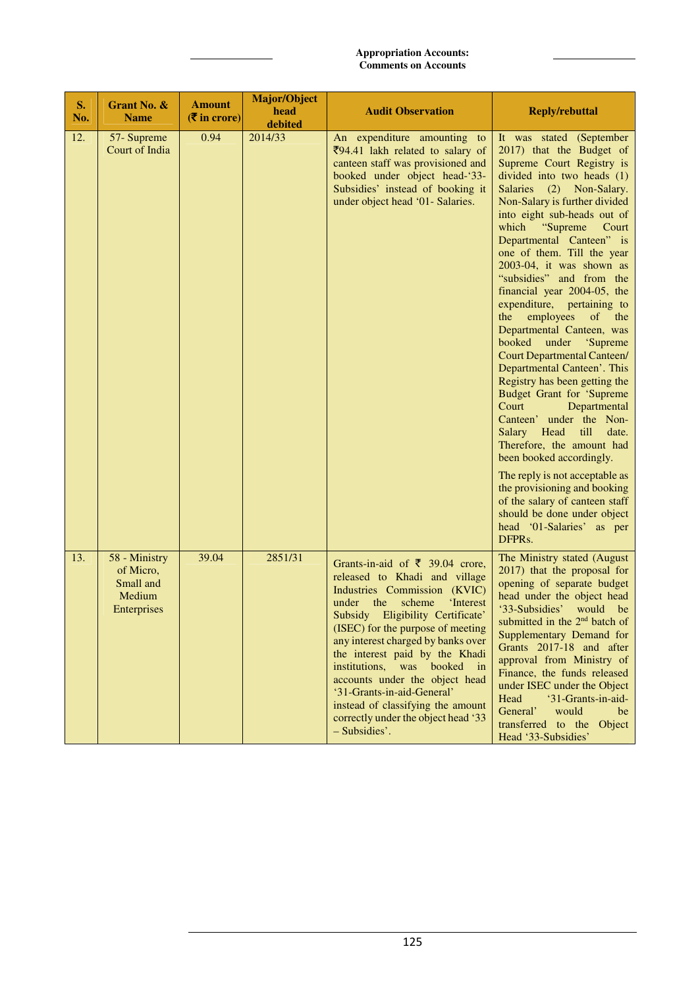| S.<br>No. | Grant No. &<br><b>Name</b>                                              | <b>Amount</b><br>$(5 \infty)$ in crore) | Major/Object<br>head<br>debited | <b>Audit Observation</b>                                                                                                                                                                                                                                                                                                                                                                                                                                                                        | <b>Reply/rebuttal</b>                                                                                                                                                                                                                                                                                                                                                                                                                                                                                                                                                                                                                                                                                                                                                                                                                                                                                                                                                                             |
|-----------|-------------------------------------------------------------------------|-----------------------------------------|---------------------------------|-------------------------------------------------------------------------------------------------------------------------------------------------------------------------------------------------------------------------------------------------------------------------------------------------------------------------------------------------------------------------------------------------------------------------------------------------------------------------------------------------|---------------------------------------------------------------------------------------------------------------------------------------------------------------------------------------------------------------------------------------------------------------------------------------------------------------------------------------------------------------------------------------------------------------------------------------------------------------------------------------------------------------------------------------------------------------------------------------------------------------------------------------------------------------------------------------------------------------------------------------------------------------------------------------------------------------------------------------------------------------------------------------------------------------------------------------------------------------------------------------------------|
| 12.       | 57-Supreme<br>Court of India                                            | 0.94                                    | 2014/33                         | An expenditure amounting to<br>$\overline{\xi}$ 94.41 lakh related to salary of<br>canteen staff was provisioned and<br>booked under object head-'33-<br>Subsidies' instead of booking it<br>under object head '01- Salaries.                                                                                                                                                                                                                                                                   | It was stated (September<br>2017) that the Budget of<br>Supreme Court Registry is<br>divided into two heads (1)<br><b>Salaries</b><br>(2)<br>Non-Salary.<br>Non-Salary is further divided<br>into eight sub-heads out of<br>"Supreme"<br>which<br>Court<br>Departmental Canteen" is<br>one of them. Till the year<br>2003-04, it was shown as<br>"subsidies" and from the<br>financial year 2004-05, the<br>expenditure, pertaining to<br>the employees<br>of<br>the<br>Departmental Canteen, was<br>booked<br>under<br>'Supreme<br><b>Court Departmental Canteen/</b><br>Departmental Canteen'. This<br>Registry has been getting the<br><b>Budget Grant for 'Supreme</b><br>Court<br>Departmental<br>Canteen' under the Non-<br>Salary Head<br>till<br>date.<br>Therefore, the amount had<br>been booked accordingly.<br>The reply is not acceptable as<br>the provisioning and booking<br>of the salary of canteen staff<br>should be done under object<br>head '01-Salaries' as per<br>DFPRs. |
| 13.       | 58 - Ministry<br>of Micro,<br>Small and<br>Medium<br><b>Enterprises</b> | 39.04                                   | 2851/31                         | Grants-in-aid of $\bar{\tau}$ 39.04 crore,<br>released to Khadi and village<br>Industries Commission (KVIC)<br>the<br>scheme<br>'Interest<br>under<br>Subsidy Eligibility Certificate'<br>(ISEC) for the purpose of meeting<br>any interest charged by banks over<br>the interest paid by the Khadi<br>institutions, was booked in<br>accounts under the object head<br>'31-Grants-in-aid-General'<br>instead of classifying the amount<br>correctly under the object head '33<br>- Subsidies'. | The Ministry stated (August<br>2017) that the proposal for<br>opening of separate budget<br>head under the object head<br>'33-Subsidies'<br>would be<br>submitted in the 2 <sup>nd</sup> batch of<br>Supplementary Demand for<br>Grants 2017-18 and after<br>approval from Ministry of<br>Finance, the funds released<br>under ISEC under the Object<br>Head<br>'31-Grants-in-aid-<br>General'<br>would<br>be<br>transferred to the<br>Object<br>Head '33-Subsidies'                                                                                                                                                                                                                                                                                                                                                                                                                                                                                                                              |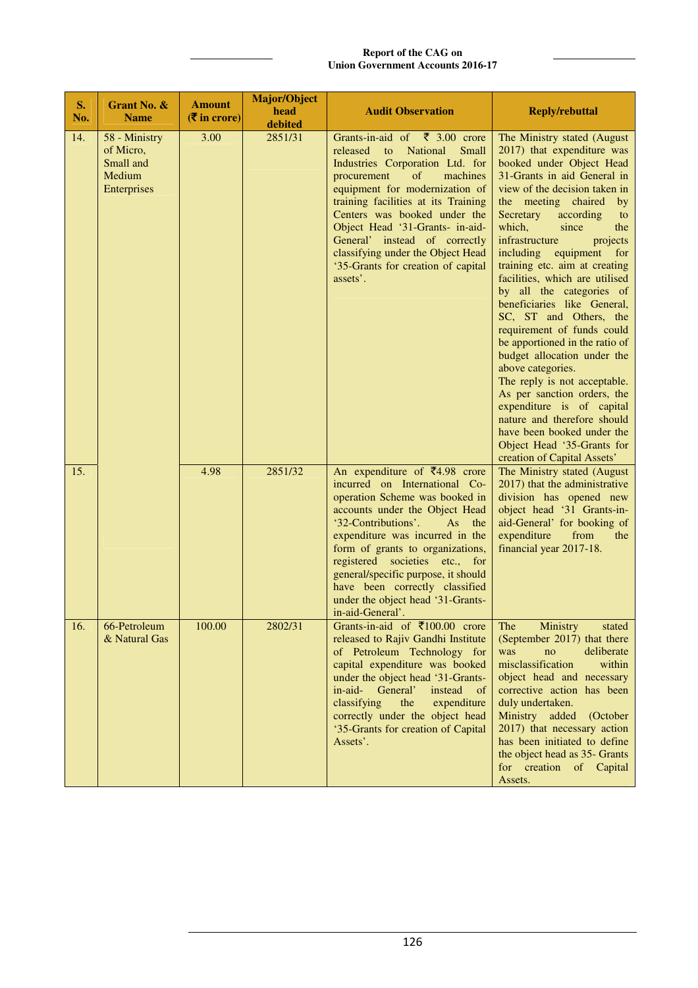| S.<br>No. | Grant No. &<br><b>Name</b>                                       | <b>Amount</b><br>$(\overline{\mathbf{\overline{z}}}$ in crore) | <b>Major/Object</b><br>head<br>debited | <b>Audit Observation</b>                                                                                                                                                                                                                                                                                                                                                                                                                     | <b>Reply/rebuttal</b>                                                                                                                                                                                                                                                                                                                                                                                                                                                                                                                                                                                                                                                                                                                                                                                            |
|-----------|------------------------------------------------------------------|----------------------------------------------------------------|----------------------------------------|----------------------------------------------------------------------------------------------------------------------------------------------------------------------------------------------------------------------------------------------------------------------------------------------------------------------------------------------------------------------------------------------------------------------------------------------|------------------------------------------------------------------------------------------------------------------------------------------------------------------------------------------------------------------------------------------------------------------------------------------------------------------------------------------------------------------------------------------------------------------------------------------------------------------------------------------------------------------------------------------------------------------------------------------------------------------------------------------------------------------------------------------------------------------------------------------------------------------------------------------------------------------|
| 14.       | 58 - Ministry<br>of Micro,<br>Small and<br>Medium<br>Enterprises | 3.00                                                           | 2851/31                                | Grants-in-aid of $\bar{\tau}$ 3.00 crore<br>released<br>National<br>Small<br>$\overline{\mathbf{t}}$<br>Industries Corporation Ltd. for<br>of<br>machines<br>procurement<br>equipment for modernization of<br>training facilities at its Training<br>Centers was booked under the<br>Object Head '31-Grants- in-aid-<br>General' instead of correctly<br>classifying under the Object Head<br>'35-Grants for creation of capital<br>assets'. | The Ministry stated (August<br>2017) that expenditure was<br>booked under Object Head<br>31-Grants in aid General in<br>view of the decision taken in<br>the meeting chaired<br>$_{\rm by}$<br>Secretary<br>according<br>to<br>which,<br>since<br>the<br>infrastructure<br>projects<br>including equipment for<br>training etc. aim at creating<br>facilities, which are utilised<br>by all the categories of<br>beneficiaries like General,<br>SC, ST and Others, the<br>requirement of funds could<br>be apportioned in the ratio of<br>budget allocation under the<br>above categories.<br>The reply is not acceptable.<br>As per sanction orders, the<br>expenditure is of capital<br>nature and therefore should<br>have been booked under the<br>Object Head '35-Grants for<br>creation of Capital Assets' |
| 15.       |                                                                  | 4.98                                                           | 2851/32                                | An expenditure of $\bar{z}$ 4.98 crore<br>incurred on International Co-<br>operation Scheme was booked in<br>accounts under the Object Head<br>'32-Contributions'.<br>As<br>the<br>expenditure was incurred in the<br>form of grants to organizations,<br>registered societies etc., for<br>general/specific purpose, it should<br>have been correctly classified<br>under the object head '31-Grants-<br>in-aid-General'.                   | The Ministry stated (August<br>2017) that the administrative<br>division has opened new<br>object head '31 Grants-in-<br>aid-General' for booking of<br>expenditure<br>from<br>the<br>financial year 2017-18.                                                                                                                                                                                                                                                                                                                                                                                                                                                                                                                                                                                                    |
| 16.       | 66-Petroleum<br>& Natural Gas                                    | 100.00                                                         | 2802/31                                | Grants-in-aid of ₹100.00 crore<br>released to Rajiv Gandhi Institute<br>of Petroleum Technology for<br>capital expenditure was booked<br>under the object head '31-Grants-<br>in-aid-<br>General'<br>instead<br>of<br>expenditure<br>classifying<br>the<br>correctly under the object head<br>'35-Grants for creation of Capital<br>Assets'.                                                                                                 | The<br>Ministry<br>stated<br>(September 2017) that there<br>was<br>deliberate<br>no<br>misclassification<br>within<br>object head and necessary<br>corrective action has been<br>duly undertaken.<br>Ministry added<br>(October<br>2017) that necessary action<br>has been initiated to define<br>the object head as 35- Grants<br>for creation of Capital<br>Assets.                                                                                                                                                                                                                                                                                                                                                                                                                                            |

### **Report of the CAG on Union Government Accounts 2016-17**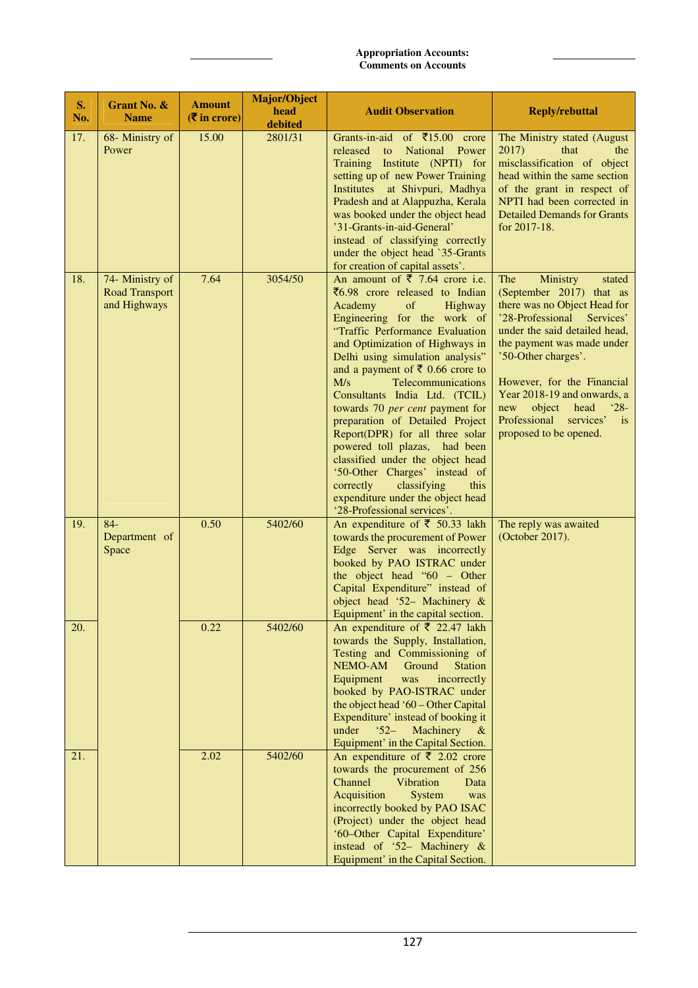| S.<br>No. | Grant No. &<br><b>Name</b>                               | <b>Amount</b><br>$(5 \infty)$ in crore) | <b>Major/Object</b><br>head<br>debited | <b>Audit Observation</b>                                                                                                                                                                                                                                                                                                                                                                                                                                                                                                                                                                                                                                                    | <b>Reply/rebuttal</b>                                                                                                                                                                                                                                                                                                                                                            |
|-----------|----------------------------------------------------------|-----------------------------------------|----------------------------------------|-----------------------------------------------------------------------------------------------------------------------------------------------------------------------------------------------------------------------------------------------------------------------------------------------------------------------------------------------------------------------------------------------------------------------------------------------------------------------------------------------------------------------------------------------------------------------------------------------------------------------------------------------------------------------------|----------------------------------------------------------------------------------------------------------------------------------------------------------------------------------------------------------------------------------------------------------------------------------------------------------------------------------------------------------------------------------|
| 17.       | 68- Ministry of<br>Power                                 | 15.00                                   | 2801/31                                | Grants-in-aid of ₹15.00 crore<br>released<br>National Power<br>to<br>Training Institute (NPTI) for<br>setting up of new Power Training<br>Institutes at Shivpuri, Madhya<br>Pradesh and at Alappuzha, Kerala<br>was booked under the object head<br>'31-Grants-in-aid-General'<br>instead of classifying correctly<br>under the object head `35-Grants<br>for creation of capital assets'.                                                                                                                                                                                                                                                                                  | The Ministry stated (August<br>2017)<br>that<br>the<br>misclassification of object<br>head within the same section<br>of the grant in respect of<br>NPTI had been corrected in<br><b>Detailed Demands for Grants</b><br>for 2017-18.                                                                                                                                             |
| 18.       | 74- Ministry of<br><b>Road Transport</b><br>and Highways | 7.64                                    | 3054/50                                | An amount of $\overline{5}$ 7.64 crore i.e.<br>₹6.98 crore released to Indian<br>Academy<br>of<br>Highway<br>Engineering for the work of<br>"Traffic Performance Evaluation<br>and Optimization of Highways in<br>Delhi using simulation analysis"<br>and a payment of ₹ 0.66 crore to<br>M/s<br>Telecommunications<br>Consultants India Ltd. (TCIL)<br>towards 70 per cent payment for<br>preparation of Detailed Project<br>Report(DPR) for all three solar<br>powered toll plazas, had been<br>classified under the object head<br>'50-Other Charges' instead of<br>correctly<br>classifying<br>this<br>expenditure under the object head<br>'28-Professional services'. | Ministry<br>The<br>stated<br>(September 2017) that as<br>there was no Object Head for<br>'28-Professional<br>Services'<br>under the said detailed head,<br>the payment was made under<br>'50-Other charges'.<br>However, for the Financial<br>Year 2018-19 and onwards, a<br>object<br>$^{\circ}28-$<br>new<br>head<br>Professional<br>services'<br>is<br>proposed to be opened. |
| 19.       | $84-$<br>Department of<br>Space                          | 0.50                                    | 5402/60                                | An expenditure of $\bar{\tau}$ 50.33 lakh<br>towards the procurement of Power<br>Edge Server was incorrectly<br>booked by PAO ISTRAC under<br>the object head " $60$ – Other<br>Capital Expenditure" instead of<br>object head '52- Machinery &<br>Equipment' in the capital section.                                                                                                                                                                                                                                                                                                                                                                                       | The reply was awaited<br>(October 2017).                                                                                                                                                                                                                                                                                                                                         |
| 20.       |                                                          | 0.22                                    | 5402/60                                | An expenditure of $\bar{\tau}$ 22.47 lakh<br>towards the Supply, Installation,<br>Testing and Commissioning of<br>NEMO-AM<br>Ground<br><b>Station</b><br>Equipment<br>incorrectly<br>was<br>booked by PAO-ISTRAC under<br>the object head '60 – Other Capital<br>Expenditure' instead of booking it<br>Machinery<br>under<br>$52 -$<br>$\alpha$<br>Equipment' in the Capital Section.                                                                                                                                                                                                                                                                                       |                                                                                                                                                                                                                                                                                                                                                                                  |
| 21.       |                                                          | 2.02                                    | 5402/60                                | An expenditure of $\bar{\tau}$ 2.02 crore<br>towards the procurement of 256<br>Vibration<br>Channel<br>Data<br>Acquisition<br>System<br>was<br>incorrectly booked by PAO ISAC<br>(Project) under the object head<br>'60-Other Capital Expenditure'<br>instead of '52- Machinery &<br>Equipment' in the Capital Section.                                                                                                                                                                                                                                                                                                                                                     |                                                                                                                                                                                                                                                                                                                                                                                  |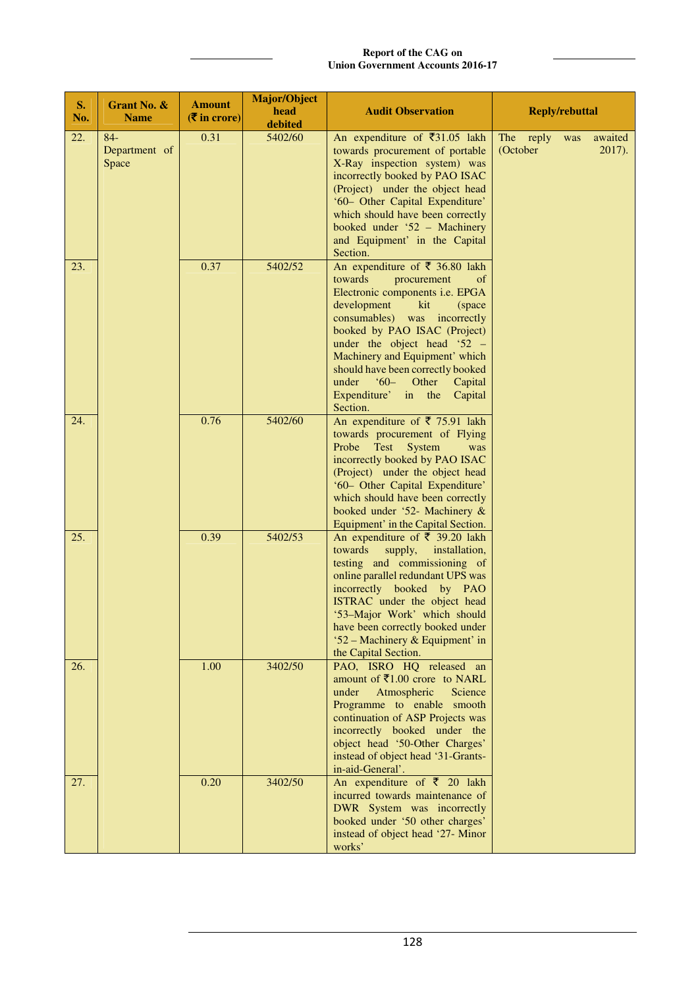### **Report of the CAG on Union Government Accounts 2016-17**

| S.<br>No. | Grant No. &<br><b>Name</b>      | <b>Amount</b><br>$(5 \infty)$ in crore) | <b>Major/Object</b><br>head<br>debited | <b>Audit Observation</b>                                                                                                                                                                                                                                                                                                                                                                                     | <b>Reply/rebuttal</b>                                   |
|-----------|---------------------------------|-----------------------------------------|----------------------------------------|--------------------------------------------------------------------------------------------------------------------------------------------------------------------------------------------------------------------------------------------------------------------------------------------------------------------------------------------------------------------------------------------------------------|---------------------------------------------------------|
| 22.       | $84-$<br>Department of<br>Space | 0.31                                    | 5402/60                                | An expenditure of $\overline{\xi}31.05$ lakh<br>towards procurement of portable<br>X-Ray inspection system) was<br>incorrectly booked by PAO ISAC<br>(Project) under the object head<br>'60- Other Capital Expenditure'<br>which should have been correctly<br>booked under '52 - Machinery<br>and Equipment' in the Capital<br>Section.                                                                     | reply<br>awaited<br>The<br>was<br>(October<br>$2017$ ). |
| 23.       |                                 | 0.37                                    | 5402/52                                | An expenditure of $\bar{\tau}$ 36.80 lakh<br>towards<br>procurement<br>of<br>Electronic components i.e. EPGA<br>development<br>kit<br>(space)<br>consumables) was incorrectly<br>booked by PAO ISAC (Project)<br>under the object head ' $52 -$<br>Machinery and Equipment' which<br>should have been correctly booked<br>$60 - \text{Other}$<br>under<br>Capital<br>Expenditure' in the Capital<br>Section. |                                                         |
| 24.       |                                 | 0.76                                    | 5402/60                                | An expenditure of $\bar{\tau}$ 75.91 lakh<br>towards procurement of Flying<br>Probe<br>Test System<br>was<br>incorrectly booked by PAO ISAC<br>(Project) under the object head<br>'60- Other Capital Expenditure'<br>which should have been correctly<br>booked under '52- Machinery &<br>Equipment' in the Capital Section.                                                                                 |                                                         |
| 25.       |                                 | 0.39                                    | 5402/53                                | An expenditure of $\bar{\xi}$ 39.20 lakh<br>towards<br>supply,<br>installation,<br>testing and commissioning of<br>online parallel redundant UPS was<br>incorrectly booked by PAO<br>ISTRAC under the object head<br>'53-Major Work' which should<br>have been correctly booked under<br>'52 – Machinery & Equipment' in<br>the Capital Section.                                                             |                                                         |
| 26.       |                                 | 1.00                                    | 3402/50                                | PAO, ISRO HQ released an<br>amount of $\overline{\xi}1.00$ crore to NARL<br>Atmospheric<br>Science<br>under<br>Programme to enable smooth<br>continuation of ASP Projects was<br>incorrectly booked under the<br>object head '50-Other Charges'<br>instead of object head '31-Grants-<br>in-aid-General'.                                                                                                    |                                                         |
| 27.       |                                 | 0.20                                    | 3402/50                                | An expenditure of $\bar{\tau}$ 20 lakh<br>incurred towards maintenance of<br>DWR System was incorrectly<br>booked under '50 other charges'<br>instead of object head '27- Minor<br>works'                                                                                                                                                                                                                    |                                                         |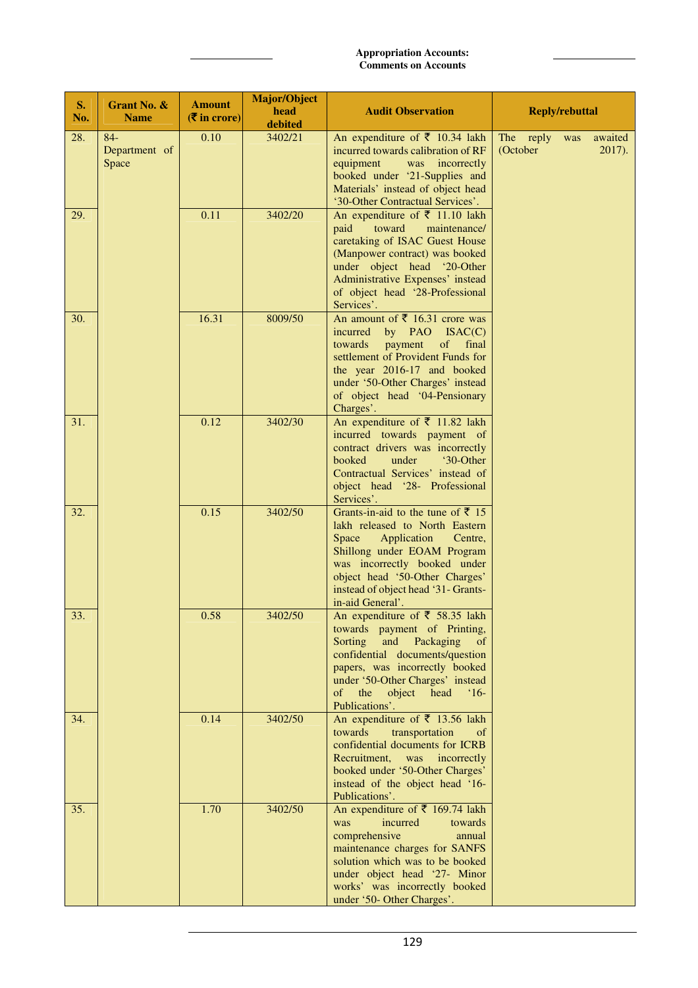| S.<br>No. | Grant No. &<br><b>Name</b>      | <b>Amount</b><br>$(\overline{\mathbf{\overline{z}}}$ in crore) | Major/Object<br>head<br>debited | <b>Audit Observation</b>                                                                                                                                                                                                                                                             | <b>Reply/rebuttal</b>                             |  |
|-----------|---------------------------------|----------------------------------------------------------------|---------------------------------|--------------------------------------------------------------------------------------------------------------------------------------------------------------------------------------------------------------------------------------------------------------------------------------|---------------------------------------------------|--|
| 28.       | $84-$<br>Department of<br>Space | 0.10                                                           | 3402/21                         | An expenditure of $\bar{\tau}$ 10.34 lakh<br>incurred towards calibration of RF<br>equipment<br>was incorrectly<br>booked under '21-Supplies and<br>Materials' instead of object head<br>'30-Other Contractual Services'.                                                            | The reply was<br>awaited<br>(October<br>$2017$ ). |  |
| 29.       |                                 | 0.11                                                           | 3402/20                         | An expenditure of $\bar{\tau}$ 11.10 lakh<br>toward<br>paid<br>maintenance/<br>caretaking of ISAC Guest House<br>(Manpower contract) was booked<br>under object head '20-Other<br>Administrative Expenses' instead<br>of object head '28-Professional<br>Services'.                  |                                                   |  |
| 30.       |                                 | 16.31                                                          | 8009/50                         | An amount of $\bar{\bar{\xi}}$ 16.31 crore was<br>by PAO ISAC(C)<br>incurred<br>payment<br>towards<br>of<br>final<br>settlement of Provident Funds for<br>the year 2016-17 and booked<br>under '50-Other Charges' instead<br>of object head '04-Pensionary<br>Charges'.              |                                                   |  |
| 31.       |                                 | 0.12                                                           | 3402/30                         | An expenditure of $\bar{\tau}$ 11.82 lakh<br>incurred towards payment of<br>contract drivers was incorrectly<br>'30-Other<br>booked<br>under<br>Contractual Services' instead of<br>object head '28- Professional<br>Services'.                                                      |                                                   |  |
| 32.       |                                 | 0.15                                                           | 3402/50                         | Grants-in-aid to the tune of $\bar{z}$ 15<br>lakh released to North Eastern<br>Space<br>Application<br>Centre,<br>Shillong under EOAM Program<br>was incorrectly booked under<br>object head '50-Other Charges'<br>instead of object head '31- Grants-<br>in-aid General'.           |                                                   |  |
| 33.       |                                 | $0.58\,$                                                       | 3402/50                         | An expenditure of $\overline{5}$ 58.35 lakh<br>towards payment of Printing,<br>Sorting<br>and<br>Packaging<br>of<br>confidential documents/question<br>papers, was incorrectly booked<br>under '50-Other Charges' instead<br>of<br>the object head<br>$^{\circ}16$<br>Publications'. |                                                   |  |
| 34.       |                                 | 0.14                                                           | 3402/50                         | An expenditure of $\overline{5}$ 13.56 lakh<br>towards<br>transportation<br>of<br>confidential documents for ICRB<br>Recruitment,<br>was<br>incorrectly<br>booked under '50-Other Charges'<br>instead of the object head '16-<br>Publications'.                                      |                                                   |  |
| 35.       |                                 | 1.70                                                           | 3402/50                         | An expenditure of ₹ 169.74 lakh<br>was<br>incurred<br>towards<br>comprehensive<br>annual<br>maintenance charges for SANFS<br>solution which was to be booked<br>under object head '27- Minor<br>works' was incorrectly booked<br>under '50- Other Charges'.                          |                                                   |  |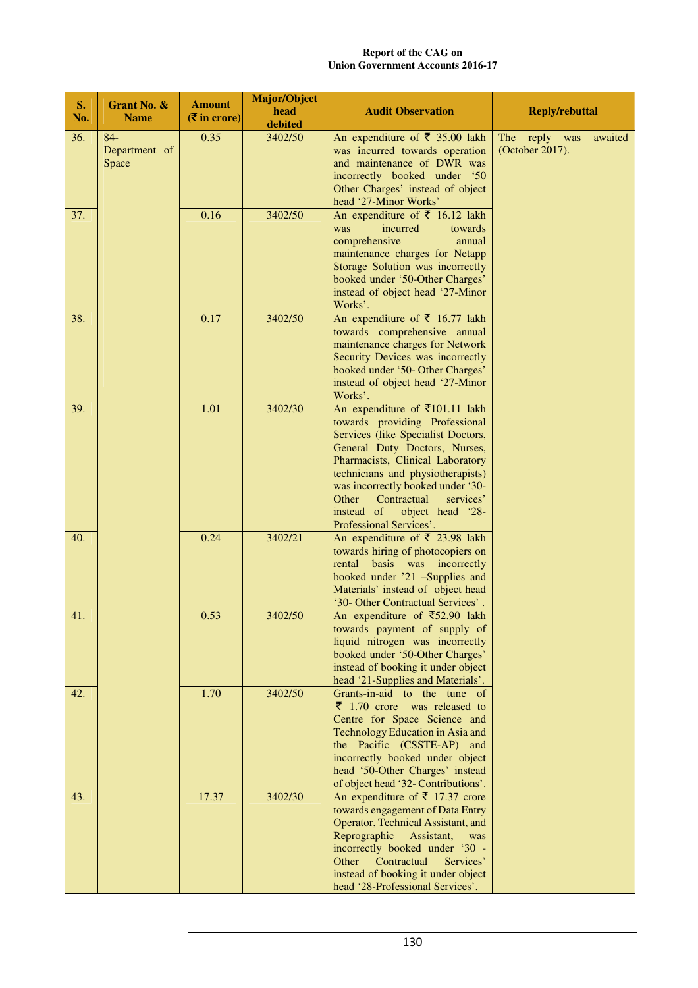### **Report of the CAG on Union Government Accounts 2016-17**

| S.<br>No. | Grant No. &<br><b>Name</b>      | <b>Amount</b><br>$(\overline{\mathbf{\overline{z}}}$ in crore) | <b>Major/Object</b><br>head<br>debited | <b>Audit Observation</b>                                                                                                                                                                                                                                                                                                                                            | <b>Reply/rebuttal</b>                       |
|-----------|---------------------------------|----------------------------------------------------------------|----------------------------------------|---------------------------------------------------------------------------------------------------------------------------------------------------------------------------------------------------------------------------------------------------------------------------------------------------------------------------------------------------------------------|---------------------------------------------|
| 36.       | $84-$<br>Department of<br>Space | 0.35                                                           | 3402/50                                | An expenditure of $\overline{\xi}$ 35.00 lakh<br>was incurred towards operation<br>and maintenance of DWR was<br>incorrectly booked under '50<br>Other Charges' instead of object<br>head '27-Minor Works'                                                                                                                                                          | The reply was<br>awaited<br>(October 2017). |
| 37.       |                                 | 0.16                                                           | 3402/50                                | An expenditure of $\bar{\tau}$ 16.12 lakh<br>incurred<br>was<br>towards<br>comprehensive<br>annual<br>maintenance charges for Netapp<br>Storage Solution was incorrectly<br>booked under '50-Other Charges'<br>instead of object head '27-Minor<br>Works'.                                                                                                          |                                             |
| 38.       |                                 | 0.17                                                           | 3402/50                                | An expenditure of $\bar{\tau}$ 16.77 lakh<br>towards comprehensive annual<br>maintenance charges for Network<br>Security Devices was incorrectly<br>booked under '50- Other Charges'<br>instead of object head '27-Minor<br>Works'.                                                                                                                                 |                                             |
| 39.       |                                 | 1.01                                                           | 3402/30                                | An expenditure of $\bar{\tau}$ 101.11 lakh<br>towards providing Professional<br>Services (like Specialist Doctors,<br>General Duty Doctors, Nurses,<br>Pharmacists, Clinical Laboratory<br>technicians and physiotherapists)<br>was incorrectly booked under '30-<br>Other<br>Contractual<br>services'<br>instead of<br>object head '28-<br>Professional Services'. |                                             |
| 40.       |                                 | 0.24                                                           | 3402/21                                | An expenditure of $\bar{\tau}$ 23.98 lakh<br>towards hiring of photocopiers on<br>rental basis was incorrectly<br>booked under '21 -Supplies and<br>Materials' instead of object head<br>'30- Other Contractual Services'.                                                                                                                                          |                                             |
| 41.       |                                 | 0.53                                                           | 3402/50                                | An expenditure of ₹52.90 lakh<br>towards payment of supply of<br>liquid nitrogen was incorrectly<br>booked under '50-Other Charges'<br>instead of booking it under object<br>head '21-Supplies and Materials'.                                                                                                                                                      |                                             |
| 42.       |                                 | 1.70                                                           | 3402/50                                | Grants-in-aid to the tune of<br>$\bar{z}$ 1.70 crore was released to<br>Centre for Space Science and<br>Technology Education in Asia and<br>the Pacific (CSSTE-AP) and<br>incorrectly booked under object<br>head '50-Other Charges' instead<br>of object head '32- Contributions'.                                                                                 |                                             |
| 43.       |                                 | 17.37                                                          | 3402/30                                | An expenditure of $\bar{\tau}$ 17.37 crore<br>towards engagement of Data Entry<br>Operator, Technical Assistant, and<br>Reprographic<br>Assistant,<br>was<br>incorrectly booked under '30 -<br>Contractual<br>Services'<br>Other<br>instead of booking it under object<br>head '28-Professional Services'.                                                          |                                             |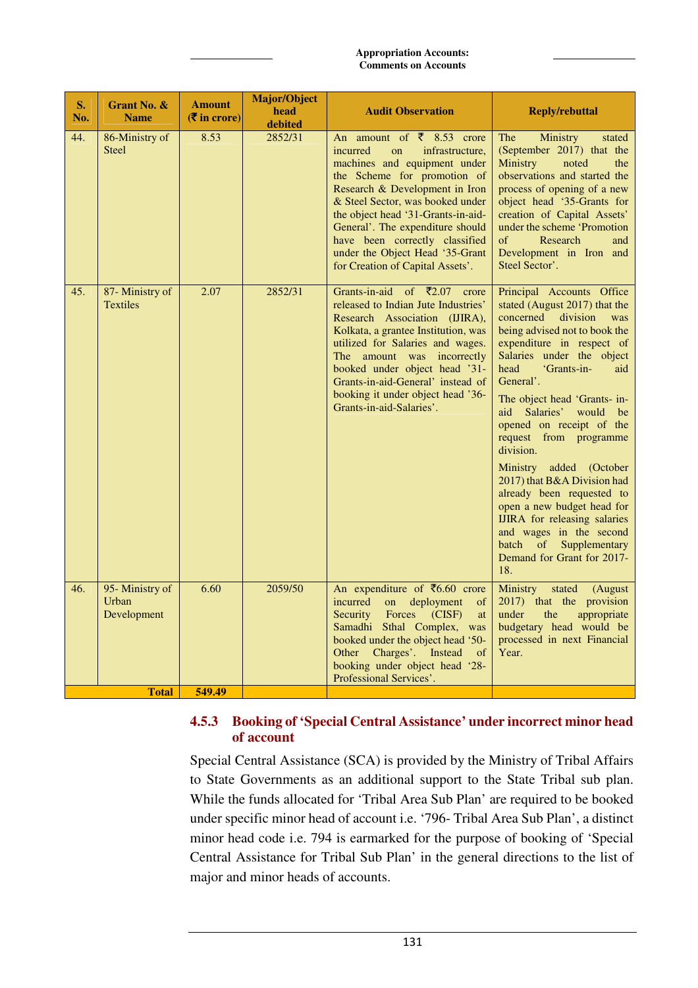| $S_{\bullet}$<br>No. | Grant No. &<br><b>Name</b>              | <b>Amount</b><br>$(\overline{\mathbf{\overline{z}}}$ in crore) | <b>Major/Object</b><br>head<br>debited | <b>Audit Observation</b>                                                                                                                                                                                                                                                                                                                                                                           | <b>Reply/rebuttal</b>                                                                                                                                                                                                                                                                                                                                                                                                                                                                                                                                                                                                           |
|----------------------|-----------------------------------------|----------------------------------------------------------------|----------------------------------------|----------------------------------------------------------------------------------------------------------------------------------------------------------------------------------------------------------------------------------------------------------------------------------------------------------------------------------------------------------------------------------------------------|---------------------------------------------------------------------------------------------------------------------------------------------------------------------------------------------------------------------------------------------------------------------------------------------------------------------------------------------------------------------------------------------------------------------------------------------------------------------------------------------------------------------------------------------------------------------------------------------------------------------------------|
| 44.                  | 86-Ministry of<br><b>Steel</b>          | 8.53                                                           | 2852/31                                | An amount of $\bar{\zeta}$ 8.53 crore<br>incurred<br>on<br>infrastructure,<br>machines and equipment under<br>the Scheme for promotion of<br>Research & Development in Iron<br>& Steel Sector, was booked under<br>the object head '31-Grants-in-aid-<br>General'. The expenditure should<br>have been correctly classified<br>under the Object Head '35-Grant<br>for Creation of Capital Assets'. | Ministry<br>The<br>stated<br>(September 2017) that the<br>Ministry<br>noted<br>the<br>observations and started the<br>process of opening of a new<br>object head '35-Grants for<br>creation of Capital Assets'<br>under the scheme 'Promotion<br>of<br>Research<br>and<br>Development in Iron and<br>Steel Sector'.                                                                                                                                                                                                                                                                                                             |
| 45.                  | 87- Ministry of<br><b>Textiles</b>      | 2.07                                                           | 2852/31                                | Grants-in-aid of $\bar{\zeta}2.07$<br>crore<br>released to Indian Jute Industries'<br>Research Association (IJIRA),<br>Kolkata, a grantee Institution, was<br>utilized for Salaries and wages.<br>The amount was incorrectly<br>booked under object head '31-<br>Grants-in-aid-General' instead of<br>booking it under object head '36-<br>Grants-in-aid-Salaries'.                                | Principal Accounts Office<br>stated (August 2017) that the<br>concerned<br>division<br>was<br>being advised not to book the<br>expenditure in respect of<br>Salaries under the object<br>head<br>'Grants-in-<br>aid<br>General'.<br>The object head 'Grants- in-<br>aid Salaries'<br>would<br>be<br>opened on receipt of the<br>request from programme<br>division.<br>Ministry added (October<br>2017) that B&A Division had<br>already been requested to<br>open a new budget head for<br><b>IJIRA</b> for releasing salaries<br>and wages in the second<br>batch<br>of<br>Supplementary<br>Demand for Grant for 2017-<br>18. |
| 46.                  | 95- Ministry of<br>Urban<br>Development | 6.60                                                           | 2059/50                                | An expenditure of $\overline{56.60}$ crore<br>incurred<br>deployment<br>on<br>of<br>Forces (CISF)<br>Security<br>at<br>Samadhi Sthal Complex, was<br>booked under the object head '50-<br>Charges'. Instead<br>Other<br>$\circ$ of<br>booking under object head '28-<br>Professional Services'.                                                                                                    | Ministry<br>stated<br>(August<br>2017) that the provision<br>under<br>appropriate<br>the<br>budgetary head would be<br>processed in next Financial<br>Year.                                                                                                                                                                                                                                                                                                                                                                                                                                                                     |
|                      | <b>Total</b>                            | 549.49                                                         |                                        |                                                                                                                                                                                                                                                                                                                                                                                                    |                                                                                                                                                                                                                                                                                                                                                                                                                                                                                                                                                                                                                                 |

# **4.5.3 Booking of 'Special Central Assistance' under incorrect minor head of account**

Special Central Assistance (SCA) is provided by the Ministry of Tribal Affairs to State Governments as an additional support to the State Tribal sub plan. While the funds allocated for 'Tribal Area Sub Plan' are required to be booked under specific minor head of account i.e. '796- Tribal Area Sub Plan', a distinct minor head code i.e. 794 is earmarked for the purpose of booking of 'Special Central Assistance for Tribal Sub Plan' in the general directions to the list of major and minor heads of accounts.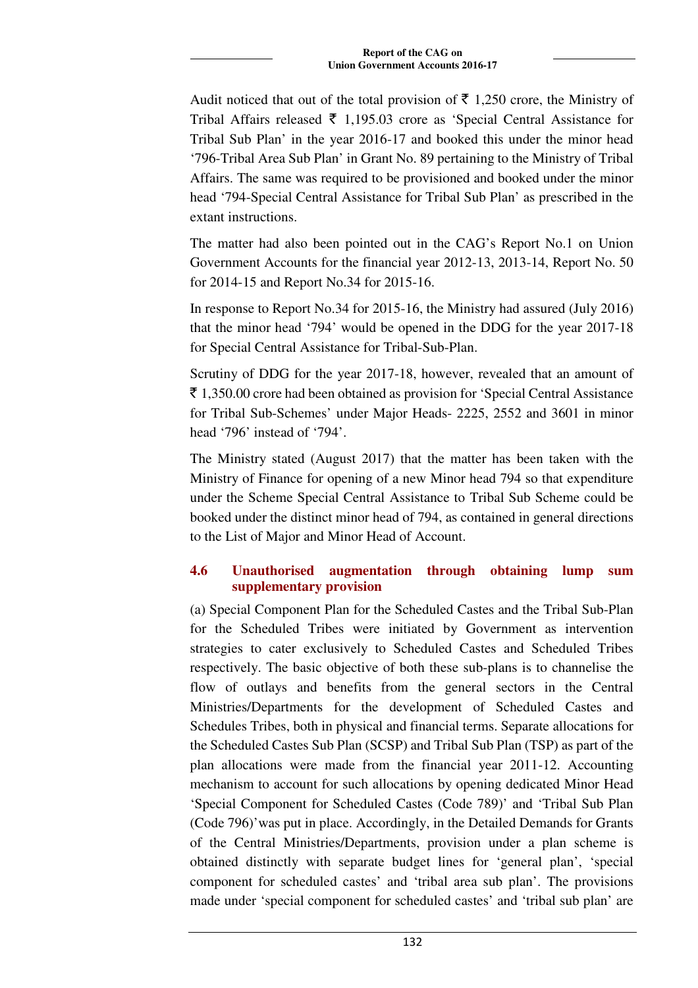Audit noticed that out of the total provision of  $\bar{\tau}$  1,250 crore, the Ministry of Tribal Affairs released  $\bar{\tau}$  1,195.03 crore as 'Special Central Assistance for Tribal Sub Plan' in the year 2016-17 and booked this under the minor head '796-Tribal Area Sub Plan' in Grant No. 89 pertaining to the Ministry of Tribal Affairs. The same was required to be provisioned and booked under the minor head '794-Special Central Assistance for Tribal Sub Plan' as prescribed in the extant instructions.

The matter had also been pointed out in the CAG's Report No.1 on Union Government Accounts for the financial year 2012-13, 2013-14, Report No. 50 for 2014-15 and Report No.34 for 2015-16.

In response to Report No.34 for 2015-16, the Ministry had assured (July 2016) that the minor head '794' would be opened in the DDG for the year 2017-18 for Special Central Assistance for Tribal-Sub-Plan.

Scrutiny of DDG for the year 2017-18, however, revealed that an amount of  $\bar{\xi}$  1,350.00 crore had been obtained as provision for 'Special Central Assistance for Tribal Sub-Schemes' under Major Heads- 2225, 2552 and 3601 in minor head '796' instead of '794'.

The Ministry stated (August 2017) that the matter has been taken with the Ministry of Finance for opening of a new Minor head 794 so that expenditure under the Scheme Special Central Assistance to Tribal Sub Scheme could be booked under the distinct minor head of 794, as contained in general directions to the List of Major and Minor Head of Account.

# **4.6 Unauthorised augmentation through obtaining lump sum supplementary provision**

(a) Special Component Plan for the Scheduled Castes and the Tribal Sub-Plan for the Scheduled Tribes were initiated by Government as intervention strategies to cater exclusively to Scheduled Castes and Scheduled Tribes respectively. The basic objective of both these sub-plans is to channelise the flow of outlays and benefits from the general sectors in the Central Ministries/Departments for the development of Scheduled Castes and Schedules Tribes, both in physical and financial terms. Separate allocations for the Scheduled Castes Sub Plan (SCSP) and Tribal Sub Plan (TSP) as part of the plan allocations were made from the financial year 2011-12. Accounting mechanism to account for such allocations by opening dedicated Minor Head 'Special Component for Scheduled Castes (Code 789)' and 'Tribal Sub Plan (Code 796)'was put in place. Accordingly, in the Detailed Demands for Grants of the Central Ministries/Departments, provision under a plan scheme is obtained distinctly with separate budget lines for 'general plan', 'special component for scheduled castes' and 'tribal area sub plan'. The provisions made under 'special component for scheduled castes' and 'tribal sub plan' are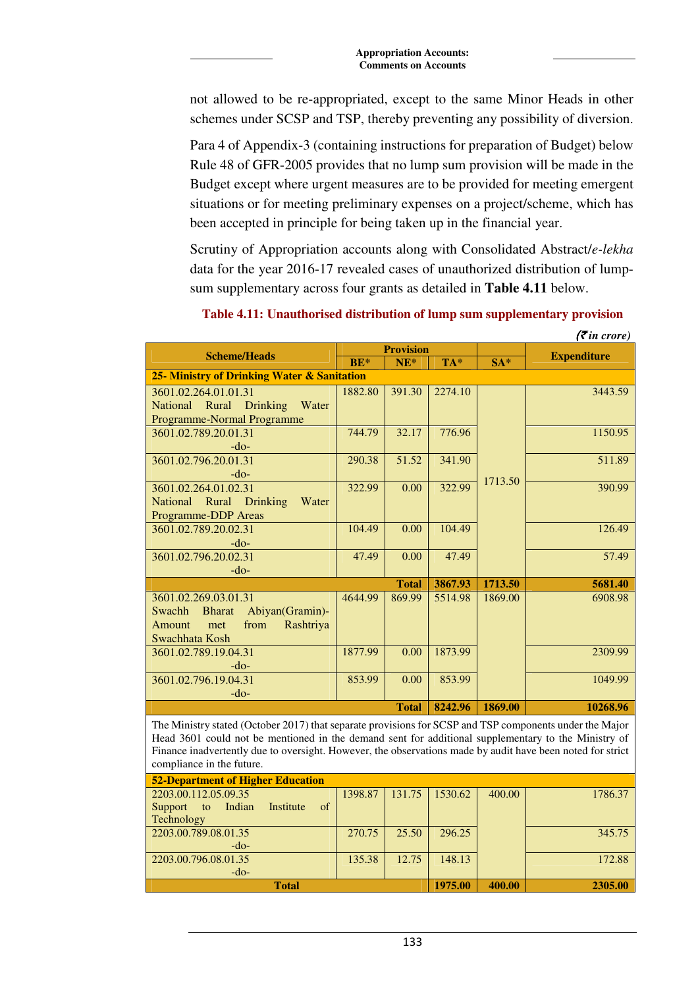not allowed to be re-appropriated, except to the same Minor Heads in other schemes under SCSP and TSP, thereby preventing any possibility of diversion.

Para 4 of Appendix-3 (containing instructions for preparation of Budget) below Rule 48 of GFR-2005 provides that no lump sum provision will be made in the Budget except where urgent measures are to be provided for meeting emergent situations or for meeting preliminary expenses on a project/scheme, which has been accepted in principle for being taken up in the financial year.

Scrutiny of Appropriation accounts along with Consolidated Abstract/*e-lekha* data for the year 2016-17 revealed cases of unauthorized distribution of lumpsum supplementary across four grants as detailed in **Table 4.11** below.

|                                                                                                            |         |                  |         |         | $( \bar{\mathbf{\xi}}$ in crore) |
|------------------------------------------------------------------------------------------------------------|---------|------------------|---------|---------|----------------------------------|
| <b>Scheme/Heads</b>                                                                                        |         | <b>Provision</b> |         |         | <b>Expenditure</b>               |
|                                                                                                            | BE*     | $NE*$            | TA*     | $SA*$   |                                  |
| 25- Ministry of Drinking Water & Sanitation                                                                |         |                  |         |         |                                  |
| 3601.02.264.01.01.31                                                                                       | 1882.80 | 391.30           | 2274.10 |         | 3443.59                          |
| National Rural<br>Drinking<br>Water                                                                        |         |                  |         |         |                                  |
| Programme-Normal Programme                                                                                 |         |                  |         |         |                                  |
| 3601.02.789.20.01.31                                                                                       | 744.79  | 32.17            | 776.96  |         | 1150.95                          |
| $-do-$                                                                                                     |         |                  |         |         |                                  |
| 3601.02.796.20.01.31                                                                                       | 290.38  | 51.52            | 341.90  |         | 511.89                           |
| $-do-$                                                                                                     |         |                  |         | 1713.50 |                                  |
| 3601.02.264.01.02.31                                                                                       | 322.99  | 0.00             | 322.99  |         | 390.99                           |
| Rural<br><b>National</b><br>Drinking<br>Water                                                              |         |                  |         |         |                                  |
| <b>Programme-DDP</b> Areas                                                                                 |         |                  |         |         |                                  |
| 3601.02.789.20.02.31                                                                                       | 104.49  | 0.00             | 104.49  |         | 126.49                           |
| $-do-$                                                                                                     |         |                  |         |         |                                  |
| 3601.02.796.20.02.31                                                                                       | 47.49   | 0.00             | 47.49   |         | 57.49                            |
| $-do-$                                                                                                     |         |                  |         |         |                                  |
|                                                                                                            |         | <b>Total</b>     | 3867.93 | 1713.50 | 5681.40                          |
| 3601.02.269.03.01.31                                                                                       | 4644.99 | 869.99           | 5514.98 | 1869.00 | 6908.98                          |
| Swachh<br><b>Bharat</b><br>Abiyan(Gramin)-                                                                 |         |                  |         |         |                                  |
| Rashtriya<br>Amount<br>from<br>met                                                                         |         |                  |         |         |                                  |
| Swachhata Kosh                                                                                             |         |                  |         |         |                                  |
| 3601.02.789.19.04.31                                                                                       | 1877.99 | 0.00             | 1873.99 |         | 2309.99                          |
| $-do-$                                                                                                     |         |                  |         |         |                                  |
| 3601.02.796.19.04.31                                                                                       | 853.99  | 0.00             | 853.99  |         | 1049.99                          |
| $-do-$                                                                                                     |         |                  |         |         |                                  |
|                                                                                                            |         | <b>Total</b>     | 8242.96 | 1869.00 | 10268.96                         |
| The Ministry stated (October 2017) that separate provisions for SCSP and TSP components under the Major    |         |                  |         |         |                                  |
| Head 3601 could not be mentioned in the demand sent for additional supplementary to the Ministry of        |         |                  |         |         |                                  |
| Finance inadvertently due to oversight. However, the observations made by audit have been noted for strict |         |                  |         |         |                                  |
| compliance in the future.                                                                                  |         |                  |         |         |                                  |
| <b>52-Department of Higher Education</b>                                                                   |         |                  |         |         |                                  |
| 2203.00.112.05.09.35                                                                                       | 1398.87 | 131.75           | 1530.62 | 400.00  | 1786.37                          |
| Support<br>Indian<br>Institute<br>of<br>to                                                                 |         |                  |         |         |                                  |
| Technology                                                                                                 |         |                  |         |         |                                  |
| 2203.00.789.08.01.35                                                                                       | 270.75  | 25.50            | 296.25  |         | 345.75                           |

**Table 4.11: Unauthorised distribution of lump sum supplementary provision** 

135.38 12.75 148.13 172.88

**Total 1975.00 400.00 2305.00** 

-do-

-do-

2203.00.796.08.01.35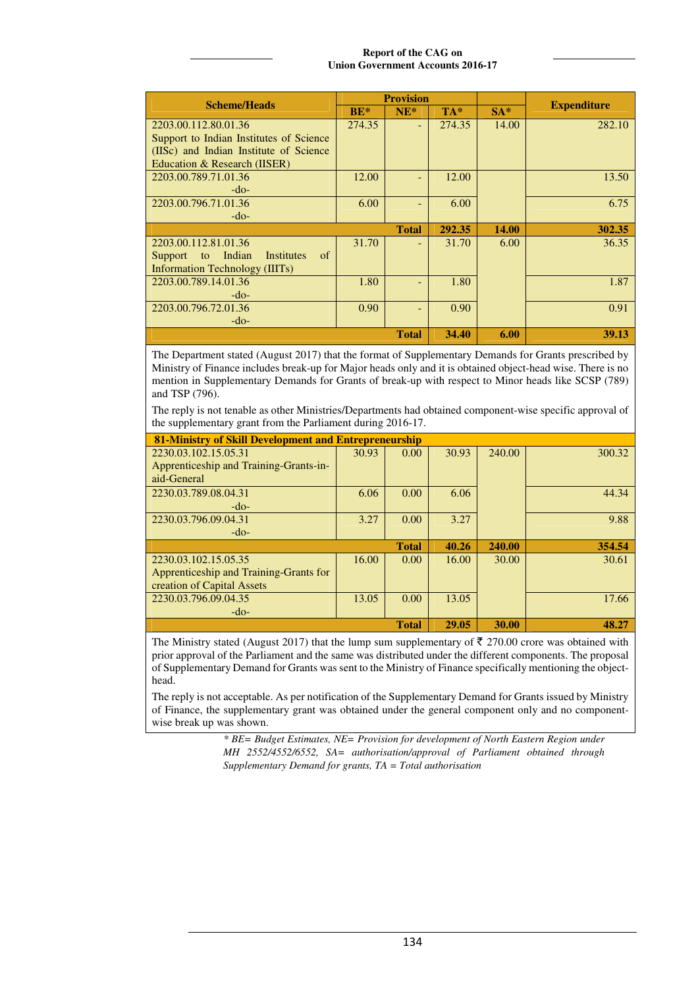### **Report of the CAG on Union Government Accounts 2016-17**

|                                                     |        | <b>Provision</b> |        |       |                    |
|-----------------------------------------------------|--------|------------------|--------|-------|--------------------|
| <b>Scheme/Heads</b>                                 | $BE*$  | $NE^*$           | $TA*$  | $SA*$ | <b>Expenditure</b> |
| 2203.00.112.80.01.36                                | 274.35 |                  | 274.35 | 14.00 | 282.10             |
| Support to Indian Institutes of Science             |        |                  |        |       |                    |
| (IISc) and Indian Institute of Science              |        |                  |        |       |                    |
| Education & Research (IISER)                        |        |                  |        |       |                    |
| 2203.00.789.71.01.36                                | 12.00  |                  | 12.00  |       | 13.50              |
| $-do-$                                              |        |                  |        |       |                    |
| 2203.00.796.71.01.36                                | 6.00   |                  | 6.00   |       | 6.75               |
| $-do-$                                              |        |                  |        |       |                    |
|                                                     |        | <b>Total</b>     | 292.35 | 14.00 | 302.35             |
| 2203.00.112.81.01.36                                | 31.70  |                  | 31.70  | 6.00  | 36.35              |
| Indian<br>Institutes<br><sub>of</sub><br>Support to |        |                  |        |       |                    |
| Information Technology (IIITs)                      |        |                  |        |       |                    |
| 2203.00.789.14.01.36                                | 1.80   |                  | 1.80   |       | 1.87               |
| $-do-$                                              |        |                  |        |       |                    |
| 2203.00.796.72.01.36                                | 0.90   |                  | 0.90   |       | 0.91               |
| $-do-$                                              |        |                  |        |       |                    |
|                                                     |        | <b>Total</b>     | 34.40  | 6.00  | 39.13              |

The Department stated (August 2017) that the format of Supplementary Demands for Grants prescribed by Ministry of Finance includes break-up for Major heads only and it is obtained object-head wise. There is no mention in Supplementary Demands for Grants of break-up with respect to Minor heads like SCSP (789) and TSP (796).

The reply is not tenable as other Ministries/Departments had obtained component-wise specific approval of the supplementary grant from the Parliament during 2016-17.

| 81-Ministry of Skill Development and Entrepreneurship |       |              |       |        |        |  |  |  |
|-------------------------------------------------------|-------|--------------|-------|--------|--------|--|--|--|
| 2230.03.102.15.05.31                                  | 30.93 | 0.00         | 30.93 | 240.00 | 300.32 |  |  |  |
| Apprenticeship and Training-Grants-in-                |       |              |       |        |        |  |  |  |
| aid-General                                           |       |              |       |        |        |  |  |  |
| 2230.03.789.08.04.31                                  | 6.06  | 0.00         | 6.06  |        | 44.34  |  |  |  |
| $-do-$                                                |       |              |       |        |        |  |  |  |
| 2230.03.796.09.04.31                                  | 3.27  | 0.00         | 3.27  |        | 9.88   |  |  |  |
| $-do-$                                                |       |              |       |        |        |  |  |  |
|                                                       |       | <b>Total</b> | 40.26 | 240.00 | 354.54 |  |  |  |
| 2230.03.102.15.05.35                                  | 16.00 | 0.00         | 16.00 | 30.00  | 30.61  |  |  |  |
| Apprenticeship and Training-Grants for                |       |              |       |        |        |  |  |  |
| creation of Capital Assets                            |       |              |       |        |        |  |  |  |
| 2230.03.796.09.04.35                                  | 13.05 | 0.00         | 13.05 |        | 17.66  |  |  |  |
| $-do-$                                                |       |              |       |        |        |  |  |  |
|                                                       |       | <b>Total</b> | 29.05 | 30.00  | 48.27  |  |  |  |

The Ministry stated (August 2017) that the lump sum supplementary of  $\bar{\tau}$  270.00 crore was obtained with prior approval of the Parliament and the same was distributed under the different components. The proposal of Supplementary Demand for Grants was sent to the Ministry of Finance specifically mentioning the objecthead.

The reply is not acceptable. As per notification of the Supplementary Demand for Grants issued by Ministry of Finance, the supplementary grant was obtained under the general component only and no componentwise break up was shown.

> *\* BE= Budget Estimates, NE= Provision for development of North Eastern Region under MH 2552/4552/6552, SA= authorisation/approval of Parliament obtained through Supplementary Demand for grants, TA = Total authorisation*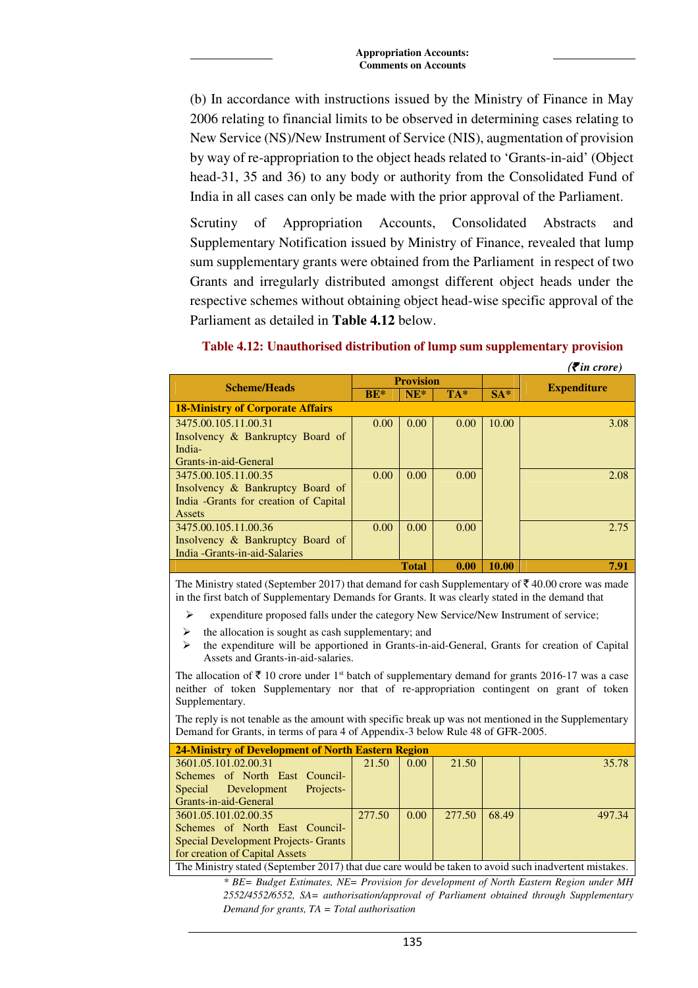(b) In accordance with instructions issued by the Ministry of Finance in May 2006 relating to financial limits to be observed in determining cases relating to New Service (NS)/New Instrument of Service (NIS), augmentation of provision by way of re-appropriation to the object heads related to 'Grants-in-aid' (Object head-31, 35 and 36) to any body or authority from the Consolidated Fund of India in all cases can only be made with the prior approval of the Parliament.

Scrutiny of Appropriation Accounts, Consolidated Abstracts and Supplementary Notification issued by Ministry of Finance, revealed that lump sum supplementary grants were obtained from the Parliament in respect of two Grants and irregularly distributed amongst different object heads under the respective schemes without obtaining object head-wise specific approval of the Parliament as detailed in **Table 4.12** below.

|                                         |                  |              |       |       | $\left(\bar{\mathbf{z}}\right)$ in crore) |
|-----------------------------------------|------------------|--------------|-------|-------|-------------------------------------------|
| <b>Scheme/Heads</b>                     | <b>Provision</b> |              |       |       |                                           |
|                                         | $BE*$            | $NE^*$       | $TA*$ | $SA*$ | <b>Expenditure</b>                        |
| <b>18-Ministry of Corporate Affairs</b> |                  |              |       |       |                                           |
| 3475.00.105.11.00.31                    | 0.00             | 0.00         | 0.00  | 10.00 | 3.08                                      |
| Insolvency & Bankruptcy Board of        |                  |              |       |       |                                           |
| India-                                  |                  |              |       |       |                                           |
| Grants-in-aid-General                   |                  |              |       |       |                                           |
| 3475.00.105.11.00.35                    | 0.00             | 0.00         | 0.00  |       | 2.08                                      |
| Insolvency & Bankruptcy Board of        |                  |              |       |       |                                           |
| India - Grants for creation of Capital  |                  |              |       |       |                                           |
| Assets                                  |                  |              |       |       |                                           |
| 3475.00.105.11.00.36                    | 0.00             | 0.00         | 0.00  |       | 2.75                                      |
| Insolvency & Bankruptcy Board of        |                  |              |       |       |                                           |
| India - Grants-in-aid-Salaries          |                  |              |       |       |                                           |
|                                         |                  | <b>Total</b> | 0.00  | 10.00 | 7.91                                      |

### **Table 4.12: Unauthorised distribution of lump sum supplementary provision**

The Ministry stated (September 2017) that demand for cash Supplementary of  $\bar{\tau}$  40.00 crore was made in the first batch of Supplementary Demands for Grants. It was clearly stated in the demand that

- expenditure proposed falls under the category New Service/New Instrument of service;
- the allocation is sought as cash supplementary; and
- $\triangleright$  the expenditure will be apportioned in Grants-in-aid-General, Grants for creation of Capital Assets and Grants-in-aid-salaries.

The allocation of  $\bar{\tau}$  10 crore under 1<sup>st</sup> batch of supplementary demand for grants 2016-17 was a case neither of token Supplementary nor that of re-appropriation contingent on grant of token Supplementary.

The reply is not tenable as the amount with specific break up was not mentioned in the Supplementary Demand for Grants, in terms of para 4 of Appendix-3 below Rule 48 of GFR-2005.

| 24-Ministry of Development of North Eastern Region                                                                                                                                                                                                                                                                                                                                                                       |        |                |        |       |        |  |  |  |
|--------------------------------------------------------------------------------------------------------------------------------------------------------------------------------------------------------------------------------------------------------------------------------------------------------------------------------------------------------------------------------------------------------------------------|--------|----------------|--------|-------|--------|--|--|--|
| 3601.05.101.02.00.31                                                                                                                                                                                                                                                                                                                                                                                                     | 21.50  | 0.00           | 21.50  |       | 35.78  |  |  |  |
| Schemes of North East Council-                                                                                                                                                                                                                                                                                                                                                                                           |        |                |        |       |        |  |  |  |
| Projects-<br>Special Development                                                                                                                                                                                                                                                                                                                                                                                         |        |                |        |       |        |  |  |  |
| Grants-in-aid-General                                                                                                                                                                                                                                                                                                                                                                                                    |        |                |        |       |        |  |  |  |
| 3601.05.101.02.00.35                                                                                                                                                                                                                                                                                                                                                                                                     | 277.50 | $0.00^{\circ}$ | 277.50 | 68.49 | 497.34 |  |  |  |
| Schemes of North East Council-                                                                                                                                                                                                                                                                                                                                                                                           |        |                |        |       |        |  |  |  |
| <b>Special Development Projects- Grants</b>                                                                                                                                                                                                                                                                                                                                                                              |        |                |        |       |        |  |  |  |
| for creation of Capital Assets                                                                                                                                                                                                                                                                                                                                                                                           |        |                |        |       |        |  |  |  |
| $\overline{\text{TH}}$ , $\overline{\text{M}}$ , $\overline{\text{M}}$ , $\overline{\text{M}}$ , $\overline{\text{M}}$ , $\overline{\text{M}}$ , $\overline{\text{M}}$ , $\overline{\text{M}}$ , $\overline{\text{M}}$ , $\overline{\text{M}}$ , $\overline{\text{M}}$ , $\overline{\text{M}}$ , $\overline{\text{M}}$ , $\overline{\text{M}}$ , $\overline{\text{M}}$ , $\overline{\text{M}}$ , $\overline{\text{M}}$ , |        |                |        |       |        |  |  |  |

The Ministry stated (September 2017) that due care would be taken to avoid such inadvertent mistakes.

*\* BE= Budget Estimates, NE= Provision for development of North Eastern Region under MH 2552/4552/6552, SA= authorisation/approval of Parliament obtained through Supplementary Demand for grants, TA = Total authorisation*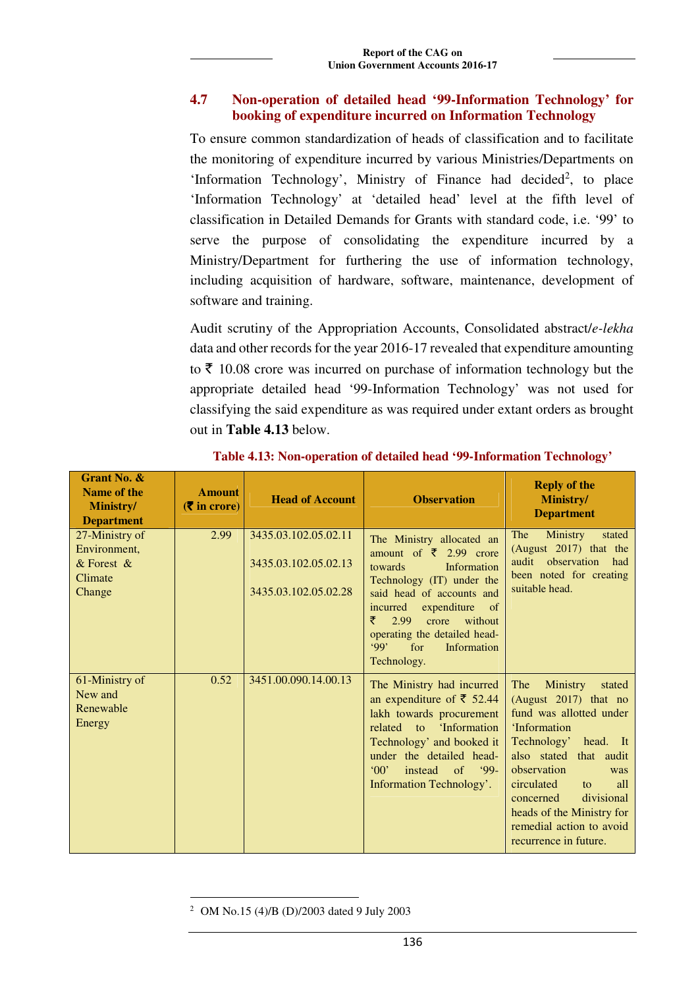## **4.7 Non-operation of detailed head '99-Information Technology' for booking of expenditure incurred on Information Technology**

To ensure common standardization of heads of classification and to facilitate the monitoring of expenditure incurred by various Ministries/Departments on 'Information Technology', Ministry of Finance had decided<sup>2</sup>, to place 'Information Technology' at 'detailed head' level at the fifth level of classification in Detailed Demands for Grants with standard code, i.e. '99' to serve the purpose of consolidating the expenditure incurred by a Ministry/Department for furthering the use of information technology, including acquisition of hardware, software, maintenance, development of software and training.

Audit scrutiny of the Appropriation Accounts, Consolidated abstract/*e-lekha* data and other records for the year 2016-17 revealed that expenditure amounting to  $\bar{\tau}$  10.08 crore was incurred on purchase of information technology but the appropriate detailed head '99-Information Technology' was not used for classifying the said expenditure as was required under extant orders as brought out in **Table 4.13** below.

| Grant No. &<br>Name of the<br>Ministry/<br><b>Department</b>          | <b>Amount</b><br>$(5 \infty)$ in crore) | <b>Head of Account</b>                                               | <b>Observation</b>                                                                                                                                                                                                                                                                        | <b>Reply of the</b><br>Ministry/<br><b>Department</b>                                                                                                                                                                                                                                                         |
|-----------------------------------------------------------------------|-----------------------------------------|----------------------------------------------------------------------|-------------------------------------------------------------------------------------------------------------------------------------------------------------------------------------------------------------------------------------------------------------------------------------------|---------------------------------------------------------------------------------------------------------------------------------------------------------------------------------------------------------------------------------------------------------------------------------------------------------------|
| 27-Ministry of<br>Environment,<br>$&$ Forest $&$<br>Climate<br>Change | 2.99                                    | 3435.03.102.05.02.11<br>3435.03.102.05.02.13<br>3435.03.102.05.02.28 | The Ministry allocated an<br>amount of $\bar{\xi}$ 2.99 crore<br>towards<br>Information<br>Technology (IT) under the<br>said head of accounts and<br>incurred expenditure of<br>₹<br>crore<br>without<br>2.99<br>operating the detailed head-<br>99'<br>for<br>Information<br>Technology. | The<br><b>Ministry</b><br>stated<br>(August 2017) that the<br>audit observation<br>had<br>been noted for creating<br>suitable head.                                                                                                                                                                           |
| 61-Ministry of<br>New and<br>Renewable<br>Energy                      | 0.52                                    | 3451.00.090.14.00.13                                                 | The Ministry had incurred<br>an expenditure of ₹ 52.44<br>lakh towards procurement<br>related<br>'Information<br>$\overline{t}$<br>Technology' and booked it<br>under the detailed head-<br>$^{\circ}00'$<br>of $99 -$<br>instead<br>Information Technology'.                             | The<br>Ministry<br>stated<br>(August 2017) that no<br>fund was allotted under<br>'Information<br>Technology' head. It<br>also stated that audit<br>observation<br>was<br>circulated<br>all<br>to<br>divisional<br>concerned<br>heads of the Ministry for<br>remedial action to avoid<br>recurrence in future. |

**Table 4.13: Non-operation of detailed head '99-Information Technology'** 

 $\overline{a}$ 2 OM No.15 (4)/B (D)/2003 dated 9 July 2003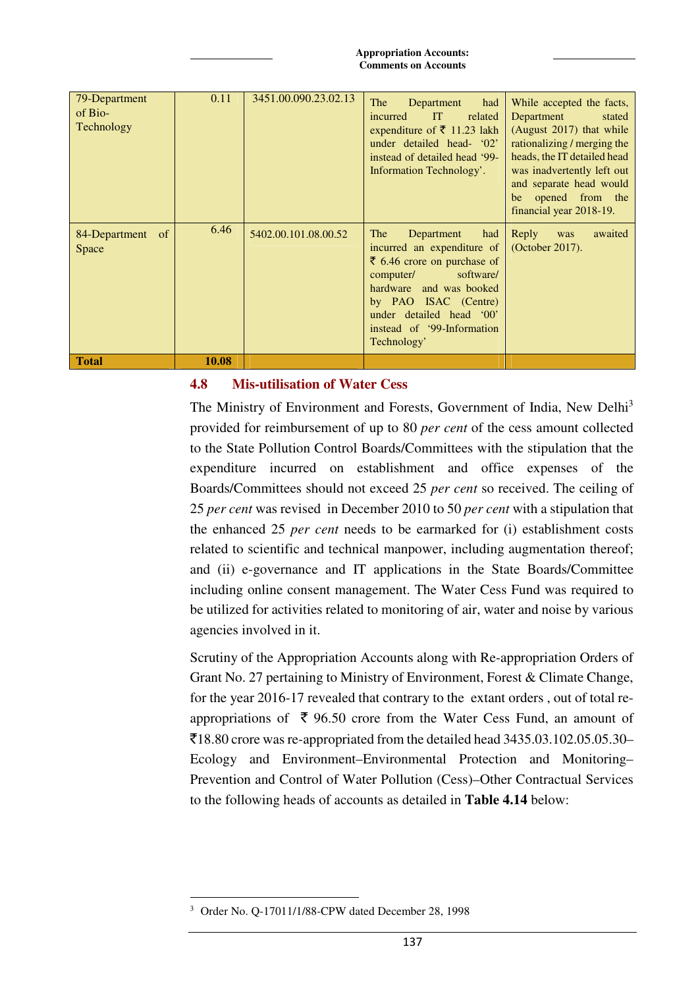| 79-Department<br>of Bio-<br>Technology | 0.11  | 3451.00.090.23.02.13 | <b>The</b><br>Department<br>had<br>IT<br>related<br>incurred<br>expenditure of ₹ 11.23 lakh<br>under detailed head- '02'<br>instead of detailed head '99-<br>Information Technology'.                                                                 | While accepted the facts,<br>Department<br>stated<br>(August 2017) that while<br>rationalizing / merging the<br>heads, the IT detailed head<br>was inadvertently left out<br>and separate head would<br>opened from the<br>be<br>financial year 2018-19. |
|----------------------------------------|-------|----------------------|-------------------------------------------------------------------------------------------------------------------------------------------------------------------------------------------------------------------------------------------------------|----------------------------------------------------------------------------------------------------------------------------------------------------------------------------------------------------------------------------------------------------------|
| 84-Department of<br>Space              | 6.46  | 5402.00.101.08.00.52 | The<br>had<br>Department<br>incurred an expenditure of<br>$\bar{\xi}$ 6.46 crore on purchase of<br>software/<br>computer/<br>hardware and was booked<br>by PAO ISAC (Centre)<br>under detailed head '00'<br>instead of '99-Information<br>Technology' | Reply<br>awaited<br>was<br>(October 2017).                                                                                                                                                                                                               |
| <b>Total</b>                           | 10.08 |                      |                                                                                                                                                                                                                                                       |                                                                                                                                                                                                                                                          |

## **4.8 Mis-utilisation of Water Cess**

The Ministry of Environment and Forests, Government of India, New Delhi<sup>3</sup> provided for reimbursement of up to 80 *per cent* of the cess amount collected to the State Pollution Control Boards/Committees with the stipulation that the expenditure incurred on establishment and office expenses of the Boards/Committees should not exceed 25 *per cent* so received. The ceiling of 25 *per cent* was revised in December 2010 to 50 *per cent* with a stipulation that the enhanced 25 *per cent* needs to be earmarked for (i) establishment costs related to scientific and technical manpower, including augmentation thereof; and (ii) e-governance and IT applications in the State Boards/Committee including online consent management. The Water Cess Fund was required to be utilized for activities related to monitoring of air, water and noise by various agencies involved in it.

Scrutiny of the Appropriation Accounts along with Re-appropriation Orders of Grant No. 27 pertaining to Ministry of Environment, Forest & Climate Change, for the year 2016-17 revealed that contrary to the extant orders , out of total reappropriations of  $\bar{\tau}$  96.50 crore from the Water Cess Fund, an amount of  $\overline{5}18.80$  crore was re-appropriated from the detailed head 3435.03.102.05.05.30– Ecology and Environment–Environmental Protection and Monitoring– Prevention and Control of Water Pollution (Cess)–Other Contractual Services to the following heads of accounts as detailed in **Table 4.14** below:

 $\overline{a}$ 3 Order No. Q-17011/1/88-CPW dated December 28, 1998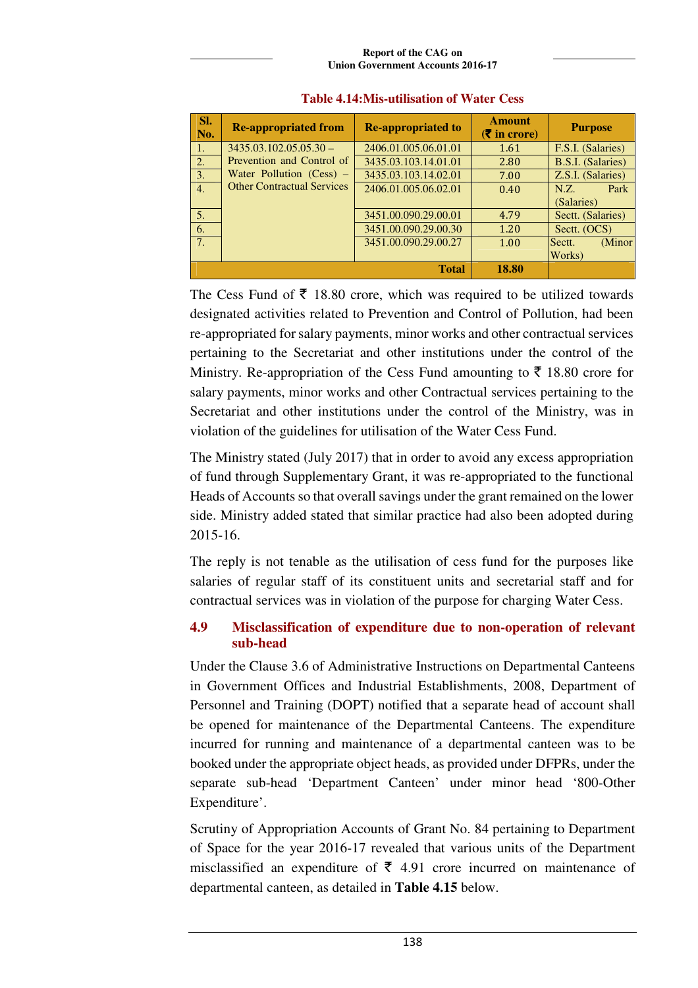### **Report of the CAG on Union Government Accounts 2016-17**

| Sl.<br>No.       | <b>Re-appropriated from</b>       | <b>Re-appropriated to</b> | <b>Amount</b><br>$(5 \infty)$ in crore) | <b>Purpose</b>           |
|------------------|-----------------------------------|---------------------------|-----------------------------------------|--------------------------|
| $\vert 1. \vert$ | $3435.03.102.05.05.30 -$          | 2406.01.005.06.01.01      | 1.61                                    | F.S.I. (Salaries)        |
| 2.               | Prevention and Control of         | 3435.03.103.14.01.01      | 2.80                                    | <b>B.S.I.</b> (Salaries) |
| 3.               | Water Pollution $(Cess)$ –        | 3435.03.103.14.02.01      | 7.00                                    | Z.S.I. (Salaries)        |
| 4.               | <b>Other Contractual Services</b> | 2406.01.005.06.02.01      | 0.40                                    | Park<br>N.Z.             |
|                  |                                   |                           |                                         | (Salaries)               |
| 5.               |                                   | 3451.00.090.29.00.01      | 4.79                                    | Sectt. (Salaries)        |
| 6.               |                                   | 3451.00.090.29.00.30      | 1.20                                    | Sectt. (OCS)             |
| 7.               |                                   | 3451.00.090.29.00.27      | 1.00                                    | (Minor<br>Sectt.         |
|                  |                                   |                           |                                         | Works)                   |
|                  |                                   | 18.80                     |                                         |                          |

### **Table 4.14:Mis-utilisation of Water Cess**

The Cess Fund of  $\bar{\tau}$  18.80 crore, which was required to be utilized towards designated activities related to Prevention and Control of Pollution, had been re-appropriated for salary payments, minor works and other contractual services pertaining to the Secretariat and other institutions under the control of the Ministry. Re-appropriation of the Cess Fund amounting to  $\bar{\tau}$  18.80 crore for salary payments, minor works and other Contractual services pertaining to the Secretariat and other institutions under the control of the Ministry, was in violation of the guidelines for utilisation of the Water Cess Fund.

The Ministry stated (July 2017) that in order to avoid any excess appropriation of fund through Supplementary Grant, it was re-appropriated to the functional Heads of Accounts so that overall savings under the grant remained on the lower side. Ministry added stated that similar practice had also been adopted during 2015-16.

The reply is not tenable as the utilisation of cess fund for the purposes like salaries of regular staff of its constituent units and secretarial staff and for contractual services was in violation of the purpose for charging Water Cess.

# **4.9 Misclassification of expenditure due to non-operation of relevant sub-head**

Under the Clause 3.6 of Administrative Instructions on Departmental Canteens in Government Offices and Industrial Establishments, 2008, Department of Personnel and Training (DOPT) notified that a separate head of account shall be opened for maintenance of the Departmental Canteens. The expenditure incurred for running and maintenance of a departmental canteen was to be booked under the appropriate object heads, as provided under DFPRs, under the separate sub-head 'Department Canteen' under minor head '800-Other Expenditure'.

Scrutiny of Appropriation Accounts of Grant No. 84 pertaining to Department of Space for the year 2016-17 revealed that various units of the Department misclassified an expenditure of  $\bar{\tau}$  4.91 crore incurred on maintenance of departmental canteen, as detailed in **Table 4.15** below.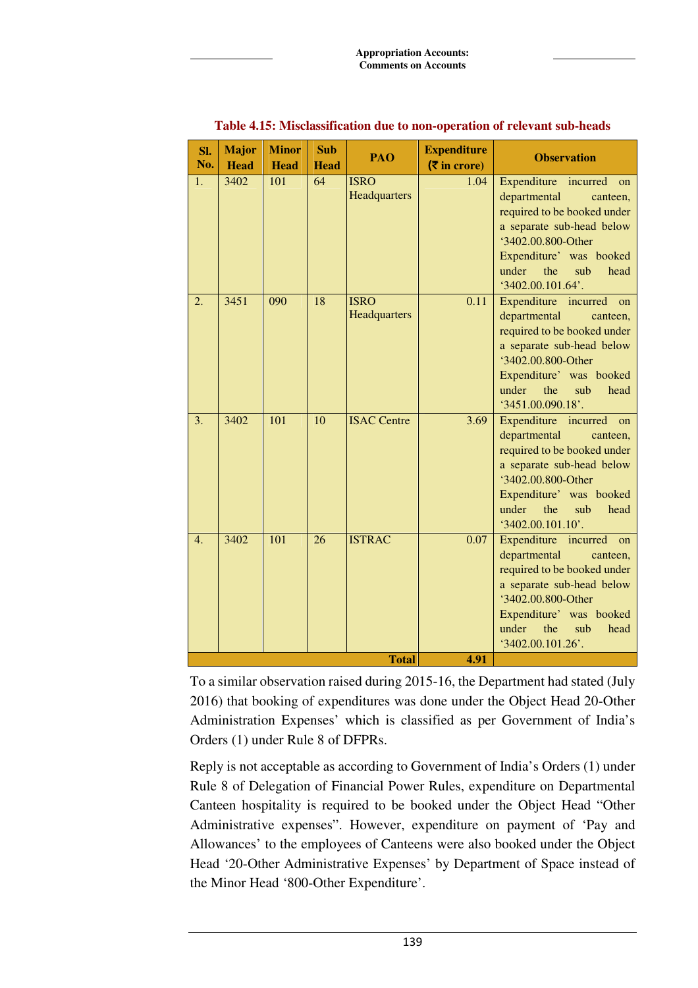| Sl.<br>No.   | <b>Major</b><br><b>Head</b> | <b>Minor</b><br><b>Head</b> | <b>Sub</b><br><b>Head</b> | PAO                         | <b>Expenditure</b><br>$(5 \times 10^{-10})$ | <b>Observation</b>                                                                                                                                                                                                    |  |
|--------------|-----------------------------|-----------------------------|---------------------------|-----------------------------|---------------------------------------------|-----------------------------------------------------------------------------------------------------------------------------------------------------------------------------------------------------------------------|--|
| 1.           | 3402                        | 101                         | 64                        | <b>ISRO</b><br>Headquarters | 1.04                                        | Expenditure incurred<br>on<br>departmental<br>canteen,<br>required to be booked under<br>a separate sub-head below<br>'3402.00.800-Other<br>Expenditure' was booked<br>under<br>the<br>sub<br>head<br>3402.00.101.64  |  |
| 2.           | 3451                        | 090                         | 18                        | <b>ISRO</b><br>Headquarters | 0.11                                        | Expenditure incurred on<br>departmental<br>canteen,<br>required to be booked under<br>a separate sub-head below<br>'3402.00.800-Other<br>Expenditure' was booked<br>the<br>under<br>sub<br>head<br>3451.00.090.18     |  |
| 3.           | 3402                        | 101                         | 10                        | <b>ISAC Centre</b>          | 3.69                                        | Expenditure incurred on<br>departmental<br>canteen,<br>required to be booked under<br>a separate sub-head below<br>'3402.00.800-Other<br>Expenditure' was booked<br>under<br>the<br>sub<br>head<br>$3402.00.101.10$ . |  |
| 4.           | 3402                        | 101                         | 26                        | <b>ISTRAC</b>               | 0.07                                        | Expenditure incurred on<br>departmental<br>canteen,<br>required to be booked under<br>a separate sub-head below<br>'3402.00.800-Other<br>Expenditure' was booked<br>under<br>the<br>sub<br>head<br>3402.00.101.26     |  |
| <b>Total</b> |                             |                             |                           |                             | 4.91                                        |                                                                                                                                                                                                                       |  |

### **Table 4.15: Misclassification due to non-operation of relevant sub-heads**

To a similar observation raised during 2015-16, the Department had stated (July 2016) that booking of expenditures was done under the Object Head 20-Other Administration Expenses' which is classified as per Government of India's Orders (1) under Rule 8 of DFPRs.

Reply is not acceptable as according to Government of India's Orders (1) under Rule 8 of Delegation of Financial Power Rules, expenditure on Departmental Canteen hospitality is required to be booked under the Object Head "Other Administrative expenses". However, expenditure on payment of 'Pay and Allowances' to the employees of Canteens were also booked under the Object Head '20-Other Administrative Expenses' by Department of Space instead of the Minor Head '800-Other Expenditure'.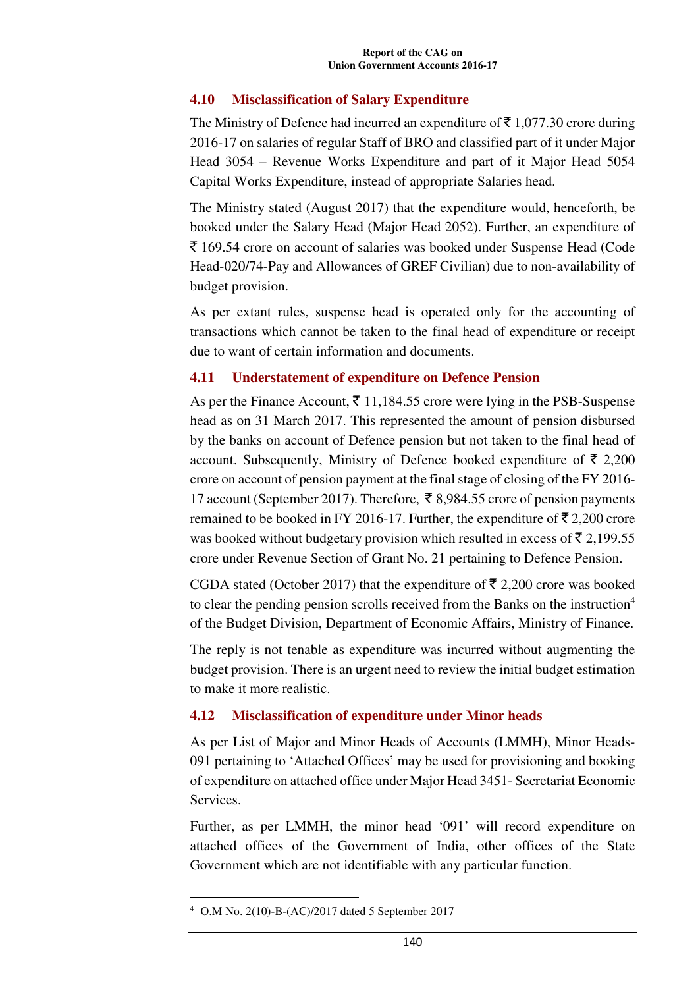## **4.10 Misclassification of Salary Expenditure**

The Ministry of Defence had incurred an expenditure of  $\bar{\tau}$  1,077.30 crore during 2016-17 on salaries of regular Staff of BRO and classified part of it under Major Head 3054 – Revenue Works Expenditure and part of it Major Head 5054 Capital Works Expenditure, instead of appropriate Salaries head.

The Ministry stated (August 2017) that the expenditure would, henceforth, be booked under the Salary Head (Major Head 2052). Further, an expenditure of ` 169.54 crore on account of salaries was booked under Suspense Head (Code Head-020/74-Pay and Allowances of GREF Civilian) due to non-availability of budget provision.

As per extant rules, suspense head is operated only for the accounting of transactions which cannot be taken to the final head of expenditure or receipt due to want of certain information and documents.

### **4.11 Understatement of expenditure on Defence Pension**

As per the Finance Account,  $\bar{\xi}$  11,184.55 crore were lying in the PSB-Suspense head as on 31 March 2017. This represented the amount of pension disbursed by the banks on account of Defence pension but not taken to the final head of account. Subsequently, Ministry of Defence booked expenditure of  $\bar{\tau}$  2,200 crore on account of pension payment at the final stage of closing of the FY 2016- 17 account (September 2017). Therefore,  $\bar{\xi}$  8,984.55 crore of pension payments remained to be booked in FY 2016-17. Further, the expenditure of  $\bar{\tau}$  2,200 crore was booked without budgetary provision which resulted in excess of  $\bar{\tau}$  2,199.55 crore under Revenue Section of Grant No. 21 pertaining to Defence Pension.

CGDA stated (October 2017) that the expenditure of  $\bar{\mathfrak{Z}}$  2,200 crore was booked to clear the pending pension scrolls received from the Banks on the instruction<sup>4</sup> of the Budget Division, Department of Economic Affairs, Ministry of Finance.

The reply is not tenable as expenditure was incurred without augmenting the budget provision. There is an urgent need to review the initial budget estimation to make it more realistic.

## **4.12 Misclassification of expenditure under Minor heads**

As per List of Major and Minor Heads of Accounts (LMMH), Minor Heads-091 pertaining to 'Attached Offices' may be used for provisioning and booking of expenditure on attached office under Major Head 3451- Secretariat Economic Services.

Further, as per LMMH, the minor head '091' will record expenditure on attached offices of the Government of India, other offices of the State Government which are not identifiable with any particular function.

 $\overline{a}$ 

<sup>4</sup> O.M No. 2(10)-B-(AC)/2017 dated 5 September 2017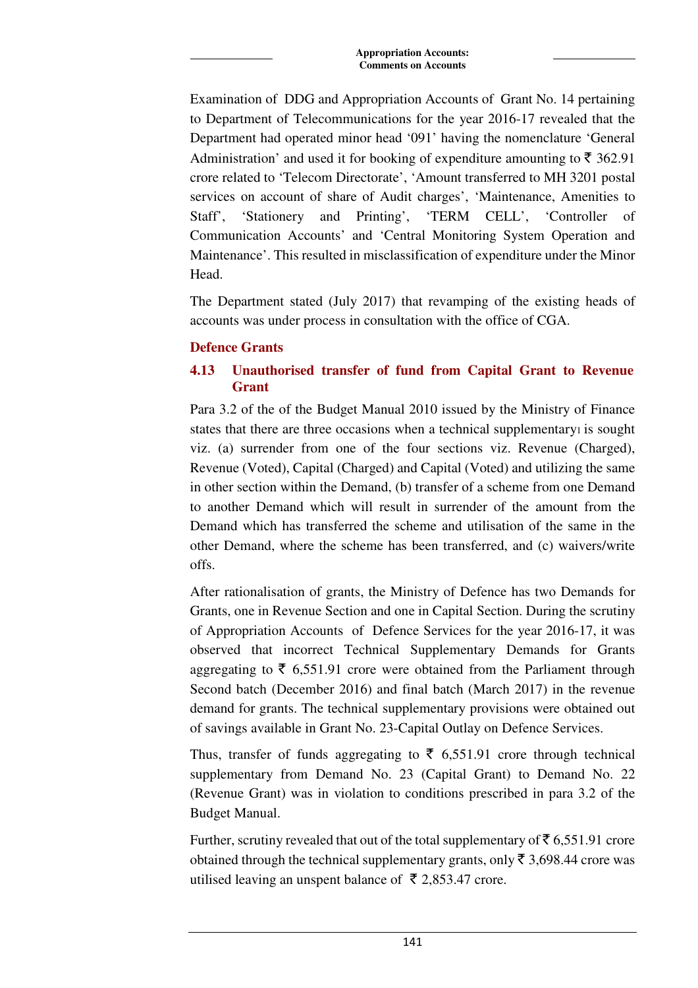Examination of DDG and Appropriation Accounts of Grant No. 14 pertaining to Department of Telecommunications for the year 2016-17 revealed that the Department had operated minor head '091' having the nomenclature 'General Administration' and used it for booking of expenditure amounting to  $\bar{\tau}$  362.91 crore related to 'Telecom Directorate', 'Amount transferred to MH 3201 postal services on account of share of Audit charges', 'Maintenance, Amenities to Staff', 'Stationery and Printing', 'TERM CELL', 'Controller of Communication Accounts' and 'Central Monitoring System Operation and Maintenance'. This resulted in misclassification of expenditure under the Minor Head.

The Department stated (July 2017) that revamping of the existing heads of accounts was under process in consultation with the office of CGA.

## **Defence Grants**

# **4.13 Unauthorised transfer of fund from Capital Grant to Revenue Grant**

Para 3.2 of the of the Budget Manual 2010 issued by the Ministry of Finance states that there are three occasions when a technical supplementary is sought viz. (a) surrender from one of the four sections viz. Revenue (Charged), Revenue (Voted), Capital (Charged) and Capital (Voted) and utilizing the same in other section within the Demand, (b) transfer of a scheme from one Demand to another Demand which will result in surrender of the amount from the Demand which has transferred the scheme and utilisation of the same in the other Demand, where the scheme has been transferred, and (c) waivers/write offs.

After rationalisation of grants, the Ministry of Defence has two Demands for Grants, one in Revenue Section and one in Capital Section. During the scrutiny of Appropriation Accounts of Defence Services for the year 2016-17, it was observed that incorrect Technical Supplementary Demands for Grants aggregating to  $\bar{\tau}$  6,551.91 crore were obtained from the Parliament through Second batch (December 2016) and final batch (March 2017) in the revenue demand for grants. The technical supplementary provisions were obtained out of savings available in Grant No. 23-Capital Outlay on Defence Services.

Thus, transfer of funds aggregating to  $\bar{\tau}$  6,551.91 crore through technical supplementary from Demand No. 23 (Capital Grant) to Demand No. 22 (Revenue Grant) was in violation to conditions prescribed in para 3.2 of the Budget Manual.

Further, scrutiny revealed that out of the total supplementary of  $\bar{\tau}$  6,551.91 crore obtained through the technical supplementary grants, only  $\bar{\tau}$  3,698.44 crore was utilised leaving an unspent balance of  $\bar{\xi}$  2,853.47 crore.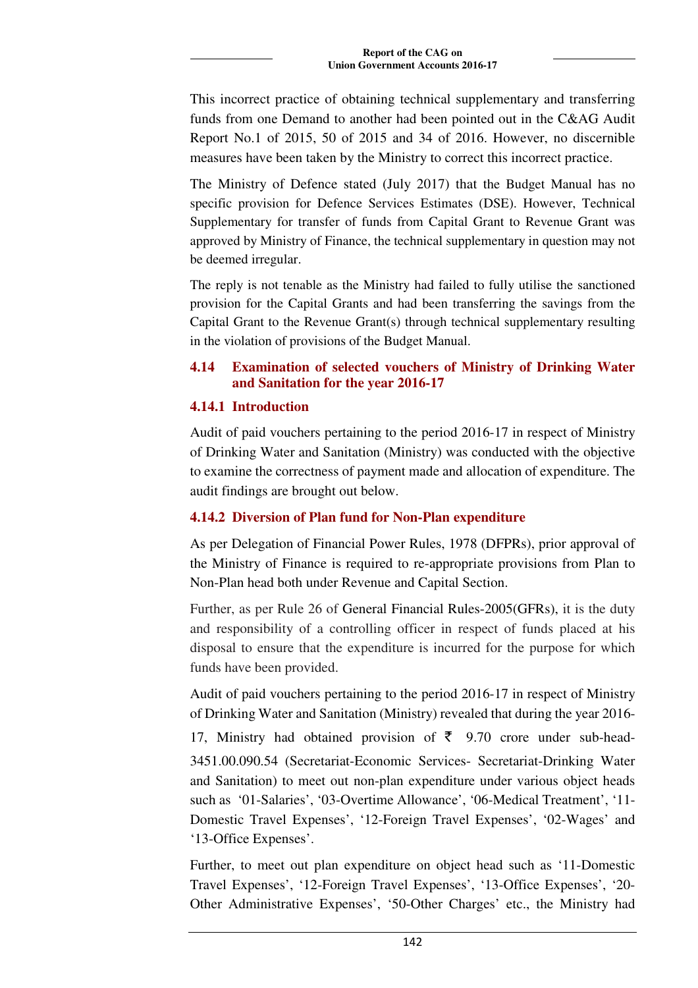This incorrect practice of obtaining technical supplementary and transferring funds from one Demand to another had been pointed out in the C&AG Audit Report No.1 of 2015, 50 of 2015 and 34 of 2016. However, no discernible measures have been taken by the Ministry to correct this incorrect practice.

The Ministry of Defence stated (July 2017) that the Budget Manual has no specific provision for Defence Services Estimates (DSE). However, Technical Supplementary for transfer of funds from Capital Grant to Revenue Grant was approved by Ministry of Finance, the technical supplementary in question may not be deemed irregular.

The reply is not tenable as the Ministry had failed to fully utilise the sanctioned provision for the Capital Grants and had been transferring the savings from the Capital Grant to the Revenue Grant(s) through technical supplementary resulting in the violation of provisions of the Budget Manual.

# **4.14 Examination of selected vouchers of Ministry of Drinking Water and Sanitation for the year 2016-17**

## **4.14.1 Introduction**

Audit of paid vouchers pertaining to the period 2016-17 in respect of Ministry of Drinking Water and Sanitation (Ministry) was conducted with the objective to examine the correctness of payment made and allocation of expenditure. The audit findings are brought out below.

# **4.14.2 Diversion of Plan fund for Non-Plan expenditure**

As per Delegation of Financial Power Rules, 1978 (DFPRs), prior approval of the Ministry of Finance is required to re-appropriate provisions from Plan to Non-Plan head both under Revenue and Capital Section.

Further, as per Rule 26 of General Financial Rules-2005(GFRs), it is the duty and responsibility of a controlling officer in respect of funds placed at his disposal to ensure that the expenditure is incurred for the purpose for which funds have been provided.

Audit of paid vouchers pertaining to the period 2016-17 in respect of Ministry of Drinking Water and Sanitation (Ministry) revealed that during the year 2016-

17. Ministry had obtained provision of  $\bar{\tau}$  9.70 crore under sub-head-3451.00.090.54 (Secretariat-Economic Services- Secretariat-Drinking Water and Sanitation) to meet out non-plan expenditure under various object heads such as '01-Salaries', '03-Overtime Allowance', '06-Medical Treatment', '11- Domestic Travel Expenses', '12-Foreign Travel Expenses', '02-Wages' and '13-Office Expenses'.

Further, to meet out plan expenditure on object head such as '11-Domestic Travel Expenses', '12-Foreign Travel Expenses', '13-Office Expenses', '20- Other Administrative Expenses', '50-Other Charges' etc., the Ministry had